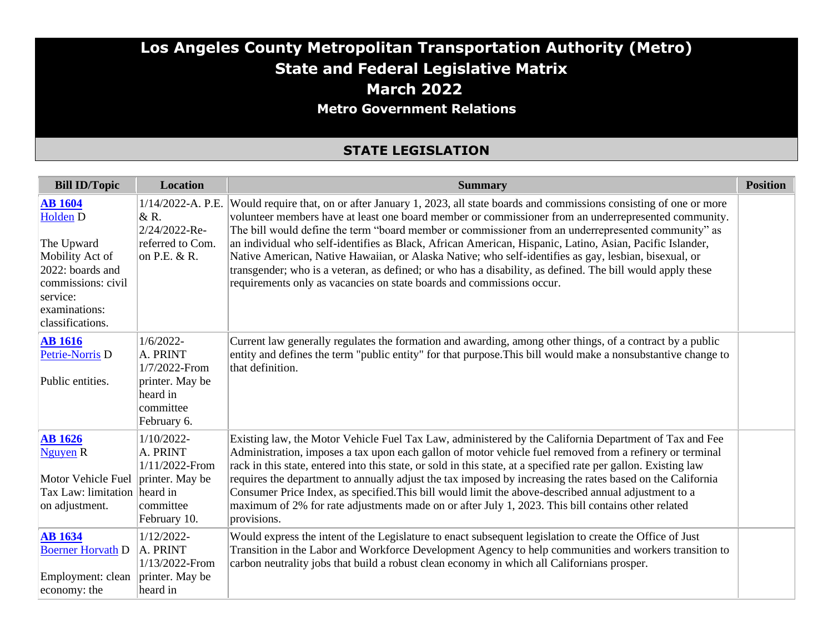### **Los Angeles County Metropolitan Transportation Authority (Metro) State and Federal Legislative Matrix March 2022 Metro Government Relations**

### **STATE LEGISLATION**

| <b>Bill ID/Topic</b>                                                                                                                                              | <b>Location</b>                                                                                      | <b>Summary</b>                                                                                                                                                                                                                                                                                                                                                                                                                                                                                                                                                                                                                                                                                                                         | <b>Position</b> |
|-------------------------------------------------------------------------------------------------------------------------------------------------------------------|------------------------------------------------------------------------------------------------------|----------------------------------------------------------------------------------------------------------------------------------------------------------------------------------------------------------------------------------------------------------------------------------------------------------------------------------------------------------------------------------------------------------------------------------------------------------------------------------------------------------------------------------------------------------------------------------------------------------------------------------------------------------------------------------------------------------------------------------------|-----------------|
| <b>AB</b> 1604<br>Holden <sub>D</sub><br>The Upward<br>Mobility Act of<br>2022: boards and<br>commissions: civil<br>service:<br>examinations:<br>classifications. | 1/14/2022-A. P.E.<br>& R.<br>2/24/2022-Re-<br>referred to Com.<br>on P.E. $&R.$                      | Would require that, on or after January 1, 2023, all state boards and commissions consisting of one or more<br>volunteer members have at least one board member or commissioner from an underrepresented community.<br>The bill would define the term "board member or commissioner from an underrepresented community" as<br>an individual who self-identifies as Black, African American, Hispanic, Latino, Asian, Pacific Islander,<br>Native American, Native Hawaiian, or Alaska Native; who self-identifies as gay, lesbian, bisexual, or<br>transgender; who is a veteran, as defined; or who has a disability, as defined. The bill would apply these<br>requirements only as vacancies on state boards and commissions occur. |                 |
| <b>AB</b> 1616<br>Petrie-Norris D<br>Public entities.                                                                                                             | $1/6/2022$ -<br>A. PRINT<br>1/7/2022-From<br>printer. May be<br>heard in<br>committee<br>February 6. | Current law generally regulates the formation and awarding, among other things, of a contract by a public<br>entity and defines the term "public entity" for that purpose. This bill would make a nonsubstantive change to<br>that definition.                                                                                                                                                                                                                                                                                                                                                                                                                                                                                         |                 |
| <b>AB</b> 1626<br>Nguyen R<br>Motor Vehicle Fuel printer. May be<br>Tax Law: limitation heard in<br>on adjustment.                                                | 1/10/2022-<br>A. PRINT<br>1/11/2022-From<br>committee<br>February 10.                                | Existing law, the Motor Vehicle Fuel Tax Law, administered by the California Department of Tax and Fee<br>Administration, imposes a tax upon each gallon of motor vehicle fuel removed from a refinery or terminal<br>rack in this state, entered into this state, or sold in this state, at a specified rate per gallon. Existing law<br>requires the department to annually adjust the tax imposed by increasing the rates based on the California<br>Consumer Price Index, as specified. This bill would limit the above-described annual adjustment to a<br>maximum of 2% for rate adjustments made on or after July 1, 2023. This bill contains other related<br>provisions.                                                      |                 |
| <b>AB</b> 1634<br><b>Boerner Horvath D</b><br>Employment: clean<br>economy: the                                                                                   | $1/12/2022$ -<br>A. PRINT<br>1/13/2022-From<br>printer. May be<br>heard in                           | Would express the intent of the Legislature to enact subsequent legislation to create the Office of Just<br>Transition in the Labor and Workforce Development Agency to help communities and workers transition to<br>carbon neutrality jobs that build a robust clean economy in which all Californians prosper.                                                                                                                                                                                                                                                                                                                                                                                                                      |                 |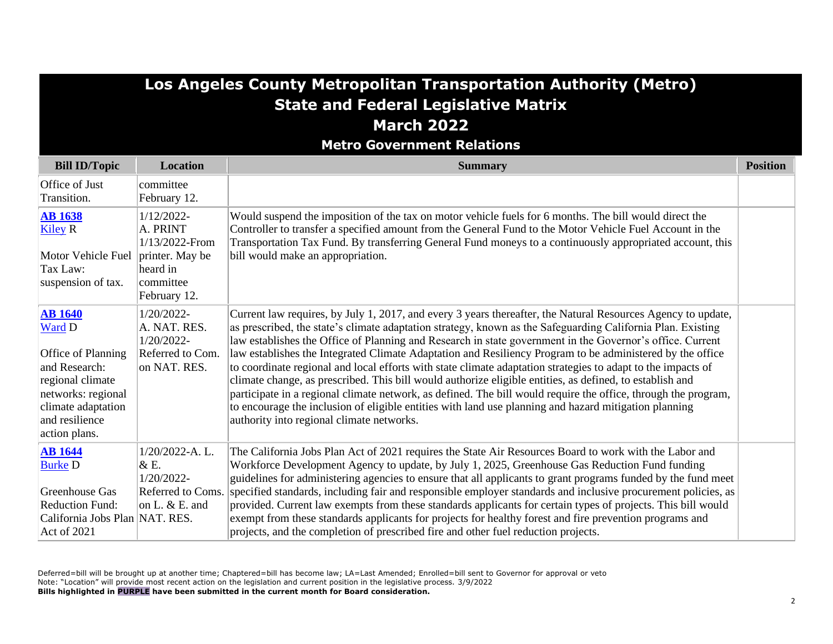## **Los Angeles County Metropolitan Transportation Authority (Metro) State and Federal Legislative Matrix March 2022**

**Metro Government Relations**

| <b>Bill ID/Topic</b>                                                                                                                                               | <b>Location</b>                                                                   | <b>Summary</b>                                                                                                                                                                                                                                                                                                                                                                                                                                                                                                                                                                                                                                                                                                                                                                                                                                                                                                                                            | <b>Position</b> |
|--------------------------------------------------------------------------------------------------------------------------------------------------------------------|-----------------------------------------------------------------------------------|-----------------------------------------------------------------------------------------------------------------------------------------------------------------------------------------------------------------------------------------------------------------------------------------------------------------------------------------------------------------------------------------------------------------------------------------------------------------------------------------------------------------------------------------------------------------------------------------------------------------------------------------------------------------------------------------------------------------------------------------------------------------------------------------------------------------------------------------------------------------------------------------------------------------------------------------------------------|-----------------|
| Office of Just<br>Transition.                                                                                                                                      | committee<br>February 12.                                                         |                                                                                                                                                                                                                                                                                                                                                                                                                                                                                                                                                                                                                                                                                                                                                                                                                                                                                                                                                           |                 |
| <b>AB 1638</b><br><b>Kiley R</b><br>Motor Vehicle Fuel printer. May be<br>Tax Law:<br>suspension of tax.                                                           | 1/12/2022-<br>A. PRINT<br>1/13/2022-From<br>heard in<br>committee<br>February 12. | Would suspend the imposition of the tax on motor vehicle fuels for 6 months. The bill would direct the<br>Controller to transfer a specified amount from the General Fund to the Motor Vehicle Fuel Account in the<br>Transportation Tax Fund. By transferring General Fund moneys to a continuously appropriated account, this<br>bill would make an appropriation.                                                                                                                                                                                                                                                                                                                                                                                                                                                                                                                                                                                      |                 |
| <b>AB 1640</b><br>Ward D<br>Office of Planning<br>and Research:<br>regional climate<br>networks: regional<br>climate adaptation<br>and resilience<br>action plans. | 1/20/2022-<br>A. NAT. RES.<br>1/20/2022-<br>Referred to Com.<br>on NAT. RES.      | Current law requires, by July 1, 2017, and every 3 years thereafter, the Natural Resources Agency to update,<br>as prescribed, the state's climate adaptation strategy, known as the Safeguarding California Plan. Existing<br>law establishes the Office of Planning and Research in state government in the Governor's office. Current<br>law establishes the Integrated Climate Adaptation and Resiliency Program to be administered by the office<br>to coordinate regional and local efforts with state climate adaptation strategies to adapt to the impacts of<br>climate change, as prescribed. This bill would authorize eligible entities, as defined, to establish and<br>participate in a regional climate network, as defined. The bill would require the office, through the program,<br>to encourage the inclusion of eligible entities with land use planning and hazard mitigation planning<br>authority into regional climate networks. |                 |
| <b>AB</b> 1644<br><b>Burke D</b><br>Greenhouse Gas<br><b>Reduction Fund:</b><br>California Jobs Plan NAT. RES.<br>Act of 2021                                      | 1/20/2022-A.L.<br>&E.<br>$1/20/2022$ -<br>Referred to Coms.<br>on L. $& E$ . and  | The California Jobs Plan Act of 2021 requires the State Air Resources Board to work with the Labor and<br>Workforce Development Agency to update, by July 1, 2025, Greenhouse Gas Reduction Fund funding<br>guidelines for administering agencies to ensure that all applicants to grant programs funded by the fund meet<br>specified standards, including fair and responsible employer standards and inclusive procurement policies, as<br>provided. Current law exempts from these standards applicants for certain types of projects. This bill would<br>exempt from these standards applicants for projects for healthy forest and fire prevention programs and<br>projects, and the completion of prescribed fire and other fuel reduction projects.                                                                                                                                                                                               |                 |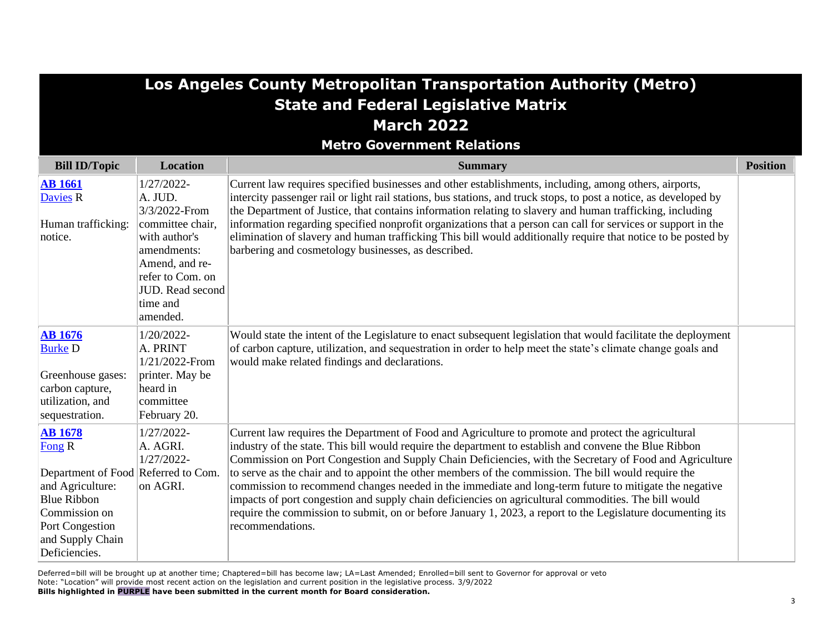|                                                                                                                                                                                           | Los Angeles County Metropolitan Transportation Authority (Metro)                                                      |                                                                                                                                                                                                                                                                                                                                                                                                                                                                                                                                                                                                                                                                                                                                                                                      |                 |  |
|-------------------------------------------------------------------------------------------------------------------------------------------------------------------------------------------|-----------------------------------------------------------------------------------------------------------------------|--------------------------------------------------------------------------------------------------------------------------------------------------------------------------------------------------------------------------------------------------------------------------------------------------------------------------------------------------------------------------------------------------------------------------------------------------------------------------------------------------------------------------------------------------------------------------------------------------------------------------------------------------------------------------------------------------------------------------------------------------------------------------------------|-----------------|--|
|                                                                                                                                                                                           |                                                                                                                       | <b>State and Federal Legislative Matrix</b>                                                                                                                                                                                                                                                                                                                                                                                                                                                                                                                                                                                                                                                                                                                                          |                 |  |
|                                                                                                                                                                                           |                                                                                                                       | <b>March 2022</b>                                                                                                                                                                                                                                                                                                                                                                                                                                                                                                                                                                                                                                                                                                                                                                    |                 |  |
|                                                                                                                                                                                           |                                                                                                                       | <b>Metro Government Relations</b>                                                                                                                                                                                                                                                                                                                                                                                                                                                                                                                                                                                                                                                                                                                                                    |                 |  |
| <b>Bill ID/Topic</b>                                                                                                                                                                      | <b>Location</b>                                                                                                       | <b>Summary</b>                                                                                                                                                                                                                                                                                                                                                                                                                                                                                                                                                                                                                                                                                                                                                                       | <b>Position</b> |  |
| <b>AB</b> 1661<br><b>Davies R</b><br>Human trafficking:                                                                                                                                   | 1/27/2022-<br>A. JUD.<br>3/3/2022-From<br>committee chair,                                                            | Current law requires specified businesses and other establishments, including, among others, airports,<br>intercity passenger rail or light rail stations, bus stations, and truck stops, to post a notice, as developed by<br>the Department of Justice, that contains information relating to slavery and human trafficking, including<br>information regarding specified nonprofit organizations that a person can call for services or support in the                                                                                                                                                                                                                                                                                                                            |                 |  |
| notice.                                                                                                                                                                                   | with author's<br>amendments:<br>Amend, and re-<br>refer to Com. on<br><b>JUD.</b> Read second<br>time and<br>amended. | elimination of slavery and human trafficking This bill would additionally require that notice to be posted by<br>barbering and cosmetology businesses, as described.                                                                                                                                                                                                                                                                                                                                                                                                                                                                                                                                                                                                                 |                 |  |
| <b>AB</b> 1676<br><b>Burke D</b><br>Greenhouse gases:<br>carbon capture,<br>utilization, and<br>sequestration.                                                                            | 1/20/2022-<br>A. PRINT<br>1/21/2022-From<br>printer. May be<br>heard in<br>committee<br>February 20.                  | Would state the intent of the Legislature to enact subsequent legislation that would facilitate the deployment<br>of carbon capture, utilization, and sequestration in order to help meet the state's climate change goals and<br>would make related findings and declarations.                                                                                                                                                                                                                                                                                                                                                                                                                                                                                                      |                 |  |
| <b>AB</b> 1678<br>Fong R<br>Department of Food Referred to Com.<br>and Agriculture:<br><b>Blue Ribbon</b><br>Commission on<br><b>Port Congestion</b><br>and Supply Chain<br>Deficiencies. | 1/27/2022-<br>A. AGRI.<br>1/27/2022-<br>on AGRI.                                                                      | Current law requires the Department of Food and Agriculture to promote and protect the agricultural<br>industry of the state. This bill would require the department to establish and convene the Blue Ribbon<br>Commission on Port Congestion and Supply Chain Deficiencies, with the Secretary of Food and Agriculture<br>to serve as the chair and to appoint the other members of the commission. The bill would require the<br>commission to recommend changes needed in the immediate and long-term future to mitigate the negative<br>impacts of port congestion and supply chain deficiencies on agricultural commodities. The bill would<br>require the commission to submit, on or before January 1, 2023, a report to the Legislature documenting its<br>recommendations. |                 |  |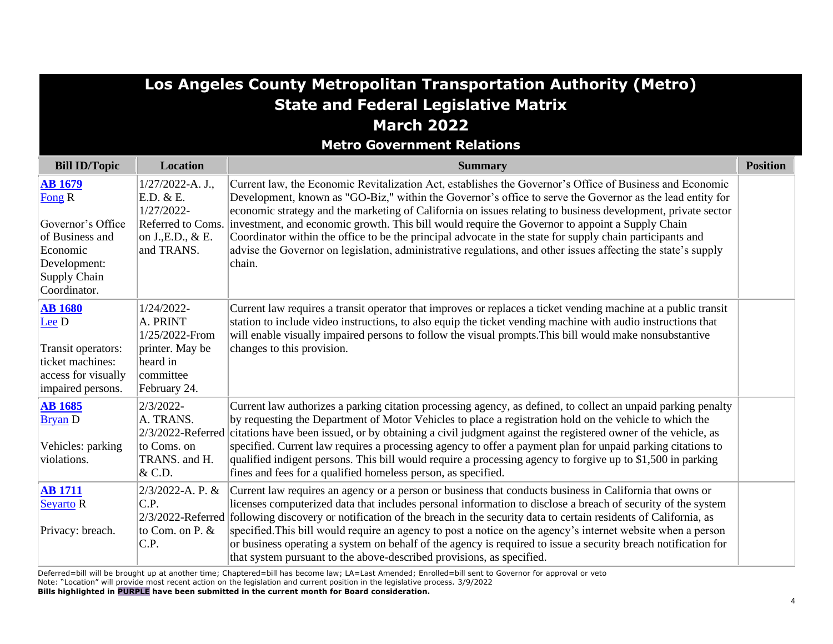|                                                                                                                              |                                                                                                      | Los Angeles County Metropolitan Transportation Authority (Metro)<br><b>State and Federal Legislative Matrix</b>                                                                                                                                                                                                                                                                                                                                                                                                                                                                                                                                                                                    |                 |
|------------------------------------------------------------------------------------------------------------------------------|------------------------------------------------------------------------------------------------------|----------------------------------------------------------------------------------------------------------------------------------------------------------------------------------------------------------------------------------------------------------------------------------------------------------------------------------------------------------------------------------------------------------------------------------------------------------------------------------------------------------------------------------------------------------------------------------------------------------------------------------------------------------------------------------------------------|-----------------|
|                                                                                                                              |                                                                                                      | <b>March 2022</b>                                                                                                                                                                                                                                                                                                                                                                                                                                                                                                                                                                                                                                                                                  |                 |
|                                                                                                                              |                                                                                                      | <b>Metro Government Relations</b>                                                                                                                                                                                                                                                                                                                                                                                                                                                                                                                                                                                                                                                                  |                 |
| <b>Bill ID/Topic</b>                                                                                                         | <b>Location</b>                                                                                      | <b>Summary</b>                                                                                                                                                                                                                                                                                                                                                                                                                                                                                                                                                                                                                                                                                     | <b>Position</b> |
| <b>AB 1679</b><br>Fong R<br>Governor's Office<br>of Business and<br>Economic<br>Development:<br>Supply Chain<br>Coordinator. | $1/27/2022-A. J.$<br>E.D. & E.<br>$1/27/2022 -$<br>on J., E.D., & E.<br>and TRANS.                   | Current law, the Economic Revitalization Act, establishes the Governor's Office of Business and Economic<br>Development, known as "GO-Biz," within the Governor's office to serve the Governor as the lead entity for<br>economic strategy and the marketing of California on issues relating to business development, private sector<br>Referred to Coms. investment, and economic growth. This bill would require the Governor to appoint a Supply Chain<br>Coordinator within the office to be the principal advocate in the state for supply chain participants and<br>advise the Governor on legislation, administrative regulations, and other issues affecting the state's supply<br>chain. |                 |
| <b>AB</b> 1680<br>Lee D<br>Transit operators:<br>ticket machines:<br>access for visually<br>impaired persons.                | 1/24/2022-<br>A. PRINT<br>1/25/2022-From<br>printer. May be<br>heard in<br>committee<br>February 24. | Current law requires a transit operator that improves or replaces a ticket vending machine at a public transit<br>station to include video instructions, to also equip the ticket vending machine with audio instructions that<br>will enable visually impaired persons to follow the visual prompts. This bill would make nonsubstantive<br>changes to this provision.                                                                                                                                                                                                                                                                                                                            |                 |
| <b>AB</b> 1685<br><b>Bryan D</b><br>Vehicles: parking<br>violations.                                                         | $2/3/2022$ -<br>A. TRANS.<br>to Coms. on<br>TRANS. and H.<br>& C.D.                                  | Current law authorizes a parking citation processing agency, as defined, to collect an unpaid parking penalty<br>by requesting the Department of Motor Vehicles to place a registration hold on the vehicle to which the<br>2/3/2022-Referred citations have been issued, or by obtaining a civil judgment against the registered owner of the vehicle, as<br>specified. Current law requires a processing agency to offer a payment plan for unpaid parking citations to<br>qualified indigent persons. This bill would require a processing agency to forgive up to \$1,500 in parking<br>fines and fees for a qualified homeless person, as specified.                                          |                 |
| <b>AB</b> 1711<br><b>Seyarto R</b><br>Privacy: breach.                                                                       | $2/3/2022-A. P. &$<br>C.P.<br>to Com. on P. &<br>C.P.                                                | Current law requires an agency or a person or business that conducts business in California that owns or<br>licenses computerized data that includes personal information to disclose a breach of security of the system<br>2/3/2022-Referred following discovery or notification of the breach in the security data to certain residents of California, as<br>specified. This bill would require an agency to post a notice on the agency's internet website when a person<br>or business operating a system on behalf of the agency is required to issue a security breach notification for<br>that system pursuant to the above-described provisions, as specified.                             |                 |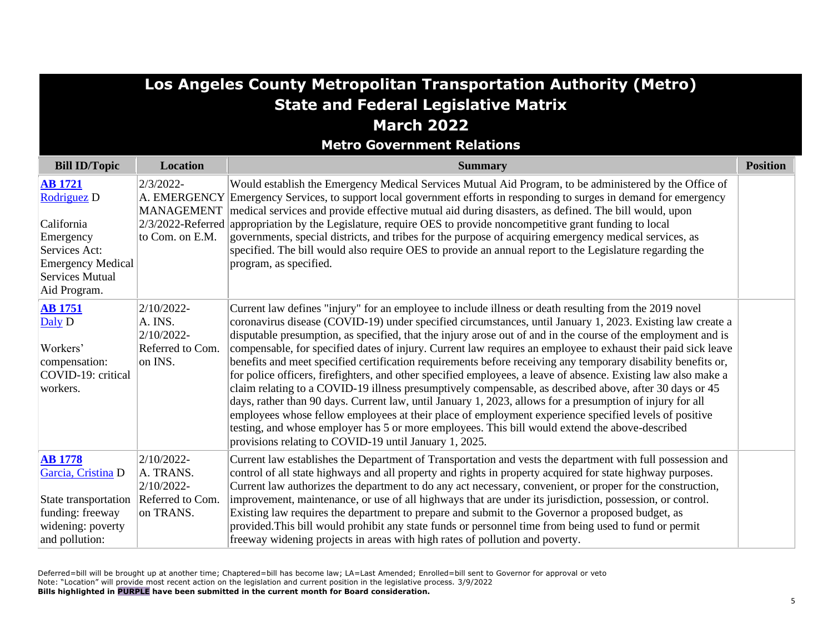|                                                                                                                                                 | Los Angeles County Metropolitan Transportation Authority (Metro)         |                                                                                                                                                                                                                                                                                                                                                                                                                                                                                                                                                                                                                                                                                                                                                                                                                                                                                                                                                                                                                                                                                                                                                                                         |                 |  |
|-------------------------------------------------------------------------------------------------------------------------------------------------|--------------------------------------------------------------------------|-----------------------------------------------------------------------------------------------------------------------------------------------------------------------------------------------------------------------------------------------------------------------------------------------------------------------------------------------------------------------------------------------------------------------------------------------------------------------------------------------------------------------------------------------------------------------------------------------------------------------------------------------------------------------------------------------------------------------------------------------------------------------------------------------------------------------------------------------------------------------------------------------------------------------------------------------------------------------------------------------------------------------------------------------------------------------------------------------------------------------------------------------------------------------------------------|-----------------|--|
|                                                                                                                                                 |                                                                          | <b>State and Federal Legislative Matrix</b>                                                                                                                                                                                                                                                                                                                                                                                                                                                                                                                                                                                                                                                                                                                                                                                                                                                                                                                                                                                                                                                                                                                                             |                 |  |
|                                                                                                                                                 |                                                                          | <b>March 2022</b>                                                                                                                                                                                                                                                                                                                                                                                                                                                                                                                                                                                                                                                                                                                                                                                                                                                                                                                                                                                                                                                                                                                                                                       |                 |  |
|                                                                                                                                                 |                                                                          | <b>Metro Government Relations</b>                                                                                                                                                                                                                                                                                                                                                                                                                                                                                                                                                                                                                                                                                                                                                                                                                                                                                                                                                                                                                                                                                                                                                       |                 |  |
| <b>Bill ID/Topic</b>                                                                                                                            | <b>Location</b>                                                          | <b>Summary</b>                                                                                                                                                                                                                                                                                                                                                                                                                                                                                                                                                                                                                                                                                                                                                                                                                                                                                                                                                                                                                                                                                                                                                                          | <b>Position</b> |  |
| <b>AB</b> 1721<br>Rodriguez D<br>California<br>Emergency<br>Services Act:<br><b>Emergency Medical</b><br><b>Services Mutual</b><br>Aid Program. | 2/3/2022-<br><b>MANAGEMENT</b><br>to Com. on E.M.                        | Would establish the Emergency Medical Services Mutual Aid Program, to be administered by the Office of<br>A. EMERGENCY Emergency Services, to support local government efforts in responding to surges in demand for emergency<br>medical services and provide effective mutual aid during disasters, as defined. The bill would, upon<br>$2/3/2022$ -Referred appropriation by the Legislature, require OES to provide noncompetitive grant funding to local<br>governments, special districts, and tribes for the purpose of acquiring emergency medical services, as<br>specified. The bill would also require OES to provide an annual report to the Legislature regarding the<br>program, as specified.                                                                                                                                                                                                                                                                                                                                                                                                                                                                            |                 |  |
| <b>AB</b> 1751<br>Daly D<br>Workers'<br>compensation:<br>COVID-19: critical<br>workers.                                                         | $2/10/2022$ -<br>A. INS.<br>$2/10/2022$ -<br>Referred to Com.<br>on INS. | Current law defines "injury" for an employee to include illness or death resulting from the 2019 novel<br>coronavirus disease (COVID-19) under specified circumstances, until January 1, 2023. Existing law create a<br>disputable presumption, as specified, that the injury arose out of and in the course of the employment and is<br>compensable, for specified dates of injury. Current law requires an employee to exhaust their paid sick leave<br>benefits and meet specified certification requirements before receiving any temporary disability benefits or,<br>for police officers, firefighters, and other specified employees, a leave of absence. Existing law also make a<br>claim relating to a COVID-19 illness presumptively compensable, as described above, after 30 days or 45<br>days, rather than 90 days. Current law, until January 1, 2023, allows for a presumption of injury for all<br>employees whose fellow employees at their place of employment experience specified levels of positive<br>testing, and whose employer has 5 or more employees. This bill would extend the above-described<br>provisions relating to COVID-19 until January 1, 2025. |                 |  |
| <b>AB</b> 1778<br>Garcia, Cristina D<br>State transportation   Referred to Com.<br>funding: freeway<br>widening: poverty<br>and pollution:      | $2/10/2022$ -<br>A. TRANS.<br>$2/10/2022$ -<br>on TRANS.                 | Current law establishes the Department of Transportation and vests the department with full possession and<br>control of all state highways and all property and rights in property acquired for state highway purposes.<br>Current law authorizes the department to do any act necessary, convenient, or proper for the construction,<br>improvement, maintenance, or use of all highways that are under its jurisdiction, possession, or control.<br>Existing law requires the department to prepare and submit to the Governor a proposed budget, as<br>provided. This bill would prohibit any state funds or personnel time from being used to fund or permit<br>freeway widening projects in areas with high rates of pollution and poverty.                                                                                                                                                                                                                                                                                                                                                                                                                                       |                 |  |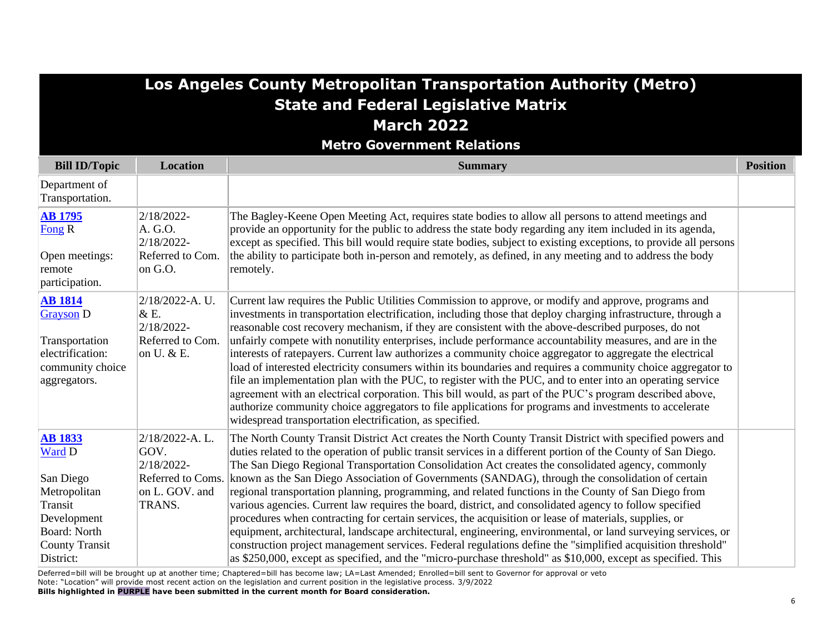| Los Angeles County Metropolitan Transportation Authority (Metro) |  |
|------------------------------------------------------------------|--|
| <b>State and Federal Legislative Matrix</b>                      |  |
| <b>March 2022</b>                                                |  |
|                                                                  |  |

**Metro Government Relations**

| <b>Bill ID/Topic</b>                                                                                                                         | <b>Location</b>                                                                       | <b>Summary</b>                                                                                                                                                                                                                                                                                                                                                                                                                                                                                                                                                                                                                                                                                                                                                                                                                                                                                                                                                                                                                                                                                                  | <b>Position</b> |
|----------------------------------------------------------------------------------------------------------------------------------------------|---------------------------------------------------------------------------------------|-----------------------------------------------------------------------------------------------------------------------------------------------------------------------------------------------------------------------------------------------------------------------------------------------------------------------------------------------------------------------------------------------------------------------------------------------------------------------------------------------------------------------------------------------------------------------------------------------------------------------------------------------------------------------------------------------------------------------------------------------------------------------------------------------------------------------------------------------------------------------------------------------------------------------------------------------------------------------------------------------------------------------------------------------------------------------------------------------------------------|-----------------|
| Department of<br>Transportation.                                                                                                             |                                                                                       |                                                                                                                                                                                                                                                                                                                                                                                                                                                                                                                                                                                                                                                                                                                                                                                                                                                                                                                                                                                                                                                                                                                 |                 |
| <b>AB 1795</b><br>Fong R<br>Open meetings:<br>remote<br>participation.                                                                       | 2/18/2022-<br>A. G.O.<br>2/18/2022-<br>Referred to Com.<br>on G.O.                    | The Bagley-Keene Open Meeting Act, requires state bodies to allow all persons to attend meetings and<br>provide an opportunity for the public to address the state body regarding any item included in its agenda,<br>except as specified. This bill would require state bodies, subject to existing exceptions, to provide all persons<br>the ability to participate both in-person and remotely, as defined, in any meeting and to address the body<br>remotely.                                                                                                                                                                                                                                                                                                                                                                                                                                                                                                                                                                                                                                              |                 |
| <b>AB 1814</b><br><b>Grayson</b> D<br>Transportation<br>electrification:<br>community choice<br>aggregators.                                 | 2/18/2022-A. U.<br>& E.<br>2/18/2022-<br>Referred to Com.<br>on U. $&$ E.             | Current law requires the Public Utilities Commission to approve, or modify and approve, programs and<br>investments in transportation electrification, including those that deploy charging infrastructure, through a<br>reasonable cost recovery mechanism, if they are consistent with the above-described purposes, do not<br>unfairly compete with nonutility enterprises, include performance accountability measures, and are in the<br>interests of ratepayers. Current law authorizes a community choice aggregator to aggregate the electrical<br>load of interested electricity consumers within its boundaries and requires a community choice aggregator to<br>file an implementation plan with the PUC, to register with the PUC, and to enter into an operating service<br>agreement with an electrical corporation. This bill would, as part of the PUC's program described above,<br>authorize community choice aggregators to file applications for programs and investments to accelerate<br>widespread transportation electrification, as specified.                                         |                 |
| <b>AB 1833</b><br>Ward D<br>San Diego<br>Metropolitan<br>Transit<br>Development<br><b>Board: North</b><br><b>County Transit</b><br>District: | 2/18/2022-A.L.<br>GOV.<br>2/18/2022-<br>Referred to Coms.<br>on L. GOV. and<br>TRANS. | The North County Transit District Act creates the North County Transit District with specified powers and<br>duties related to the operation of public transit services in a different portion of the County of San Diego.<br>The San Diego Regional Transportation Consolidation Act creates the consolidated agency, commonly<br>known as the San Diego Association of Governments (SANDAG), through the consolidation of certain<br>regional transportation planning, programming, and related functions in the County of San Diego from<br>various agencies. Current law requires the board, district, and consolidated agency to follow specified<br>procedures when contracting for certain services, the acquisition or lease of materials, supplies, or<br>equipment, architectural, landscape architectural, engineering, environmental, or land surveying services, or<br>construction project management services. Federal regulations define the "simplified acquisition threshold"<br>as \$250,000, except as specified, and the "micro-purchase threshold" as \$10,000, except as specified. This |                 |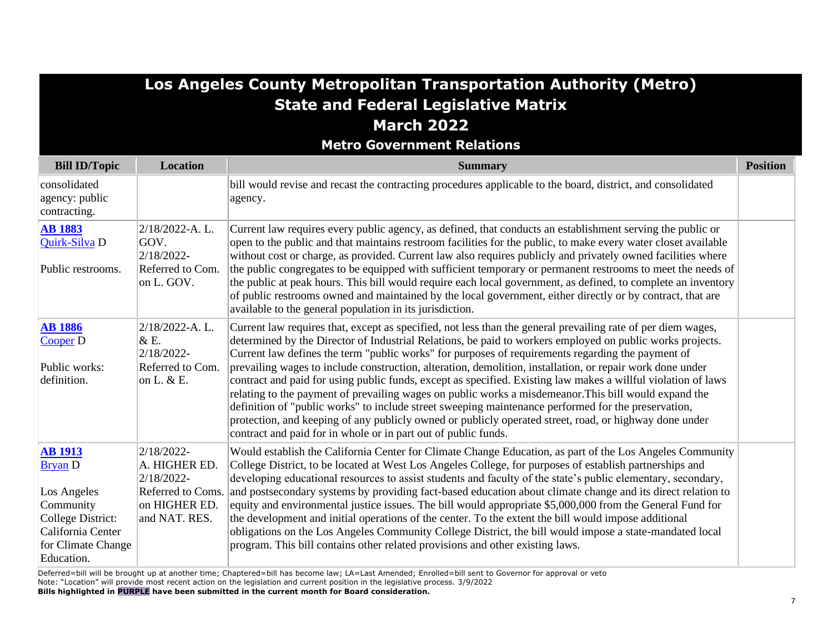## **Los Angeles County Metropolitan Transportation Authority (Metro) State and Federal Legislative Matrix March 2022**

**Metro Government Relations**

| <b>Bill ID/Topic</b>                                                                                                                       | <b>Location</b>                                                                                  | <b>Summary</b>                                                                                                                                                                                                                                                                                                                                                                                                                                                                                                                                                                                                                                                                                                                                                                                                                                                                                                                                           | <b>Position</b> |
|--------------------------------------------------------------------------------------------------------------------------------------------|--------------------------------------------------------------------------------------------------|----------------------------------------------------------------------------------------------------------------------------------------------------------------------------------------------------------------------------------------------------------------------------------------------------------------------------------------------------------------------------------------------------------------------------------------------------------------------------------------------------------------------------------------------------------------------------------------------------------------------------------------------------------------------------------------------------------------------------------------------------------------------------------------------------------------------------------------------------------------------------------------------------------------------------------------------------------|-----------------|
| consolidated<br>agency: public<br>contracting.                                                                                             |                                                                                                  | bill would revise and recast the contracting procedures applicable to the board, district, and consolidated<br>agency.                                                                                                                                                                                                                                                                                                                                                                                                                                                                                                                                                                                                                                                                                                                                                                                                                                   |                 |
| <b>AB 1883</b><br>Quirk-Silva D<br>Public restrooms.                                                                                       | 2/18/2022-A.L.<br>GOV.<br>2/18/2022-<br>Referred to Com.<br>on L. GOV.                           | Current law requires every public agency, as defined, that conducts an establishment serving the public or<br>open to the public and that maintains restroom facilities for the public, to make every water closet available<br>without cost or charge, as provided. Current law also requires publicly and privately owned facilities where<br>the public congregates to be equipped with sufficient temporary or permanent restrooms to meet the needs of<br>the public at peak hours. This bill would require each local government, as defined, to complete an inventory<br>of public restrooms owned and maintained by the local government, either directly or by contract, that are<br>available to the general population in its jurisdiction.                                                                                                                                                                                                   |                 |
| <b>AB</b> 1886<br>Cooper D<br>Public works:<br>definition.                                                                                 | 2/18/2022-A.L.<br>& E.<br>2/18/2022-<br>Referred to Com.<br>on L. & E.                           | Current law requires that, except as specified, not less than the general prevailing rate of per diem wages,<br>determined by the Director of Industrial Relations, be paid to workers employed on public works projects.<br>Current law defines the term "public works" for purposes of requirements regarding the payment of<br>prevailing wages to include construction, alteration, demolition, installation, or repair work done under<br>contract and paid for using public funds, except as specified. Existing law makes a willful violation of laws<br>relating to the payment of prevailing wages on public works a misdemeanor. This bill would expand the<br>definition of "public works" to include street sweeping maintenance performed for the preservation,<br>protection, and keeping of any publicly owned or publicly operated street, road, or highway done under<br>contract and paid for in whole or in part out of public funds. |                 |
| <b>AB</b> 1913<br><b>Bryan</b> D<br>Los Angeles<br>Community<br>College District:<br>California Center<br>for Climate Change<br>Education. | 2/18/2022-<br>A. HIGHER ED.<br>2/18/2022-<br>Referred to Coms.<br>on HIGHER ED.<br>and NAT. RES. | Would establish the California Center for Climate Change Education, as part of the Los Angeles Community<br>College District, to be located at West Los Angeles College, for purposes of establish partnerships and<br>developing educational resources to assist students and faculty of the state's public elementary, secondary,<br>and postsecondary systems by providing fact-based education about climate change and its direct relation to<br>equity and environmental justice issues. The bill would appropriate \$5,000,000 from the General Fund for<br>the development and initial operations of the center. To the extent the bill would impose additional<br>obligations on the Los Angeles Community College District, the bill would impose a state-mandated local<br>program. This bill contains other related provisions and other existing laws.                                                                                      |                 |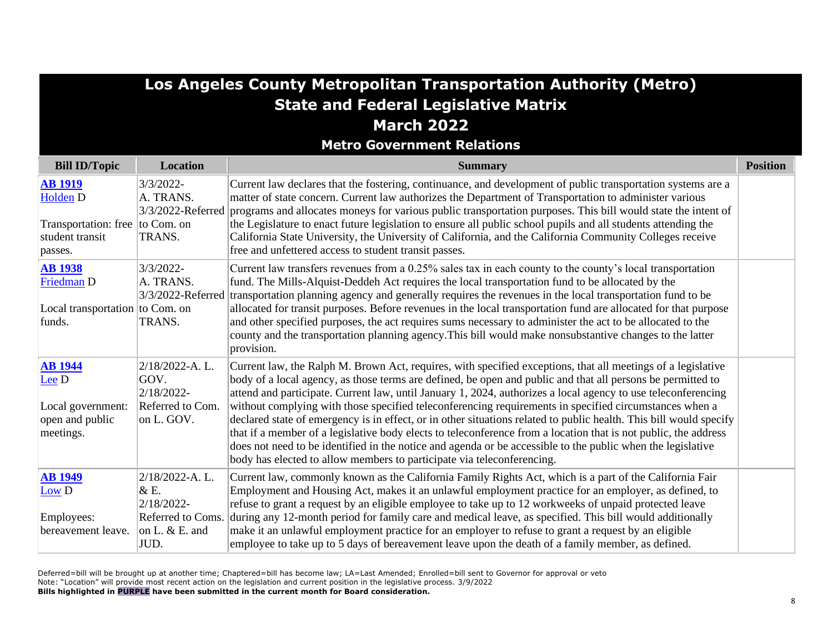| Los Angeles County Metropolitan Transportation Authority (Metro)             |                                                                                       |                                                                                                                                                                                                                                                                                                                                                                                                                                                                                                                                                                                                                                                                                                                                                                                                                                                                                          |                 |
|------------------------------------------------------------------------------|---------------------------------------------------------------------------------------|------------------------------------------------------------------------------------------------------------------------------------------------------------------------------------------------------------------------------------------------------------------------------------------------------------------------------------------------------------------------------------------------------------------------------------------------------------------------------------------------------------------------------------------------------------------------------------------------------------------------------------------------------------------------------------------------------------------------------------------------------------------------------------------------------------------------------------------------------------------------------------------|-----------------|
|                                                                              |                                                                                       | <b>State and Federal Legislative Matrix</b>                                                                                                                                                                                                                                                                                                                                                                                                                                                                                                                                                                                                                                                                                                                                                                                                                                              |                 |
|                                                                              |                                                                                       | <b>March 2022</b>                                                                                                                                                                                                                                                                                                                                                                                                                                                                                                                                                                                                                                                                                                                                                                                                                                                                        |                 |
|                                                                              |                                                                                       | <b>Metro Government Relations</b>                                                                                                                                                                                                                                                                                                                                                                                                                                                                                                                                                                                                                                                                                                                                                                                                                                                        |                 |
| <b>Bill ID/Topic</b>                                                         | <b>Location</b>                                                                       | <b>Summary</b>                                                                                                                                                                                                                                                                                                                                                                                                                                                                                                                                                                                                                                                                                                                                                                                                                                                                           | <b>Position</b> |
| <b>AB 1919</b><br><b>Holden D</b>                                            | $3/3/2022 -$<br>A. TRANS.                                                             | Current law declares that the fostering, continuance, and development of public transportation systems are a<br>matter of state concern. Current law authorizes the Department of Transportation to administer various<br>3/3/2022-Referred programs and allocates moneys for various public transportation purposes. This bill would state the intent of                                                                                                                                                                                                                                                                                                                                                                                                                                                                                                                                |                 |
| Transportation: free  to Com. on<br>student transit<br>passes.               | TRANS.                                                                                | the Legislature to enact future legislation to ensure all public school pupils and all students attending the<br>California State University, the University of California, and the California Community Colleges receive<br>free and unfettered access to student transit passes.                                                                                                                                                                                                                                                                                                                                                                                                                                                                                                                                                                                                       |                 |
| <b>AB</b> 1938<br>Friedman D<br>Local transportation to Com. on<br>funds.    | 3/3/2022-<br>A. TRANS.<br>TRANS.                                                      | Current law transfers revenues from a 0.25% sales tax in each county to the county's local transportation<br>fund. The Mills-Alquist-Deddeh Act requires the local transportation fund to be allocated by the<br>3/3/2022-Referred transportation planning agency and generally requires the revenues in the local transportation fund to be<br>allocated for transit purposes. Before revenues in the local transportation fund are allocated for that purpose<br>and other specified purposes, the act requires sums necessary to administer the act to be allocated to the<br>county and the transportation planning agency. This bill would make nonsubstantive changes to the latter<br>provision.                                                                                                                                                                                  |                 |
| <b>AB</b> 1944<br>Lee D<br>Local government:<br>open and public<br>meetings. | 2/18/2022-A.L.<br>GOV.<br>2/18/2022-<br>Referred to Com.<br>on L. GOV.                | Current law, the Ralph M. Brown Act, requires, with specified exceptions, that all meetings of a legislative<br>body of a local agency, as those terms are defined, be open and public and that all persons be permitted to<br>attend and participate. Current law, until January 1, 2024, authorizes a local agency to use teleconferencing<br>without complying with those specified teleconferencing requirements in specified circumstances when a<br>declared state of emergency is in effect, or in other situations related to public health. This bill would specify<br>that if a member of a legislative body elects to teleconference from a location that is not public, the address<br>does not need to be identified in the notice and agenda or be accessible to the public when the legislative<br>body has elected to allow members to participate via teleconferencing. |                 |
| <b>AB</b> 1949<br>Low D<br>Employees:<br>bereavement leave.                  | 2/18/2022-A.L.<br>& E.<br>2/18/2022-<br>Referred to Coms.<br>on L. $&$ E. and<br>JUD. | Current law, commonly known as the California Family Rights Act, which is a part of the California Fair<br>Employment and Housing Act, makes it an unlawful employment practice for an employer, as defined, to<br>refuse to grant a request by an eligible employee to take up to 12 workweeks of unpaid protected leave<br>during any 12-month period for family care and medical leave, as specified. This bill would additionally<br>make it an unlawful employment practice for an employer to refuse to grant a request by an eligible<br>employee to take up to 5 days of bereavement leave upon the death of a family member, as defined.                                                                                                                                                                                                                                        |                 |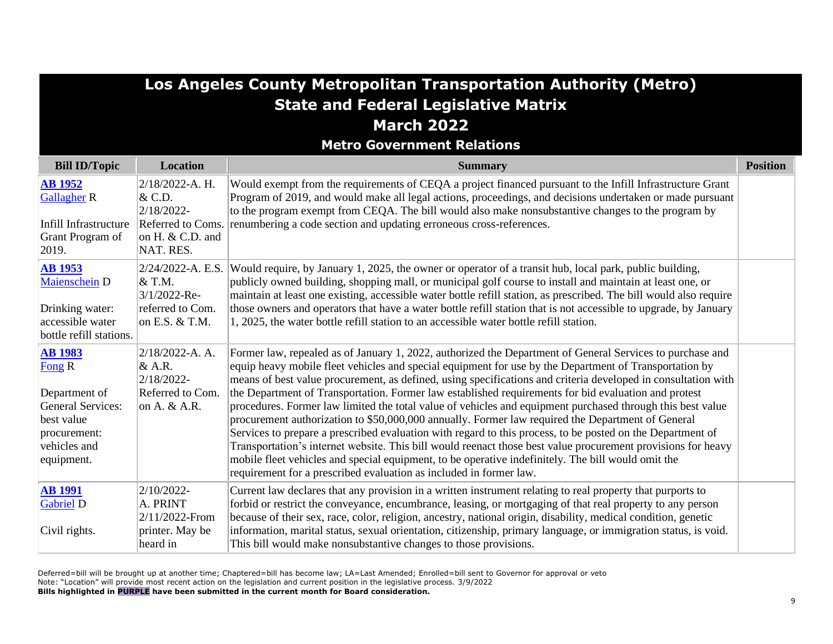|                                                                                                                            | Los Angeles County Metropolitan Transportation Authority (Metro)<br><b>State and Federal Legislative Matrix</b> |                                                                                                                                                                                                                                                                                                                                                                                                                                                                                                                                                                                                                                                                                                                                                                                                                                                                                                                                                                                                                                                                           |                 |  |
|----------------------------------------------------------------------------------------------------------------------------|-----------------------------------------------------------------------------------------------------------------|---------------------------------------------------------------------------------------------------------------------------------------------------------------------------------------------------------------------------------------------------------------------------------------------------------------------------------------------------------------------------------------------------------------------------------------------------------------------------------------------------------------------------------------------------------------------------------------------------------------------------------------------------------------------------------------------------------------------------------------------------------------------------------------------------------------------------------------------------------------------------------------------------------------------------------------------------------------------------------------------------------------------------------------------------------------------------|-----------------|--|
|                                                                                                                            |                                                                                                                 | <b>March 2022</b>                                                                                                                                                                                                                                                                                                                                                                                                                                                                                                                                                                                                                                                                                                                                                                                                                                                                                                                                                                                                                                                         |                 |  |
|                                                                                                                            |                                                                                                                 | <b>Metro Government Relations</b>                                                                                                                                                                                                                                                                                                                                                                                                                                                                                                                                                                                                                                                                                                                                                                                                                                                                                                                                                                                                                                         |                 |  |
| <b>Bill ID/Topic</b>                                                                                                       | <b>Location</b>                                                                                                 | <b>Summary</b>                                                                                                                                                                                                                                                                                                                                                                                                                                                                                                                                                                                                                                                                                                                                                                                                                                                                                                                                                                                                                                                            | <b>Position</b> |  |
| <b>AB 1952</b><br><b>Gallagher R</b><br>Infill Infrastructure<br>Grant Program of<br>2019.                                 | $2/18/2022-A. H.$<br>& C.D.<br>$2/18/2022$ -<br>Referred to Coms.<br>on H. $&$ C.D. and<br>NAT. RES.            | Would exempt from the requirements of CEQA a project financed pursuant to the Infill Infrastructure Grant<br>Program of 2019, and would make all legal actions, proceedings, and decisions undertaken or made pursuant<br>to the program exempt from CEQA. The bill would also make nonsubstantive changes to the program by<br>renumbering a code section and updating erroneous cross-references.                                                                                                                                                                                                                                                                                                                                                                                                                                                                                                                                                                                                                                                                       |                 |  |
| <b>AB</b> 1953<br>Maienschein D<br>Drinking water:<br>accessible water<br>bottle refill stations.                          | $2/24/2022-A. E.S.$<br>$\&$ T.M.<br>3/1/2022-Re-<br>referred to Com.<br>on E.S. $&$ T.M.                        | Would require, by January 1, 2025, the owner or operator of a transit hub, local park, public building,<br>publicly owned building, shopping mall, or municipal golf course to install and maintain at least one, or<br>maintain at least one existing, accessible water bottle refill station, as prescribed. The bill would also require<br>those owners and operators that have a water bottle refill station that is not accessible to upgrade, by January<br>1, 2025, the water bottle refill station to an accessible water bottle refill station.                                                                                                                                                                                                                                                                                                                                                                                                                                                                                                                  |                 |  |
| <b>AB 1983</b><br>Fong R<br>Department of<br>General Services:<br>best value<br>procurement:<br>vehicles and<br>equipment. | $2/18/2022-A. A.$<br>$\&$ A.R.<br>$2/18/2022$ -<br>Referred to Com.<br>on A. $&$ A.R.                           | Former law, repealed as of January 1, 2022, authorized the Department of General Services to purchase and<br>equip heavy mobile fleet vehicles and special equipment for use by the Department of Transportation by<br>means of best value procurement, as defined, using specifications and criteria developed in consultation with<br>the Department of Transportation. Former law established requirements for bid evaluation and protest<br>procedures. Former law limited the total value of vehicles and equipment purchased through this best value<br>procurement authorization to \$50,000,000 annually. Former law required the Department of General<br>Services to prepare a prescribed evaluation with regard to this process, to be posted on the Department of<br>Transportation's internet website. This bill would reenact those best value procurement provisions for heavy<br>mobile fleet vehicles and special equipment, to be operative indefinitely. The bill would omit the<br>requirement for a prescribed evaluation as included in former law. |                 |  |
| <b>AB 1991</b><br><b>Gabriel D</b><br>Civil rights.                                                                        | $2/10/2022$ -<br>A. PRINT<br>$2/11/2022$ -From<br>printer. May be<br>heard in                                   | Current law declares that any provision in a written instrument relating to real property that purports to<br>forbid or restrict the conveyance, encumbrance, leasing, or mortgaging of that real property to any person<br>because of their sex, race, color, religion, ancestry, national origin, disability, medical condition, genetic<br>information, marital status, sexual orientation, citizenship, primary language, or immigration status, is void.<br>This bill would make nonsubstantive changes to those provisions.                                                                                                                                                                                                                                                                                                                                                                                                                                                                                                                                         |                 |  |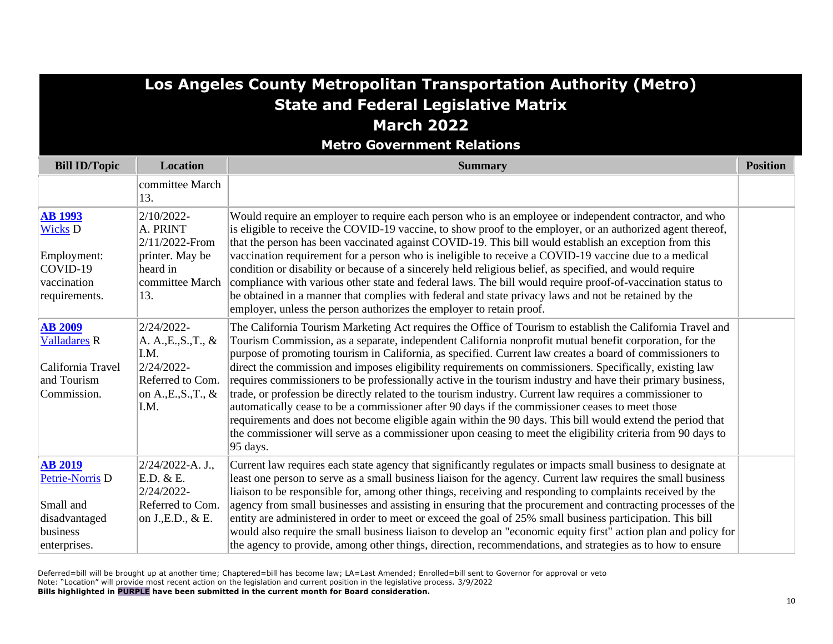# **Los Angeles County Metropolitan Transportation Authority (Metro) State and Federal Legislative Matrix March 2022**

**Metro Government Relations**

| <b>Bill ID/Topic</b>                                                                          | <b>Location</b>                                                                                                 | <b>Summary</b>                                                                                                                                                                                                                                                                                                                                                                                                                                                                                                                                                                                                                                                                                                                                                                                                                                                                                                                                                                                                                   | <b>Position</b> |
|-----------------------------------------------------------------------------------------------|-----------------------------------------------------------------------------------------------------------------|----------------------------------------------------------------------------------------------------------------------------------------------------------------------------------------------------------------------------------------------------------------------------------------------------------------------------------------------------------------------------------------------------------------------------------------------------------------------------------------------------------------------------------------------------------------------------------------------------------------------------------------------------------------------------------------------------------------------------------------------------------------------------------------------------------------------------------------------------------------------------------------------------------------------------------------------------------------------------------------------------------------------------------|-----------------|
|                                                                                               | committee March<br>13.                                                                                          |                                                                                                                                                                                                                                                                                                                                                                                                                                                                                                                                                                                                                                                                                                                                                                                                                                                                                                                                                                                                                                  |                 |
| <b>AB 1993</b><br><b>Wicks D</b><br>Employment:<br>$COVID-19$<br>vaccination<br>requirements. | 2/10/2022-<br>A. PRINT<br>2/11/2022-From<br>printer. May be<br>heard in<br>committee March<br>13.               | Would require an employer to require each person who is an employee or independent contractor, and who<br>is eligible to receive the COVID-19 vaccine, to show proof to the employer, or an authorized agent thereof,<br>that the person has been vaccinated against COVID-19. This bill would establish an exception from this<br>vaccination requirement for a person who is ineligible to receive a COVID-19 vaccine due to a medical<br>condition or disability or because of a sincerely held religious belief, as specified, and would require<br>compliance with various other state and federal laws. The bill would require proof-of-vaccination status to<br>be obtained in a manner that complies with federal and state privacy laws and not be retained by the<br>employer, unless the person authorizes the employer to retain proof.                                                                                                                                                                              |                 |
| <b>AB 2009</b><br><b>Valladares R</b><br>California Travel<br>and Tourism<br>Commission.      | 2/24/2022-<br>A. A., E., S., T., &<br>I.M.<br>2/24/2022-<br>Referred to Com.<br>on $A., E., S., T., \&$<br>I.M. | The California Tourism Marketing Act requires the Office of Tourism to establish the California Travel and<br>Tourism Commission, as a separate, independent California nonprofit mutual benefit corporation, for the<br>purpose of promoting tourism in California, as specified. Current law creates a board of commissioners to<br>direct the commission and imposes eligibility requirements on commissioners. Specifically, existing law<br>requires commissioners to be professionally active in the tourism industry and have their primary business,<br>trade, or profession be directly related to the tourism industry. Current law requires a commissioner to<br>automatically cease to be a commissioner after 90 days if the commissioner ceases to meet those<br>requirements and does not become eligible again within the 90 days. This bill would extend the period that<br>the commissioner will serve as a commissioner upon ceasing to meet the eligibility criteria from 90 days to<br>$ 95 \text{ days.} $ |                 |
| <b>AB 2019</b><br>Petrie-Norris D<br>Small and<br>disadvantaged<br>business<br>enterprises.   | $2/24/2022-A. J.,$<br>E.D. & E.<br>2/24/2022-<br>Referred to Com.<br>on J., E.D., & E.                          | Current law requires each state agency that significantly regulates or impacts small business to designate at<br>least one person to serve as a small business liaison for the agency. Current law requires the small business<br>liaison to be responsible for, among other things, receiving and responding to complaints received by the<br>agency from small businesses and assisting in ensuring that the procurement and contracting processes of the<br>entity are administered in order to meet or exceed the goal of 25% small business participation. This bill<br>would also require the small business liaison to develop an "economic equity first" action plan and policy for<br>the agency to provide, among other things, direction, recommendations, and strategies as to how to ensure                                                                                                                                                                                                                         |                 |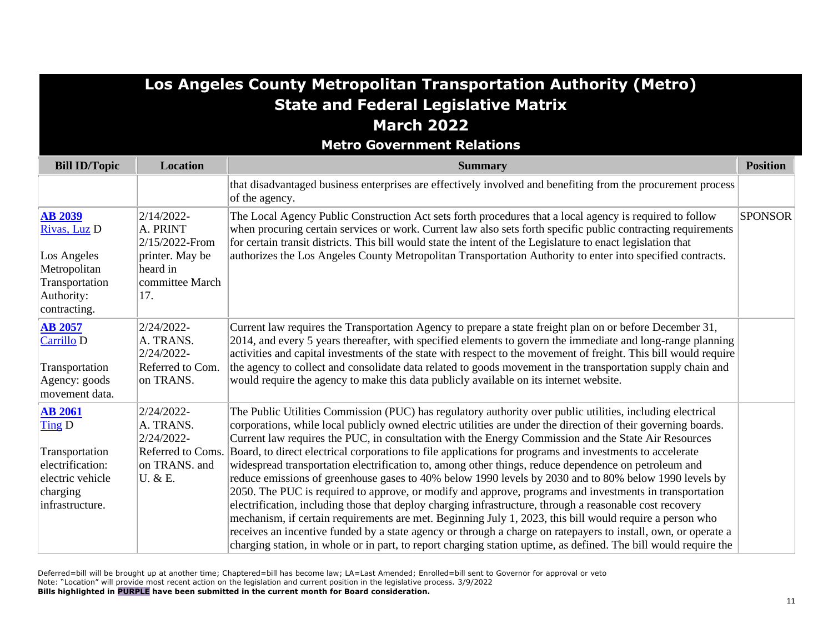### **Los Angeles County Metropolitan Transportation Authority (Metro) State and Federal Legislative Matrix March 2022**

#### **Metro Government Relations**

| <b>Bill ID/Topic</b>                                                                                              | <b>Location</b>                                                                                   | <b>Summary</b>                                                                                                                                                                                                                                                                                                                                                                                                                                                                                                                                                                                                                                                                                                                                                                                                                                                                                                                                                                                                                                                                                                                                                                                                                             | <b>Position</b> |
|-------------------------------------------------------------------------------------------------------------------|---------------------------------------------------------------------------------------------------|--------------------------------------------------------------------------------------------------------------------------------------------------------------------------------------------------------------------------------------------------------------------------------------------------------------------------------------------------------------------------------------------------------------------------------------------------------------------------------------------------------------------------------------------------------------------------------------------------------------------------------------------------------------------------------------------------------------------------------------------------------------------------------------------------------------------------------------------------------------------------------------------------------------------------------------------------------------------------------------------------------------------------------------------------------------------------------------------------------------------------------------------------------------------------------------------------------------------------------------------|-----------------|
|                                                                                                                   |                                                                                                   | that disadvantaged business enterprises are effectively involved and benefiting from the procurement process<br>of the agency.                                                                                                                                                                                                                                                                                                                                                                                                                                                                                                                                                                                                                                                                                                                                                                                                                                                                                                                                                                                                                                                                                                             |                 |
| <b>AB 2039</b><br>Rivas, Luz D<br>Los Angeles<br>Metropolitan<br>Transportation<br>Authority:<br>contracting.     | 2/14/2022-<br>A. PRINT<br>2/15/2022-From<br>printer. May be<br>heard in<br>committee March<br>17. | The Local Agency Public Construction Act sets forth procedures that a local agency is required to follow<br>when procuring certain services or work. Current law also sets forth specific public contracting requirements<br>for certain transit districts. This bill would state the intent of the Legislature to enact legislation that<br>authorizes the Los Angeles County Metropolitan Transportation Authority to enter into specified contracts.                                                                                                                                                                                                                                                                                                                                                                                                                                                                                                                                                                                                                                                                                                                                                                                    | <b>SPONSOR</b>  |
| <b>AB 2057</b><br>Carrillo D<br>Transportation<br>Agency: goods<br>movement data.                                 | 2/24/2022-<br>A. TRANS.<br>2/24/2022-<br>Referred to Com.<br>on TRANS.                            | Current law requires the Transportation Agency to prepare a state freight plan on or before December 31,<br>2014, and every 5 years thereafter, with specified elements to govern the immediate and long-range planning<br>activities and capital investments of the state with respect to the movement of freight. This bill would require<br>the agency to collect and consolidate data related to goods movement in the transportation supply chain and<br>would require the agency to make this data publicly available on its internet website.                                                                                                                                                                                                                                                                                                                                                                                                                                                                                                                                                                                                                                                                                       |                 |
| <b>AB 2061</b><br>Ting D<br>Transportation<br>electrification:<br>electric vehicle<br>charging<br>infrastructure. | 2/24/2022-<br>A. TRANS.<br>2/24/2022-<br>Referred to Coms.<br>on TRANS. and<br>U. & E.            | The Public Utilities Commission (PUC) has regulatory authority over public utilities, including electrical<br>corporations, while local publicly owned electric utilities are under the direction of their governing boards.<br>Current law requires the PUC, in consultation with the Energy Commission and the State Air Resources<br>Board, to direct electrical corporations to file applications for programs and investments to accelerate<br>widespread transportation electrification to, among other things, reduce dependence on petroleum and<br>reduce emissions of greenhouse gases to 40% below 1990 levels by 2030 and to 80% below 1990 levels by<br>2050. The PUC is required to approve, or modify and approve, programs and investments in transportation<br>electrification, including those that deploy charging infrastructure, through a reasonable cost recovery<br>mechanism, if certain requirements are met. Beginning July 1, 2023, this bill would require a person who<br>receives an incentive funded by a state agency or through a charge on ratepayers to install, own, or operate a<br>charging station, in whole or in part, to report charging station uptime, as defined. The bill would require the |                 |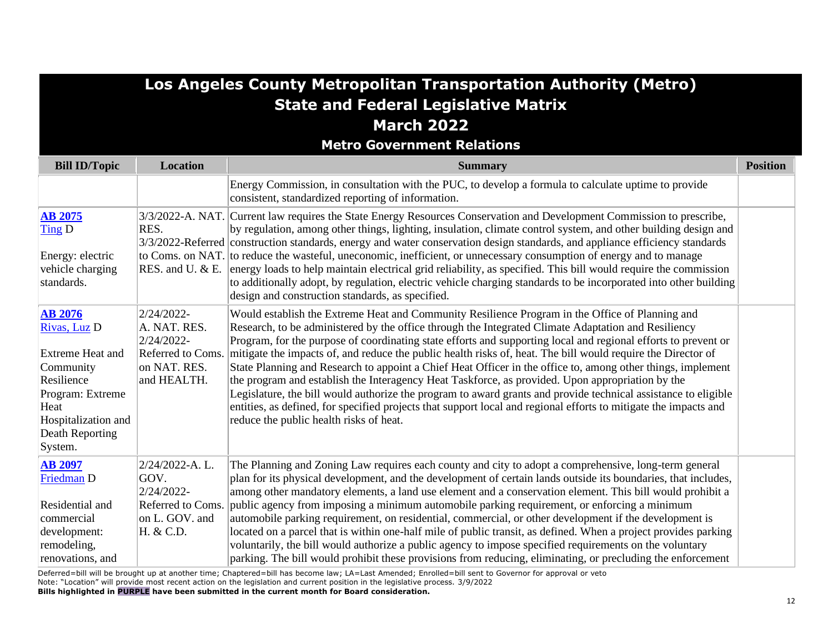| <b>Los Angeles County Metropolitan Transportation Authority (Metro)</b>                                                                             |                                                                                              |                                                                                                                                                                                                                                                                                                                                                                                                                                                                                                                                                                                                                                                                                                                                                                                                                                                                                                                                              |                 |
|-----------------------------------------------------------------------------------------------------------------------------------------------------|----------------------------------------------------------------------------------------------|----------------------------------------------------------------------------------------------------------------------------------------------------------------------------------------------------------------------------------------------------------------------------------------------------------------------------------------------------------------------------------------------------------------------------------------------------------------------------------------------------------------------------------------------------------------------------------------------------------------------------------------------------------------------------------------------------------------------------------------------------------------------------------------------------------------------------------------------------------------------------------------------------------------------------------------------|-----------------|
|                                                                                                                                                     |                                                                                              | <b>State and Federal Legislative Matrix</b>                                                                                                                                                                                                                                                                                                                                                                                                                                                                                                                                                                                                                                                                                                                                                                                                                                                                                                  |                 |
|                                                                                                                                                     |                                                                                              | <b>March 2022</b>                                                                                                                                                                                                                                                                                                                                                                                                                                                                                                                                                                                                                                                                                                                                                                                                                                                                                                                            |                 |
|                                                                                                                                                     |                                                                                              | <b>Metro Government Relations</b>                                                                                                                                                                                                                                                                                                                                                                                                                                                                                                                                                                                                                                                                                                                                                                                                                                                                                                            |                 |
| <b>Bill ID/Topic</b>                                                                                                                                | Location                                                                                     | <b>Summary</b>                                                                                                                                                                                                                                                                                                                                                                                                                                                                                                                                                                                                                                                                                                                                                                                                                                                                                                                               | <b>Position</b> |
|                                                                                                                                                     |                                                                                              | Energy Commission, in consultation with the PUC, to develop a formula to calculate uptime to provide<br>consistent, standardized reporting of information.                                                                                                                                                                                                                                                                                                                                                                                                                                                                                                                                                                                                                                                                                                                                                                                   |                 |
| <b>AB 2075</b><br>$\overline{\text{Ting}}$ D<br>Energy: electric<br>vehicle charging<br>standards.                                                  | RES.<br>RES. and U. & E.                                                                     | 3/3/2022-A. NAT. Current law requires the State Energy Resources Conservation and Development Commission to prescribe,<br>by regulation, among other things, lighting, insulation, climate control system, and other building design and<br>3/3/2022-Referred construction standards, energy and water conservation design standards, and appliance efficiency standards<br>to Coms. on NAT. to reduce the wasteful, uneconomic, inefficient, or unnecessary consumption of energy and to manage<br>energy loads to help maintain electrical grid reliability, as specified. This bill would require the commission<br>to additionally adopt, by regulation, electric vehicle charging standards to be incorporated into other building<br>design and construction standards, as specified.                                                                                                                                                  |                 |
| <b>AB 2076</b><br>Rivas, Luz D<br>Extreme Heat and<br>Community<br>Resilience<br>Program: Extreme<br>Heat<br>Hospitalization and<br>Death Reporting | 2/24/2022-<br>A. NAT. RES.<br>2/24/2022-<br>Referred to Coms.<br>on NAT. RES.<br>and HEALTH. | Would establish the Extreme Heat and Community Resilience Program in the Office of Planning and<br>Research, to be administered by the office through the Integrated Climate Adaptation and Resiliency<br>Program, for the purpose of coordinating state efforts and supporting local and regional efforts to prevent or<br>mitigate the impacts of, and reduce the public health risks of, heat. The bill would require the Director of<br>State Planning and Research to appoint a Chief Heat Officer in the office to, among other things, implement<br>the program and establish the Interagency Heat Taskforce, as provided. Upon appropriation by the<br>Legislature, the bill would authorize the program to award grants and provide technical assistance to eligible<br>entities, as defined, for specified projects that support local and regional efforts to mitigate the impacts and<br>reduce the public health risks of heat. |                 |

| <b>AB 2097</b>   | $2/24/2022-A. L.$ | The Planning and Zoning Law requires each county and city to adopt a comprehensive, long-term general           |  |
|------------------|-------------------|-----------------------------------------------------------------------------------------------------------------|--|
| Friedman D       | GOV.              | plan for its physical development, and the development of certain lands outside its boundaries, that includes,  |  |
|                  | 2/24/2022-        | among other mandatory elements, a land use element and a conservation element. This bill would prohibit a       |  |
| Residential and  |                   | Referred to Coms. public agency from imposing a minimum automobile parking requirement, or enforcing a minimum  |  |
| commercial       | on L. GOV. and    | automobile parking requirement, on residential, commercial, or other development if the development is          |  |
| development:     | H. & C.D.         | located on a parcel that is within one-half mile of public transit, as defined. When a project provides parking |  |
| remodeling,      |                   | voluntarily, the bill would authorize a public agency to impose specified requirements on the voluntary         |  |
| renovations, and |                   | parking. The bill would prohibit these provisions from reducing, eliminating, or precluding the enforcement     |  |

System.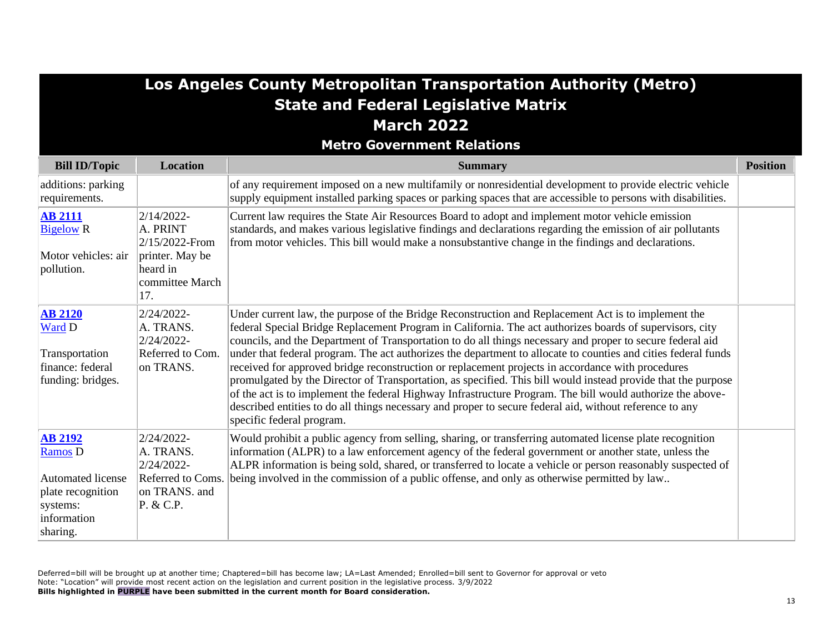|                                                                                                                          |                                                                                                   | Los Angeles County Metropolitan Transportation Authority (Metro)<br><b>State and Federal Legislative Matrix</b>                                                                                                                                                                                                                                                                                                                                                                                                                                                                                                                                                                                                                                                                                                                                                                                                              |                 |
|--------------------------------------------------------------------------------------------------------------------------|---------------------------------------------------------------------------------------------------|------------------------------------------------------------------------------------------------------------------------------------------------------------------------------------------------------------------------------------------------------------------------------------------------------------------------------------------------------------------------------------------------------------------------------------------------------------------------------------------------------------------------------------------------------------------------------------------------------------------------------------------------------------------------------------------------------------------------------------------------------------------------------------------------------------------------------------------------------------------------------------------------------------------------------|-----------------|
|                                                                                                                          |                                                                                                   | <b>March 2022</b>                                                                                                                                                                                                                                                                                                                                                                                                                                                                                                                                                                                                                                                                                                                                                                                                                                                                                                            |                 |
|                                                                                                                          |                                                                                                   | <b>Metro Government Relations</b>                                                                                                                                                                                                                                                                                                                                                                                                                                                                                                                                                                                                                                                                                                                                                                                                                                                                                            |                 |
| <b>Bill ID/Topic</b>                                                                                                     | <b>Location</b>                                                                                   | <b>Summary</b>                                                                                                                                                                                                                                                                                                                                                                                                                                                                                                                                                                                                                                                                                                                                                                                                                                                                                                               | <b>Position</b> |
| additions: parking<br>requirements.                                                                                      |                                                                                                   | of any requirement imposed on a new multifamily or nonresidential development to provide electric vehicle<br>supply equipment installed parking spaces or parking spaces that are accessible to persons with disabilities.                                                                                                                                                                                                                                                                                                                                                                                                                                                                                                                                                                                                                                                                                                   |                 |
| <b>AB 2111</b><br><b>Bigelow R</b><br>Motor vehicles: air<br>pollution.                                                  | 2/14/2022-<br>A. PRINT<br>2/15/2022-From<br>printer. May be<br>heard in<br>committee March<br>17. | Current law requires the State Air Resources Board to adopt and implement motor vehicle emission<br>standards, and makes various legislative findings and declarations regarding the emission of air pollutants<br>from motor vehicles. This bill would make a nonsubstantive change in the findings and declarations.                                                                                                                                                                                                                                                                                                                                                                                                                                                                                                                                                                                                       |                 |
| <b>AB 2120</b><br>Ward D<br>Transportation<br>finance: federal<br>funding: bridges.                                      | 2/24/2022-<br>A. TRANS.<br>2/24/2022-<br>Referred to Com.<br>on TRANS.                            | Under current law, the purpose of the Bridge Reconstruction and Replacement Act is to implement the<br>federal Special Bridge Replacement Program in California. The act authorizes boards of supervisors, city<br>councils, and the Department of Transportation to do all things necessary and proper to secure federal aid<br>under that federal program. The act authorizes the department to allocate to counties and cities federal funds<br>received for approved bridge reconstruction or replacement projects in accordance with procedures<br>promulgated by the Director of Transportation, as specified. This bill would instead provide that the purpose<br>of the act is to implement the federal Highway Infrastructure Program. The bill would authorize the above-<br>described entities to do all things necessary and proper to secure federal aid, without reference to any<br>specific federal program. |                 |
| <b>AB 2192</b><br><b>Ramos D</b><br><b>Automated license</b><br>plate recognition<br>systems:<br>information<br>sharing. | 2/24/2022-<br>A. TRANS.<br>2/24/2022-<br>Referred to Coms<br>on TRANS. and<br>P. & C.P.           | Would prohibit a public agency from selling, sharing, or transferring automated license plate recognition<br>information (ALPR) to a law enforcement agency of the federal government or another state, unless the<br>ALPR information is being sold, shared, or transferred to locate a vehicle or person reasonably suspected of<br>being involved in the commission of a public offense, and only as otherwise permitted by law                                                                                                                                                                                                                                                                                                                                                                                                                                                                                           |                 |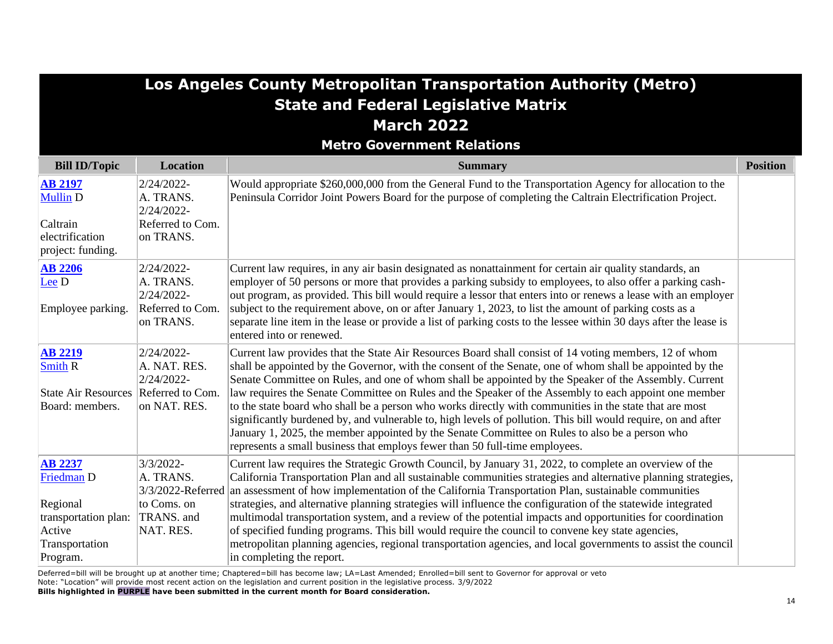|                                                                                                          |                                                                        | Los Angeles County Metropolitan Transportation Authority (Metro)<br><b>State and Federal Legislative Matrix</b><br><b>March 2022</b>                                                                                                                                                                                                                                                                                                                                                                                                                                                                                                                                                                                                                                                                                                               |                 |
|----------------------------------------------------------------------------------------------------------|------------------------------------------------------------------------|----------------------------------------------------------------------------------------------------------------------------------------------------------------------------------------------------------------------------------------------------------------------------------------------------------------------------------------------------------------------------------------------------------------------------------------------------------------------------------------------------------------------------------------------------------------------------------------------------------------------------------------------------------------------------------------------------------------------------------------------------------------------------------------------------------------------------------------------------|-----------------|
| <b>Bill ID/Topic</b>                                                                                     | <b>Location</b>                                                        | <b>Metro Government Relations</b><br><b>Summary</b>                                                                                                                                                                                                                                                                                                                                                                                                                                                                                                                                                                                                                                                                                                                                                                                                | <b>Position</b> |
| <b>AB 2197</b><br><b>Mullin D</b><br>Caltrain<br>electrification                                         | 2/24/2022-<br>A. TRANS.<br>2/24/2022-<br>Referred to Com.<br>on TRANS. | Would appropriate \$260,000,000 from the General Fund to the Transportation Agency for allocation to the<br>Peninsula Corridor Joint Powers Board for the purpose of completing the Caltrain Electrification Project.                                                                                                                                                                                                                                                                                                                                                                                                                                                                                                                                                                                                                              |                 |
| project: funding.<br><b>AB 2206</b><br>$Lee D$<br>Employee parking.                                      | 2/24/2022-<br>A. TRANS.<br>2/24/2022-<br>Referred to Com.<br>on TRANS. | Current law requires, in any air basin designated as nonattainment for certain air quality standards, an<br>employer of 50 persons or more that provides a parking subsidy to employees, to also offer a parking cash-<br>out program, as provided. This bill would require a lessor that enters into or renews a lease with an employer<br>subject to the requirement above, on or after January 1, 2023, to list the amount of parking costs as a<br>separate line item in the lease or provide a list of parking costs to the lessee within 30 days after the lease is<br>entered into or renewed.                                                                                                                                                                                                                                              |                 |
| <b>AB 2219</b><br><b>Smith R</b><br>State Air Resources Referred to Com.<br>Board: members.              | 2/24/2022-<br>A. NAT. RES.<br>2/24/2022-<br>on NAT. RES.               | Current law provides that the State Air Resources Board shall consist of 14 voting members, 12 of whom<br>shall be appointed by the Governor, with the consent of the Senate, one of whom shall be appointed by the<br>Senate Committee on Rules, and one of whom shall be appointed by the Speaker of the Assembly. Current<br>law requires the Senate Committee on Rules and the Speaker of the Assembly to each appoint one member<br>to the state board who shall be a person who works directly with communities in the state that are most<br>significantly burdened by, and vulnerable to, high levels of pollution. This bill would require, on and after<br>January 1, 2025, the member appointed by the Senate Committee on Rules to also be a person who<br>represents a small business that employs fewer than 50 full-time employees. |                 |
| <b>AB 2237</b><br>Friedman D<br>Regional<br>transportation plan:<br>Active<br>Transportation<br>Program. | 3/3/2022-<br>A. TRANS.<br>to Coms. on<br>TRANS. and<br>NAT. RES.       | Current law requires the Strategic Growth Council, by January 31, 2022, to complete an overview of the<br>California Transportation Plan and all sustainable communities strategies and alternative planning strategies,<br>3/3/2022-Referred an assessment of how implementation of the California Transportation Plan, sustainable communities<br>strategies, and alternative planning strategies will influence the configuration of the statewide integrated<br>multimodal transportation system, and a review of the potential impacts and opportunities for coordination<br>of specified funding programs. This bill would require the council to convene key state agencies,<br>metropolitan planning agencies, regional transportation agencies, and local governments to assist the council<br>in completing the report.                  |                 |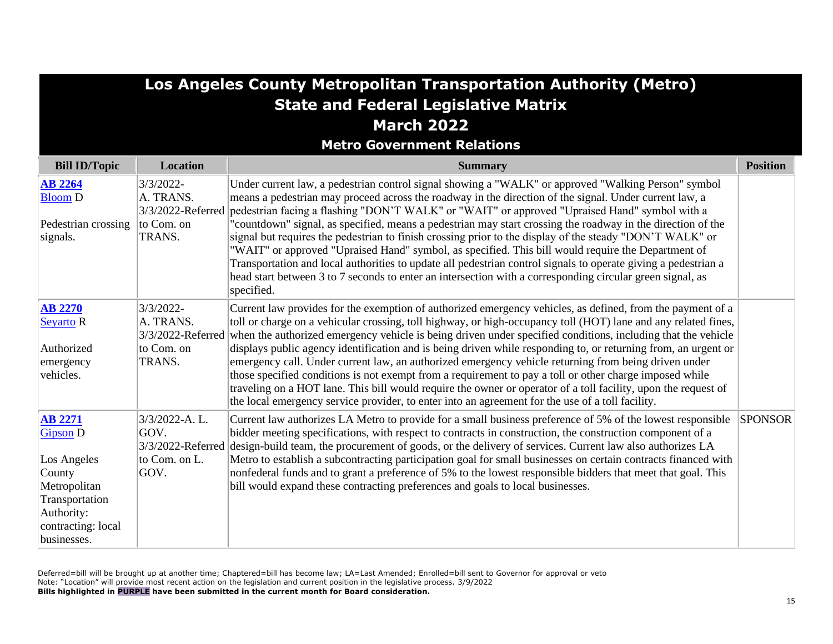|                                                                                                                                                 |                                                                     | Los Angeles County Metropolitan Transportation Authority (Metro)                                                                                                                                                                                                                                                                                                                                                                                                                                                                                                                                                                                                                                                                                                                                                                                                                                                          |                 |
|-------------------------------------------------------------------------------------------------------------------------------------------------|---------------------------------------------------------------------|---------------------------------------------------------------------------------------------------------------------------------------------------------------------------------------------------------------------------------------------------------------------------------------------------------------------------------------------------------------------------------------------------------------------------------------------------------------------------------------------------------------------------------------------------------------------------------------------------------------------------------------------------------------------------------------------------------------------------------------------------------------------------------------------------------------------------------------------------------------------------------------------------------------------------|-----------------|
|                                                                                                                                                 |                                                                     | <b>State and Federal Legislative Matrix</b>                                                                                                                                                                                                                                                                                                                                                                                                                                                                                                                                                                                                                                                                                                                                                                                                                                                                               |                 |
|                                                                                                                                                 |                                                                     | <b>March 2022</b>                                                                                                                                                                                                                                                                                                                                                                                                                                                                                                                                                                                                                                                                                                                                                                                                                                                                                                         |                 |
|                                                                                                                                                 |                                                                     | <b>Metro Government Relations</b>                                                                                                                                                                                                                                                                                                                                                                                                                                                                                                                                                                                                                                                                                                                                                                                                                                                                                         |                 |
| <b>Bill ID/Topic</b>                                                                                                                            | Location                                                            | <b>Summary</b>                                                                                                                                                                                                                                                                                                                                                                                                                                                                                                                                                                                                                                                                                                                                                                                                                                                                                                            | <b>Position</b> |
| <b>AB 2264</b><br><b>Bloom D</b>                                                                                                                | 3/3/2022-<br>A. TRANS.                                              | Under current law, a pedestrian control signal showing a "WALK" or approved "Walking Person" symbol<br>means a pedestrian may proceed across the roadway in the direction of the signal. Under current law, a<br>3/3/2022-Referred pedestrian facing a flashing "DON'T WALK" or "WAIT" or approved "Upraised Hand" symbol with a                                                                                                                                                                                                                                                                                                                                                                                                                                                                                                                                                                                          |                 |
| Pedestrian crossing<br>signals.                                                                                                                 | to Com. on<br>TRANS.                                                | "countdown" signal, as specified, means a pedestrian may start crossing the roadway in the direction of the<br>signal but requires the pedestrian to finish crossing prior to the display of the steady "DON'T WALK" or<br>"WAIT" or approved "Upraised Hand" symbol, as specified. This bill would require the Department of<br>Transportation and local authorities to update all pedestrian control signals to operate giving a pedestrian a<br>head start between 3 to 7 seconds to enter an intersection with a corresponding circular green signal, as<br>specified.                                                                                                                                                                                                                                                                                                                                                |                 |
| <b>AB 2270</b><br>Seyarto R<br>Authorized<br>emergency<br>vehicles.                                                                             | 3/3/2022-<br>A. TRANS.<br>to Com. on<br>TRANS.                      | Current law provides for the exemption of authorized emergency vehicles, as defined, from the payment of a<br>toll or charge on a vehicular crossing, toll highway, or high-occupancy toll (HOT) lane and any related fines,<br>3/3/2022-Referred when the authorized emergency vehicle is being driven under specified conditions, including that the vehicle<br>displays public agency identification and is being driven while responding to, or returning from, an urgent or<br>emergency call. Under current law, an authorized emergency vehicle returning from being driven under<br>those specified conditions is not exempt from a requirement to pay a toll or other charge imposed while<br>traveling on a HOT lane. This bill would require the owner or operator of a toll facility, upon the request of<br>the local emergency service provider, to enter into an agreement for the use of a toll facility. |                 |
| <b>AB 2271</b><br><b>Gipson D</b><br>Los Angeles<br>County<br>Metropolitan<br>Transportation<br>Authority:<br>contracting: local<br>businesses. | 3/3/2022-A.L.<br>GOV.<br>3/3/2022-Referred<br>to Com. on L.<br>GOV. | Current law authorizes LA Metro to provide for a small business preference of 5% of the lowest responsible<br>bidder meeting specifications, with respect to contracts in construction, the construction component of a<br>design-build team, the procurement of goods, or the delivery of services. Current law also authorizes LA<br>Metro to establish a subcontracting participation goal for small businesses on certain contracts financed with<br>nonfederal funds and to grant a preference of 5% to the lowest responsible bidders that meet that goal. This<br>bill would expand these contracting preferences and goals to local businesses.                                                                                                                                                                                                                                                                   | <b>SPONSOR</b>  |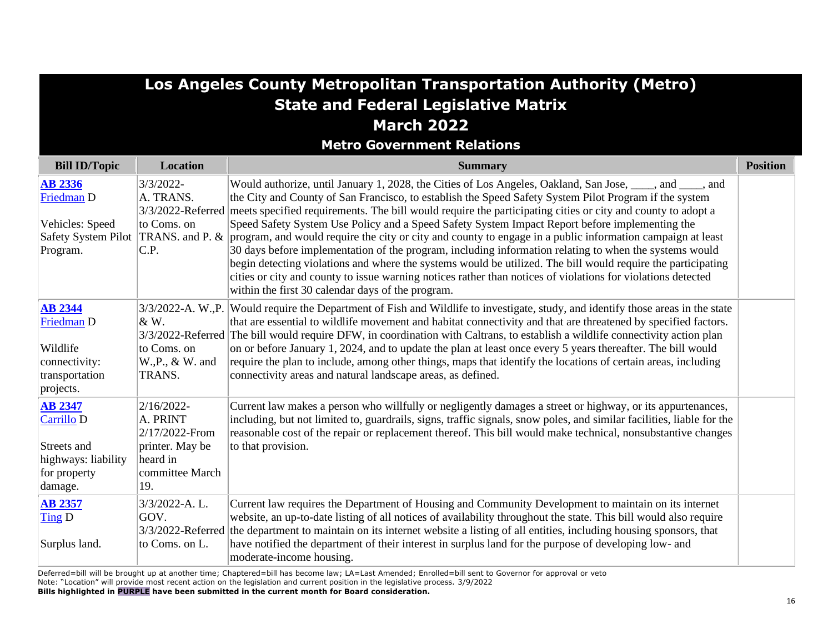|                                                                                                 |                                                                                                   | Los Angeles County Metropolitan Transportation Authority (Metro)                                                                                                                                                                                                                                                                                                                                                                                                                                                                                                                                                                                                                                                                                                                                                                                                                                                                                                                                        |                 |
|-------------------------------------------------------------------------------------------------|---------------------------------------------------------------------------------------------------|---------------------------------------------------------------------------------------------------------------------------------------------------------------------------------------------------------------------------------------------------------------------------------------------------------------------------------------------------------------------------------------------------------------------------------------------------------------------------------------------------------------------------------------------------------------------------------------------------------------------------------------------------------------------------------------------------------------------------------------------------------------------------------------------------------------------------------------------------------------------------------------------------------------------------------------------------------------------------------------------------------|-----------------|
|                                                                                                 |                                                                                                   | <b>State and Federal Legislative Matrix</b>                                                                                                                                                                                                                                                                                                                                                                                                                                                                                                                                                                                                                                                                                                                                                                                                                                                                                                                                                             |                 |
|                                                                                                 |                                                                                                   | <b>March 2022</b>                                                                                                                                                                                                                                                                                                                                                                                                                                                                                                                                                                                                                                                                                                                                                                                                                                                                                                                                                                                       |                 |
|                                                                                                 |                                                                                                   | <b>Metro Government Relations</b>                                                                                                                                                                                                                                                                                                                                                                                                                                                                                                                                                                                                                                                                                                                                                                                                                                                                                                                                                                       |                 |
| <b>Bill ID/Topic</b>                                                                            | <b>Location</b>                                                                                   | <b>Summary</b>                                                                                                                                                                                                                                                                                                                                                                                                                                                                                                                                                                                                                                                                                                                                                                                                                                                                                                                                                                                          | <b>Position</b> |
| <b>AB 2336</b><br><b>Friedman D</b><br>Vehicles: Speed<br>Program.                              | $3/3/2022 -$<br>A. TRANS.<br>to Coms. on<br>C.P.                                                  | Would authorize, until January 1, 2028, the Cities of Los Angeles, Oakland, San Jose, ____, and ____, and<br>the City and County of San Francisco, to establish the Speed Safety System Pilot Program if the system<br>3/3/2022-Referred meets specified requirements. The bill would require the participating cities or city and county to adopt a<br>Speed Safety System Use Policy and a Speed Safety System Impact Report before implementing the<br>Safety System Pilot TRANS. and P. & program, and would require the city or city and county to engage in a public information campaign at least<br>30 days before implementation of the program, including information relating to when the systems would<br>begin detecting violations and where the systems would be utilized. The bill would require the participating<br>cities or city and county to issue warning notices rather than notices of violations for violations detected<br>within the first 30 calendar days of the program. |                 |
| <b>AB 2344</b><br><b>Friedman D</b><br>Wildlife<br>connectivity:<br>transportation<br>projects. | & W.<br>to Coms. on<br>W., P., & W. and<br>TRANS.                                                 | 3/3/2022-A. W., P. Would require the Department of Fish and Wildlife to investigate, study, and identify those areas in the state<br>that are essential to wildlife movement and habitat connectivity and that are threatened by specified factors.<br>3/3/2022-Referred The bill would require DFW, in coordination with Caltrans, to establish a wildlife connectivity action plan<br>on or before January 1, 2024, and to update the plan at least once every 5 years thereafter. The bill would<br>require the plan to include, among other things, maps that identify the locations of certain areas, including<br>connectivity areas and natural landscape areas, as defined.                                                                                                                                                                                                                                                                                                                     |                 |
| <b>AB 2347</b><br>Carrillo D<br>Streets and<br>highways: liability<br>for property<br>damage.   | 2/16/2022-<br>A. PRINT<br>2/17/2022-From<br>printer. May be<br>heard in<br>committee March<br>19. | Current law makes a person who willfully or negligently damages a street or highway, or its appurtenances,<br>including, but not limited to, guardrails, signs, traffic signals, snow poles, and similar facilities, liable for the<br>reasonable cost of the repair or replacement thereof. This bill would make technical, nonsubstantive changes<br>to that provision.                                                                                                                                                                                                                                                                                                                                                                                                                                                                                                                                                                                                                               |                 |
| <b>AB 2357</b><br>Ting D<br>Surplus land.                                                       | 3/3/2022-A.L.<br>GOV.<br>to Coms. on L.                                                           | Current law requires the Department of Housing and Community Development to maintain on its internet<br>website, an up-to-date listing of all notices of availability throughout the state. This bill would also require<br>3/3/2022-Referred the department to maintain on its internet website a listing of all entities, including housing sponsors, that<br>have notified the department of their interest in surplus land for the purpose of developing low- and<br>moderate-income housing.                                                                                                                                                                                                                                                                                                                                                                                                                                                                                                       |                 |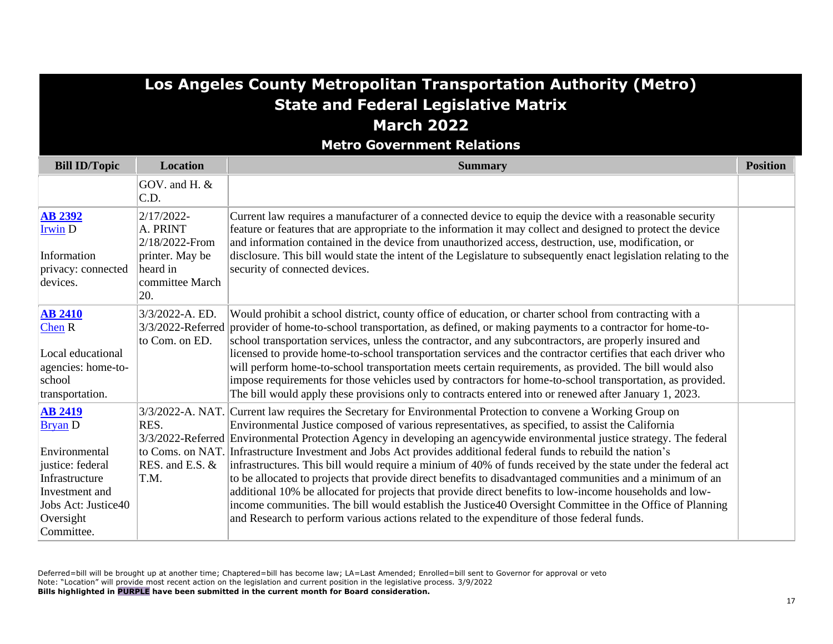# **Los Angeles County Metropolitan Transportation Authority (Metro) State and Federal Legislative Matrix March 2022**

**Metro Government Relations**

| <b>Bill ID/Topic</b>                                                                                                                                        | <b>Location</b>                                                                                   | <b>Summary</b>                                                                                                                                                                                                                                                                                                                                                                                                                                                                                                                                                                                                                                                                                                                                                                                                                                                                                                                                                                                                            | <b>Position</b> |
|-------------------------------------------------------------------------------------------------------------------------------------------------------------|---------------------------------------------------------------------------------------------------|---------------------------------------------------------------------------------------------------------------------------------------------------------------------------------------------------------------------------------------------------------------------------------------------------------------------------------------------------------------------------------------------------------------------------------------------------------------------------------------------------------------------------------------------------------------------------------------------------------------------------------------------------------------------------------------------------------------------------------------------------------------------------------------------------------------------------------------------------------------------------------------------------------------------------------------------------------------------------------------------------------------------------|-----------------|
|                                                                                                                                                             | GOV. and H. &<br>C.D.                                                                             |                                                                                                                                                                                                                                                                                                                                                                                                                                                                                                                                                                                                                                                                                                                                                                                                                                                                                                                                                                                                                           |                 |
| <b>AB 2392</b><br><b>Irwin D</b><br>Information<br>privacy: connected<br>devices.                                                                           | 2/17/2022-<br>A. PRINT<br>2/18/2022-From<br>printer. May be<br>heard in<br>committee March<br>20. | Current law requires a manufacturer of a connected device to equip the device with a reasonable security<br>feature or features that are appropriate to the information it may collect and designed to protect the device<br>and information contained in the device from unauthorized access, destruction, use, modification, or<br>disclosure. This bill would state the intent of the Legislature to subsequently enact legislation relating to the<br>security of connected devices.                                                                                                                                                                                                                                                                                                                                                                                                                                                                                                                                  |                 |
| <b>AB 2410</b><br>$Chen R$<br>Local educational<br>agencies: home-to-<br>school<br>transportation.                                                          | 3/3/2022-A. ED.<br>3/3/2022-Referred<br>to Com. on ED.                                            | Would prohibit a school district, county office of education, or charter school from contracting with a<br>provider of home-to-school transportation, as defined, or making payments to a contractor for home-to-<br>school transportation services, unless the contractor, and any subcontractors, are properly insured and<br>licensed to provide home-to-school transportation services and the contractor certifies that each driver who<br>will perform home-to-school transportation meets certain requirements, as provided. The bill would also<br>impose requirements for those vehicles used by contractors for home-to-school transportation, as provided.<br>The bill would apply these provisions only to contracts entered into or renewed after January 1, 2023.                                                                                                                                                                                                                                           |                 |
| <b>AB 2419</b><br><b>Bryan</b> D<br>Environmental<br>justice: federal<br>Infrastructure<br>Investment and<br>Jobs Act: Justice40<br>Oversight<br>Committee. | RES.<br>RES. and E.S. &<br>T.M.                                                                   | 3/3/2022-A. NAT. Current law requires the Secretary for Environmental Protection to convene a Working Group on<br>Environmental Justice composed of various representatives, as specified, to assist the California<br>3/3/2022-Referred Environmental Protection Agency in developing an agencywide environmental justice strategy. The federal<br>to Coms. on NAT. Infrastructure Investment and Jobs Act provides additional federal funds to rebuild the nation's<br>infrastructures. This bill would require a minium of 40% of funds received by the state under the federal act<br>to be allocated to projects that provide direct benefits to disadvantaged communities and a minimum of an<br>additional 10% be allocated for projects that provide direct benefits to low-income households and low-<br>income communities. The bill would establish the Justice 40 Oversight Committee in the Office of Planning<br>and Research to perform various actions related to the expenditure of those federal funds. |                 |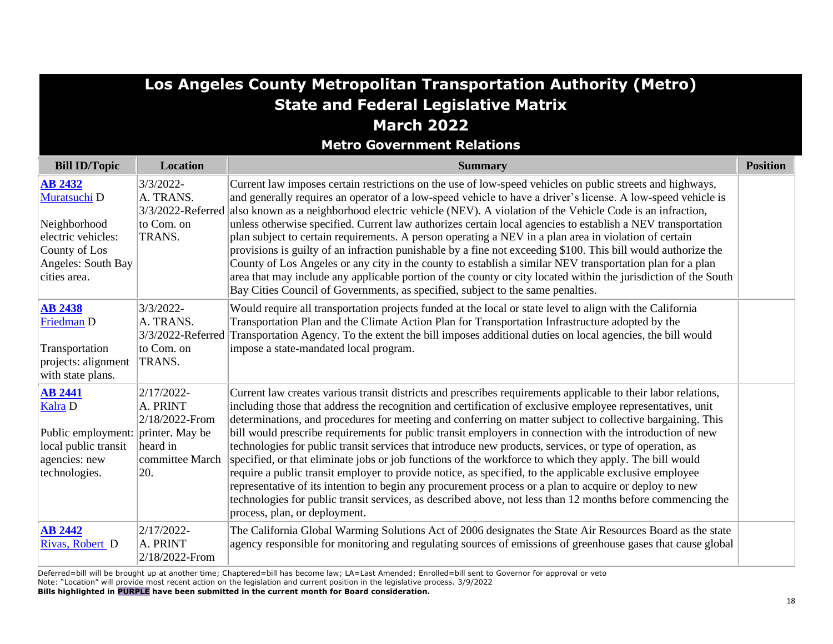|                                                                                                                             | Los Angeles County Metropolitan Transportation Authority (Metro)                  |                                                                                                                                                                                                                                                                                                                                                                                                                                                                                                                                                                                                                                                                                                                                                                                                                                                                                                                                                                                                                                                     |                 |  |
|-----------------------------------------------------------------------------------------------------------------------------|-----------------------------------------------------------------------------------|-----------------------------------------------------------------------------------------------------------------------------------------------------------------------------------------------------------------------------------------------------------------------------------------------------------------------------------------------------------------------------------------------------------------------------------------------------------------------------------------------------------------------------------------------------------------------------------------------------------------------------------------------------------------------------------------------------------------------------------------------------------------------------------------------------------------------------------------------------------------------------------------------------------------------------------------------------------------------------------------------------------------------------------------------------|-----------------|--|
|                                                                                                                             |                                                                                   | <b>State and Federal Legislative Matrix</b>                                                                                                                                                                                                                                                                                                                                                                                                                                                                                                                                                                                                                                                                                                                                                                                                                                                                                                                                                                                                         |                 |  |
|                                                                                                                             |                                                                                   | <b>March 2022</b>                                                                                                                                                                                                                                                                                                                                                                                                                                                                                                                                                                                                                                                                                                                                                                                                                                                                                                                                                                                                                                   |                 |  |
|                                                                                                                             |                                                                                   | <b>Metro Government Relations</b>                                                                                                                                                                                                                                                                                                                                                                                                                                                                                                                                                                                                                                                                                                                                                                                                                                                                                                                                                                                                                   |                 |  |
| <b>Bill ID/Topic</b>                                                                                                        | Location                                                                          | <b>Summary</b>                                                                                                                                                                                                                                                                                                                                                                                                                                                                                                                                                                                                                                                                                                                                                                                                                                                                                                                                                                                                                                      | <b>Position</b> |  |
| <b>AB 2432</b><br>Muratsuchi D<br>Neighborhood<br>electric vehicles:<br>County of Los<br>Angeles: South Bay<br>cities area. | $3/3/2022 -$<br>A. TRANS.<br>to Com. on<br>TRANS.                                 | Current law imposes certain restrictions on the use of low-speed vehicles on public streets and highways,<br>and generally requires an operator of a low-speed vehicle to have a driver's license. A low-speed vehicle is<br>3/3/2022-Referred also known as a neighborhood electric vehicle (NEV). A violation of the Vehicle Code is an infraction,<br>unless otherwise specified. Current law authorizes certain local agencies to establish a NEV transportation<br>plan subject to certain requirements. A person operating a NEV in a plan area in violation of certain<br>provisions is guilty of an infraction punishable by a fine not exceeding \$100. This bill would authorize the<br>County of Los Angeles or any city in the county to establish a similar NEV transportation plan for a plan<br>area that may include any applicable portion of the county or city located within the jurisdiction of the South<br>Bay Cities Council of Governments, as specified, subject to the same penalties.                                   |                 |  |
| <b>AB 2438</b><br>Friedman D<br>Transportation<br>projects: alignment<br>with state plans.                                  | 3/3/2022-<br>A. TRANS.<br>to Com. on<br>TRANS.                                    | Would require all transportation projects funded at the local or state level to align with the California<br>Transportation Plan and the Climate Action Plan for Transportation Infrastructure adopted by the<br>3/3/2022-Referred Transportation Agency. To the extent the bill imposes additional duties on local agencies, the bill would<br>impose a state-mandated local program.                                                                                                                                                                                                                                                                                                                                                                                                                                                                                                                                                                                                                                                              |                 |  |
| <b>AB 2441</b><br>Kalra D<br>Public employment: printer. May be<br>local public transit<br>agencies: new<br>technologies.   | 2/17/2022-<br>A. PRINT<br>$2/18/2022$ -From<br>heard in<br>committee March<br>20. | Current law creates various transit districts and prescribes requirements applicable to their labor relations,<br>including those that address the recognition and certification of exclusive employee representatives, unit<br>determinations, and procedures for meeting and conferring on matter subject to collective bargaining. This<br>bill would prescribe requirements for public transit employers in connection with the introduction of new<br>technologies for public transit services that introduce new products, services, or type of operation, as<br>specified, or that eliminate jobs or job functions of the workforce to which they apply. The bill would<br>require a public transit employer to provide notice, as specified, to the applicable exclusive employee<br>representative of its intention to begin any procurement process or a plan to acquire or deploy to new<br>technologies for public transit services, as described above, not less than 12 months before commencing the<br>process, plan, or deployment. |                 |  |
| <b>AB 2442</b><br>Rivas, Robert D                                                                                           | $2/17/2022$ -<br>A. PRINT<br>$2/18/2022$ -From                                    | The California Global Warming Solutions Act of 2006 designates the State Air Resources Board as the state<br>agency responsible for monitoring and regulating sources of emissions of greenhouse gases that cause global                                                                                                                                                                                                                                                                                                                                                                                                                                                                                                                                                                                                                                                                                                                                                                                                                            |                 |  |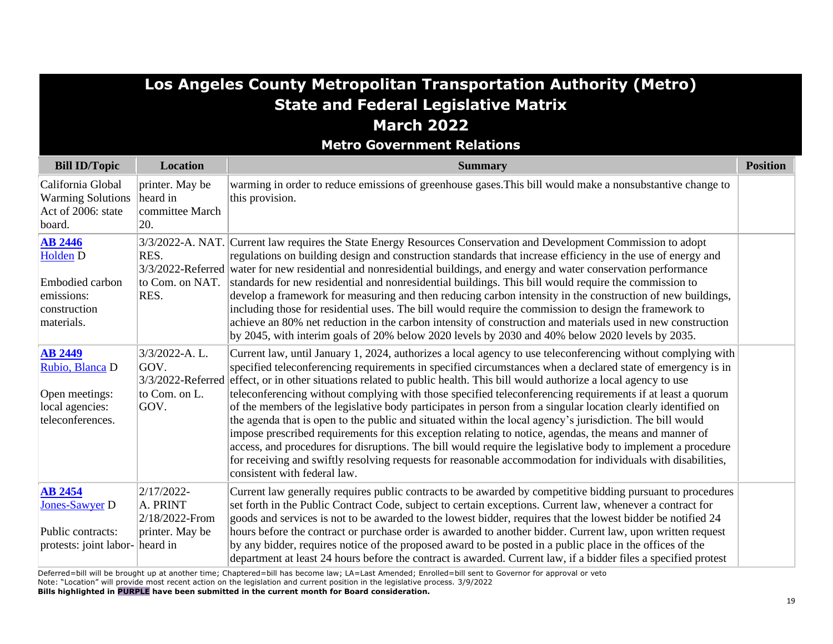|                                                                                                  |                                                             | Los Angeles County Metropolitan Transportation Authority (Metro)                                                                                                                                                                                                                                                                                                                                                                                                                                                                                                                                                                                                                                                                                                                                                                                                                                                                                                                                                                                                               |                 |
|--------------------------------------------------------------------------------------------------|-------------------------------------------------------------|--------------------------------------------------------------------------------------------------------------------------------------------------------------------------------------------------------------------------------------------------------------------------------------------------------------------------------------------------------------------------------------------------------------------------------------------------------------------------------------------------------------------------------------------------------------------------------------------------------------------------------------------------------------------------------------------------------------------------------------------------------------------------------------------------------------------------------------------------------------------------------------------------------------------------------------------------------------------------------------------------------------------------------------------------------------------------------|-----------------|
|                                                                                                  |                                                             | <b>State and Federal Legislative Matrix</b>                                                                                                                                                                                                                                                                                                                                                                                                                                                                                                                                                                                                                                                                                                                                                                                                                                                                                                                                                                                                                                    |                 |
|                                                                                                  |                                                             | <b>March 2022</b>                                                                                                                                                                                                                                                                                                                                                                                                                                                                                                                                                                                                                                                                                                                                                                                                                                                                                                                                                                                                                                                              |                 |
|                                                                                                  |                                                             | <b>Metro Government Relations</b>                                                                                                                                                                                                                                                                                                                                                                                                                                                                                                                                                                                                                                                                                                                                                                                                                                                                                                                                                                                                                                              |                 |
| <b>Bill ID/Topic</b>                                                                             | <b>Location</b>                                             | <b>Summary</b>                                                                                                                                                                                                                                                                                                                                                                                                                                                                                                                                                                                                                                                                                                                                                                                                                                                                                                                                                                                                                                                                 | <b>Position</b> |
| California Global<br><b>Warming Solutions</b><br>Act of 2006: state<br>board.                    | printer. May be<br>heard in<br>committee March<br>20.       | warming in order to reduce emissions of greenhouse gases. This bill would make a nonsubstantive change to<br>this provision.                                                                                                                                                                                                                                                                                                                                                                                                                                                                                                                                                                                                                                                                                                                                                                                                                                                                                                                                                   |                 |
| <b>AB 2446</b><br><b>Holden D</b><br>Embodied carbon<br>emissions:<br>construction<br>materials. | RES.<br>to Com. on NAT.<br>RES.                             | 3/3/2022-A. NAT. Current law requires the State Energy Resources Conservation and Development Commission to adopt<br>regulations on building design and construction standards that increase efficiency in the use of energy and<br>3/3/2022-Referred water for new residential and nonresidential buildings, and energy and water conservation performance<br>standards for new residential and nonresidential buildings. This bill would require the commission to<br>develop a framework for measuring and then reducing carbon intensity in the construction of new buildings,<br>including those for residential uses. The bill would require the commission to design the framework to<br>achieve an 80% net reduction in the carbon intensity of construction and materials used in new construction<br>by 2045, with interim goals of 20% below 2020 levels by 2030 and 40% below 2020 levels by 2035.                                                                                                                                                                 |                 |
| <b>AB 2449</b><br>Rubio, Blanca D<br>Open meetings:<br>local agencies:<br>teleconferences.       | 3/3/2022-A.L.<br>GOV.<br>to Com. on L.<br>GOV.              | Current law, until January 1, 2024, authorizes a local agency to use teleconferencing without complying with<br>specified teleconferencing requirements in specified circumstances when a declared state of emergency is in<br>3/3/2022-Referred effect, or in other situations related to public health. This bill would authorize a local agency to use<br>teleconferencing without complying with those specified teleconferencing requirements if at least a quorum<br>of the members of the legislative body participates in person from a singular location clearly identified on<br>the agenda that is open to the public and situated within the local agency's jurisdiction. The bill would<br>impose prescribed requirements for this exception relating to notice, agendas, the means and manner of<br>access, and procedures for disruptions. The bill would require the legislative body to implement a procedure<br>for receiving and swiftly resolving requests for reasonable accommodation for individuals with disabilities,<br>consistent with federal law. |                 |
| <b>AB 2454</b><br><b>Jones-Sawyer D</b><br>Public contracts:<br>protests: joint labor- heard in  | 2/17/2022-<br>A. PRINT<br>2/18/2022-From<br>printer. May be | Current law generally requires public contracts to be awarded by competitive bidding pursuant to procedures<br>set forth in the Public Contract Code, subject to certain exceptions. Current law, whenever a contract for<br>goods and services is not to be awarded to the lowest bidder, requires that the lowest bidder be notified 24<br>hours before the contract or purchase order is awarded to another bidder. Current law, upon written request<br>by any bidder, requires notice of the proposed award to be posted in a public place in the offices of the<br>department at least 24 hours before the contract is awarded. Current law, if a bidder files a specified protest                                                                                                                                                                                                                                                                                                                                                                                       |                 |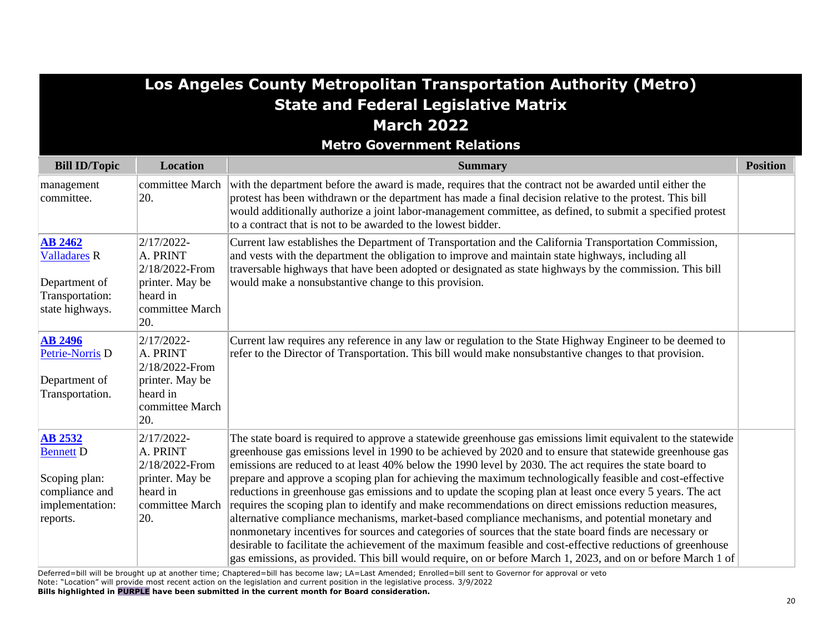|                                                                                                      |                                                                                                      | Los Angeles County Metropolitan Transportation Authority (Metro)<br><b>State and Federal Legislative Matrix</b>                                                                                                                                                                                                                                                                                                                                                                                                                                                                                                                                                                                                                                                                                                                                                                                                                                                                                                                                                                                                           |                 |
|------------------------------------------------------------------------------------------------------|------------------------------------------------------------------------------------------------------|---------------------------------------------------------------------------------------------------------------------------------------------------------------------------------------------------------------------------------------------------------------------------------------------------------------------------------------------------------------------------------------------------------------------------------------------------------------------------------------------------------------------------------------------------------------------------------------------------------------------------------------------------------------------------------------------------------------------------------------------------------------------------------------------------------------------------------------------------------------------------------------------------------------------------------------------------------------------------------------------------------------------------------------------------------------------------------------------------------------------------|-----------------|
|                                                                                                      |                                                                                                      | <b>March 2022</b>                                                                                                                                                                                                                                                                                                                                                                                                                                                                                                                                                                                                                                                                                                                                                                                                                                                                                                                                                                                                                                                                                                         |                 |
|                                                                                                      |                                                                                                      | <b>Metro Government Relations</b>                                                                                                                                                                                                                                                                                                                                                                                                                                                                                                                                                                                                                                                                                                                                                                                                                                                                                                                                                                                                                                                                                         |                 |
| <b>Bill ID/Topic</b>                                                                                 | <b>Location</b>                                                                                      | <b>Summary</b>                                                                                                                                                                                                                                                                                                                                                                                                                                                                                                                                                                                                                                                                                                                                                                                                                                                                                                                                                                                                                                                                                                            | <b>Position</b> |
| management<br>committee.                                                                             | committee March<br>20.                                                                               | with the department before the award is made, requires that the contract not be awarded until either the<br>protest has been withdrawn or the department has made a final decision relative to the protest. This bill<br>would additionally authorize a joint labor-management committee, as defined, to submit a specified protest<br>to a contract that is not to be awarded to the lowest bidder.                                                                                                                                                                                                                                                                                                                                                                                                                                                                                                                                                                                                                                                                                                                      |                 |
| <b>AB 2462</b><br><b>Valladares R</b><br>Department of<br>Transportation:<br>state highways.         | $2/17/2022 -$<br>A. PRINT<br>2/18/2022-From<br>printer. May be<br>heard in<br>committee March<br>20. | Current law establishes the Department of Transportation and the California Transportation Commission,<br>and vests with the department the obligation to improve and maintain state highways, including all<br>traversable highways that have been adopted or designated as state highways by the commission. This bill<br>would make a nonsubstantive change to this provision.                                                                                                                                                                                                                                                                                                                                                                                                                                                                                                                                                                                                                                                                                                                                         |                 |
| <b>AB 2496</b><br>Petrie-Norris <sub>D</sub><br>Department of<br>Transportation.                     | $2/17/2022 -$<br>A. PRINT<br>2/18/2022-From<br>printer. May be<br>heard in<br>committee March<br>20. | Current law requires any reference in any law or regulation to the State Highway Engineer to be deemed to<br>refer to the Director of Transportation. This bill would make nonsubstantive changes to that provision.                                                                                                                                                                                                                                                                                                                                                                                                                                                                                                                                                                                                                                                                                                                                                                                                                                                                                                      |                 |
| <b>AB 2532</b><br><b>Bennett D</b><br>Scoping plan:<br>compliance and<br>implementation:<br>reports. | 2/17/2022-<br>A. PRINT<br>2/18/2022-From<br>printer. May be<br>heard in<br>committee March<br>20.    | The state board is required to approve a statewide greenhouse gas emissions limit equivalent to the statewide<br>greenhouse gas emissions level in 1990 to be achieved by 2020 and to ensure that statewide greenhouse gas<br>emissions are reduced to at least 40% below the 1990 level by 2030. The act requires the state board to<br>prepare and approve a scoping plan for achieving the maximum technologically feasible and cost-effective<br>reductions in greenhouse gas emissions and to update the scoping plan at least once every 5 years. The act<br>requires the scoping plan to identify and make recommendations on direct emissions reduction measures,<br>alternative compliance mechanisms, market-based compliance mechanisms, and potential monetary and<br>nonmonetary incentives for sources and categories of sources that the state board finds are necessary or<br>desirable to facilitate the achievement of the maximum feasible and cost-effective reductions of greenhouse<br>gas emissions, as provided. This bill would require, on or before March 1, 2023, and on or before March 1 of |                 |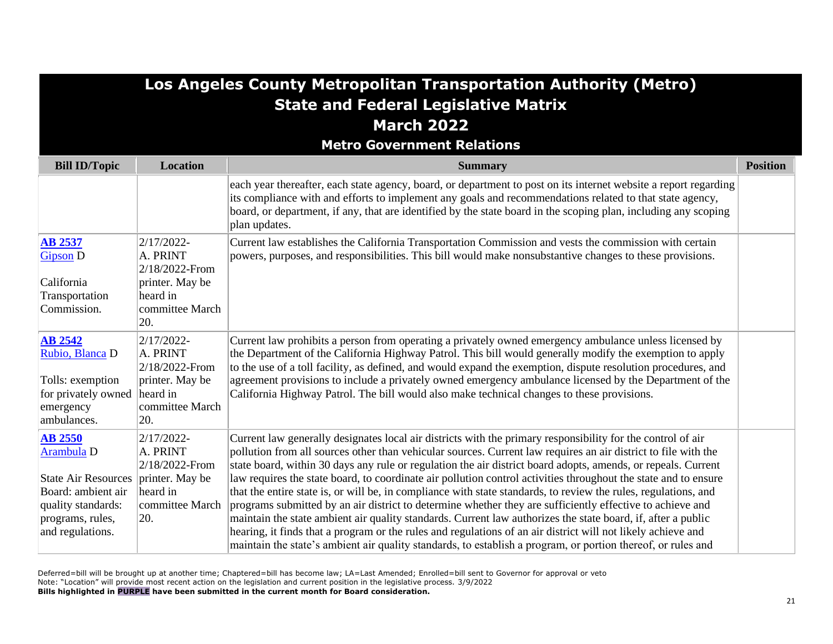|                                                                                                                                                | Los Angeles County Metropolitan Transportation Authority (Metro)<br><b>State and Federal Legislative Matrix</b> |                                                                                                                                                                                                                                                                                                                                                                                                                                                                                                                                                                                                                                                                                                                                                                                                                                                                                                                                                                                                                                                   |                 |  |
|------------------------------------------------------------------------------------------------------------------------------------------------|-----------------------------------------------------------------------------------------------------------------|---------------------------------------------------------------------------------------------------------------------------------------------------------------------------------------------------------------------------------------------------------------------------------------------------------------------------------------------------------------------------------------------------------------------------------------------------------------------------------------------------------------------------------------------------------------------------------------------------------------------------------------------------------------------------------------------------------------------------------------------------------------------------------------------------------------------------------------------------------------------------------------------------------------------------------------------------------------------------------------------------------------------------------------------------|-----------------|--|
|                                                                                                                                                |                                                                                                                 | <b>March 2022</b>                                                                                                                                                                                                                                                                                                                                                                                                                                                                                                                                                                                                                                                                                                                                                                                                                                                                                                                                                                                                                                 |                 |  |
|                                                                                                                                                |                                                                                                                 | <b>Metro Government Relations</b>                                                                                                                                                                                                                                                                                                                                                                                                                                                                                                                                                                                                                                                                                                                                                                                                                                                                                                                                                                                                                 |                 |  |
| <b>Bill ID/Topic</b>                                                                                                                           | <b>Location</b>                                                                                                 | <b>Summary</b>                                                                                                                                                                                                                                                                                                                                                                                                                                                                                                                                                                                                                                                                                                                                                                                                                                                                                                                                                                                                                                    | <b>Position</b> |  |
|                                                                                                                                                |                                                                                                                 | each year thereafter, each state agency, board, or department to post on its internet website a report regarding<br>its compliance with and efforts to implement any goals and recommendations related to that state agency,<br>board, or department, if any, that are identified by the state board in the scoping plan, including any scoping<br>plan updates.                                                                                                                                                                                                                                                                                                                                                                                                                                                                                                                                                                                                                                                                                  |                 |  |
| <b>AB 2537</b><br><b>Gipson D</b><br>California<br>Transportation<br>Commission.                                                               | 2/17/2022-<br>A. PRINT<br>2/18/2022-From<br>printer. May be<br>heard in<br>committee March<br>20.               | Current law establishes the California Transportation Commission and vests the commission with certain<br>powers, purposes, and responsibilities. This bill would make nonsubstantive changes to these provisions.                                                                                                                                                                                                                                                                                                                                                                                                                                                                                                                                                                                                                                                                                                                                                                                                                                |                 |  |
| <b>AB 2542</b><br>Rubio, Blanca D<br>Tolls: exemption<br>for privately owned<br>emergency<br>ambulances.                                       | 2/17/2022-<br>A. PRINT<br>2/18/2022-From<br>printer. May be<br>heard in<br>committee March<br>20.               | Current law prohibits a person from operating a privately owned emergency ambulance unless licensed by<br>the Department of the California Highway Patrol. This bill would generally modify the exemption to apply<br>to the use of a toll facility, as defined, and would expand the exemption, dispute resolution procedures, and<br>agreement provisions to include a privately owned emergency ambulance licensed by the Department of the<br>California Highway Patrol. The bill would also make technical changes to these provisions.                                                                                                                                                                                                                                                                                                                                                                                                                                                                                                      |                 |  |
| <b>AB 2550</b><br>Arambula D<br><b>State Air Resources</b><br>Board: ambient air<br>quality standards:<br>programs, rules,<br>and regulations. | $2/17/2022$ -<br>A. PRINT<br>2/18/2022-From<br>printer. May be<br>heard in<br>committee March<br>20.            | Current law generally designates local air districts with the primary responsibility for the control of air<br>pollution from all sources other than vehicular sources. Current law requires an air district to file with the<br>state board, within 30 days any rule or regulation the air district board adopts, amends, or repeals. Current<br>law requires the state board, to coordinate air pollution control activities throughout the state and to ensure<br>that the entire state is, or will be, in compliance with state standards, to review the rules, regulations, and<br>programs submitted by an air district to determine whether they are sufficiently effective to achieve and<br>maintain the state ambient air quality standards. Current law authorizes the state board, if, after a public<br>hearing, it finds that a program or the rules and regulations of an air district will not likely achieve and<br>maintain the state's ambient air quality standards, to establish a program, or portion thereof, or rules and |                 |  |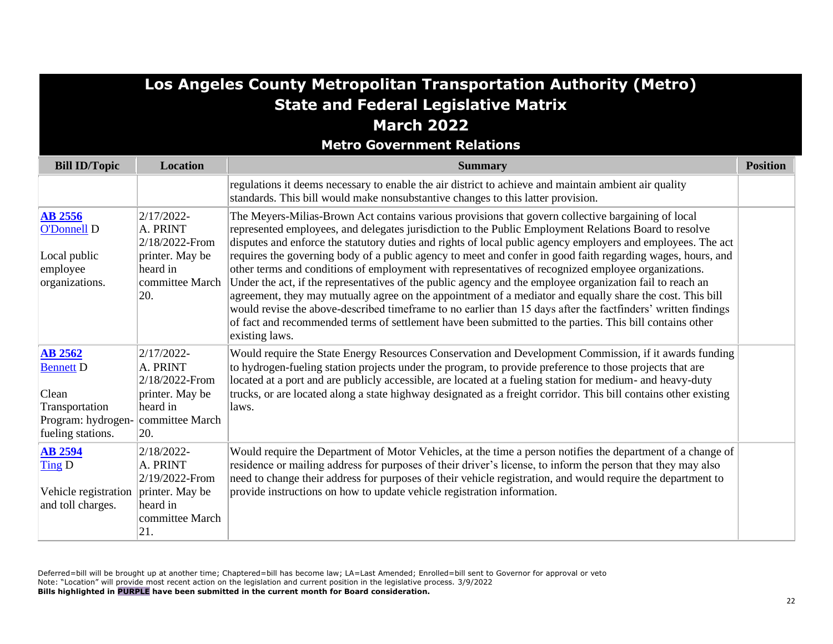|                                                                                                          |                                                                                                   | Los Angeles County Metropolitan Transportation Authority (Metro)                                                                                                                                                                                                                                                                                                                                                                                                                                                                                                                                                                                                                                                                                                                                                                                                                                                                                                                                                           |                 |
|----------------------------------------------------------------------------------------------------------|---------------------------------------------------------------------------------------------------|----------------------------------------------------------------------------------------------------------------------------------------------------------------------------------------------------------------------------------------------------------------------------------------------------------------------------------------------------------------------------------------------------------------------------------------------------------------------------------------------------------------------------------------------------------------------------------------------------------------------------------------------------------------------------------------------------------------------------------------------------------------------------------------------------------------------------------------------------------------------------------------------------------------------------------------------------------------------------------------------------------------------------|-----------------|
|                                                                                                          |                                                                                                   | <b>State and Federal Legislative Matrix</b>                                                                                                                                                                                                                                                                                                                                                                                                                                                                                                                                                                                                                                                                                                                                                                                                                                                                                                                                                                                |                 |
|                                                                                                          |                                                                                                   | <b>March 2022</b>                                                                                                                                                                                                                                                                                                                                                                                                                                                                                                                                                                                                                                                                                                                                                                                                                                                                                                                                                                                                          |                 |
|                                                                                                          |                                                                                                   | <b>Metro Government Relations</b>                                                                                                                                                                                                                                                                                                                                                                                                                                                                                                                                                                                                                                                                                                                                                                                                                                                                                                                                                                                          |                 |
| <b>Bill ID/Topic</b>                                                                                     | <b>Location</b>                                                                                   | <b>Summary</b>                                                                                                                                                                                                                                                                                                                                                                                                                                                                                                                                                                                                                                                                                                                                                                                                                                                                                                                                                                                                             | <b>Position</b> |
|                                                                                                          |                                                                                                   | regulations it deems necessary to enable the air district to achieve and maintain ambient air quality<br>standards. This bill would make nonsubstantive changes to this latter provision.                                                                                                                                                                                                                                                                                                                                                                                                                                                                                                                                                                                                                                                                                                                                                                                                                                  |                 |
| <b>AB 2556</b><br>O'Donnell D<br>Local public<br>employee<br>organizations.                              | 2/17/2022-<br>A. PRINT<br>2/18/2022-From<br>printer. May be<br>heard in<br>committee March<br>20. | The Meyers-Milias-Brown Act contains various provisions that govern collective bargaining of local<br>represented employees, and delegates jurisdiction to the Public Employment Relations Board to resolve<br>disputes and enforce the statutory duties and rights of local public agency employers and employees. The act<br>requires the governing body of a public agency to meet and confer in good faith regarding wages, hours, and<br>other terms and conditions of employment with representatives of recognized employee organizations.<br>Under the act, if the representatives of the public agency and the employee organization fail to reach an<br>agreement, they may mutually agree on the appointment of a mediator and equally share the cost. This bill<br>would revise the above-described timeframe to no earlier than 15 days after the factfinders' written findings<br>of fact and recommended terms of settlement have been submitted to the parties. This bill contains other<br>existing laws. |                 |
| <b>AB 2562</b><br><b>Bennett D</b><br>Clean<br>Transportation<br>Program: hydrogen-<br>fueling stations. | 2/17/2022-<br>A. PRINT<br>2/18/2022-From<br>printer. May be<br>heard in<br>committee March<br>20. | Would require the State Energy Resources Conservation and Development Commission, if it awards funding<br>to hydrogen-fueling station projects under the program, to provide preference to those projects that are<br>located at a port and are publicly accessible, are located at a fueling station for medium- and heavy-duty<br>trucks, or are located along a state highway designated as a freight corridor. This bill contains other existing<br>laws.                                                                                                                                                                                                                                                                                                                                                                                                                                                                                                                                                              |                 |
| <b>AB 2594</b><br>Ting D<br>Vehicle registration<br>and toll charges.                                    | 2/18/2022-<br>A. PRINT<br>2/19/2022-From<br>printer. May be<br>heard in<br>committee March<br>21. | Would require the Department of Motor Vehicles, at the time a person notifies the department of a change of<br>residence or mailing address for purposes of their driver's license, to inform the person that they may also<br>need to change their address for purposes of their vehicle registration, and would require the department to<br>provide instructions on how to update vehicle registration information.                                                                                                                                                                                                                                                                                                                                                                                                                                                                                                                                                                                                     |                 |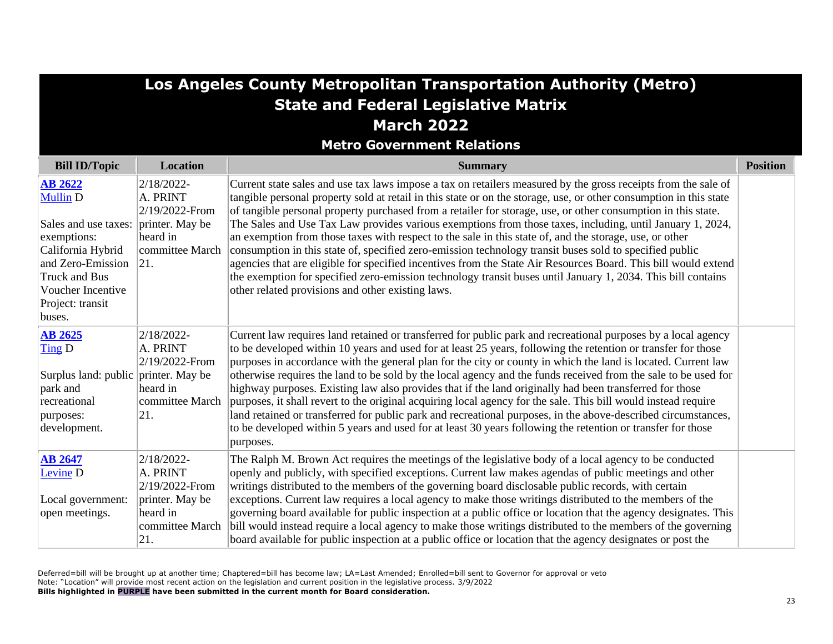|                                                                                                                                                                                        | Los Angeles County Metropolitan Transportation Authority (Metro)                                   |                                                                                                                                                                                                                                                                                                                                                                                                                                                                                                                                                                                                                                                                                                                                                                                                                                                                                                                                                                                 |                 |  |
|----------------------------------------------------------------------------------------------------------------------------------------------------------------------------------------|----------------------------------------------------------------------------------------------------|---------------------------------------------------------------------------------------------------------------------------------------------------------------------------------------------------------------------------------------------------------------------------------------------------------------------------------------------------------------------------------------------------------------------------------------------------------------------------------------------------------------------------------------------------------------------------------------------------------------------------------------------------------------------------------------------------------------------------------------------------------------------------------------------------------------------------------------------------------------------------------------------------------------------------------------------------------------------------------|-----------------|--|
|                                                                                                                                                                                        |                                                                                                    | <b>State and Federal Legislative Matrix</b>                                                                                                                                                                                                                                                                                                                                                                                                                                                                                                                                                                                                                                                                                                                                                                                                                                                                                                                                     |                 |  |
|                                                                                                                                                                                        |                                                                                                    | <b>March 2022</b>                                                                                                                                                                                                                                                                                                                                                                                                                                                                                                                                                                                                                                                                                                                                                                                                                                                                                                                                                               |                 |  |
|                                                                                                                                                                                        |                                                                                                    | <b>Metro Government Relations</b>                                                                                                                                                                                                                                                                                                                                                                                                                                                                                                                                                                                                                                                                                                                                                                                                                                                                                                                                               |                 |  |
| <b>Bill ID/Topic</b>                                                                                                                                                                   | Location                                                                                           | <b>Summary</b>                                                                                                                                                                                                                                                                                                                                                                                                                                                                                                                                                                                                                                                                                                                                                                                                                                                                                                                                                                  | <b>Position</b> |  |
| <b>AB 2622</b><br><b>Mullin D</b><br>Sales and use taxes:<br>exemptions:<br>California Hybrid<br>and Zero-Emission<br>Truck and Bus<br>Voucher Incentive<br>Project: transit<br>buses. | 2/18/2022-<br>A. PRINT<br>2/19/2022-From<br>printer. May be<br>heard in<br>committee March<br> 21. | Current state sales and use tax laws impose a tax on retailers measured by the gross receipts from the sale of<br>tangible personal property sold at retail in this state or on the storage, use, or other consumption in this state<br>of tangible personal property purchased from a retailer for storage, use, or other consumption in this state.<br>The Sales and Use Tax Law provides various exemptions from those taxes, including, until January 1, 2024,<br>an exemption from those taxes with respect to the sale in this state of, and the storage, use, or other<br>consumption in this state of, specified zero-emission technology transit buses sold to specified public<br>agencies that are eligible for specified incentives from the State Air Resources Board. This bill would extend<br>the exemption for specified zero-emission technology transit buses until January 1, 2034. This bill contains<br>other related provisions and other existing laws. |                 |  |
| <b>AB 2625</b><br>Ting D<br>Surplus land: public printer. May be<br>park and<br>recreational<br>purposes:<br>development.                                                              | $2/18/2022$ -<br>A. PRINT<br>2/19/2022-From<br>heard in<br>committee March<br> 21.                 | Current law requires land retained or transferred for public park and recreational purposes by a local agency<br>to be developed within 10 years and used for at least 25 years, following the retention or transfer for those<br>purposes in accordance with the general plan for the city or county in which the land is located. Current law<br>otherwise requires the land to be sold by the local agency and the funds received from the sale to be used for<br>highway purposes. Existing law also provides that if the land originally had been transferred for those<br>purposes, it shall revert to the original acquiring local agency for the sale. This bill would instead require<br>land retained or transferred for public park and recreational purposes, in the above-described circumstances,<br>to be developed within 5 years and used for at least 30 years following the retention or transfer for those<br>purposes.                                     |                 |  |
| <b>AB 2647</b><br>Levine <sub>D</sub><br>Local government:<br>open meetings.                                                                                                           | 2/18/2022-<br>A. PRINT<br>2/19/2022-From<br>printer. May be<br>heard in<br>committee March<br> 21. | The Ralph M. Brown Act requires the meetings of the legislative body of a local agency to be conducted<br>openly and publicly, with specified exceptions. Current law makes agendas of public meetings and other<br>writings distributed to the members of the governing board disclosable public records, with certain<br>exceptions. Current law requires a local agency to make those writings distributed to the members of the<br>governing board available for public inspection at a public office or location that the agency designates. This<br>bill would instead require a local agency to make those writings distributed to the members of the governing<br>board available for public inspection at a public office or location that the agency designates or post the                                                                                                                                                                                           |                 |  |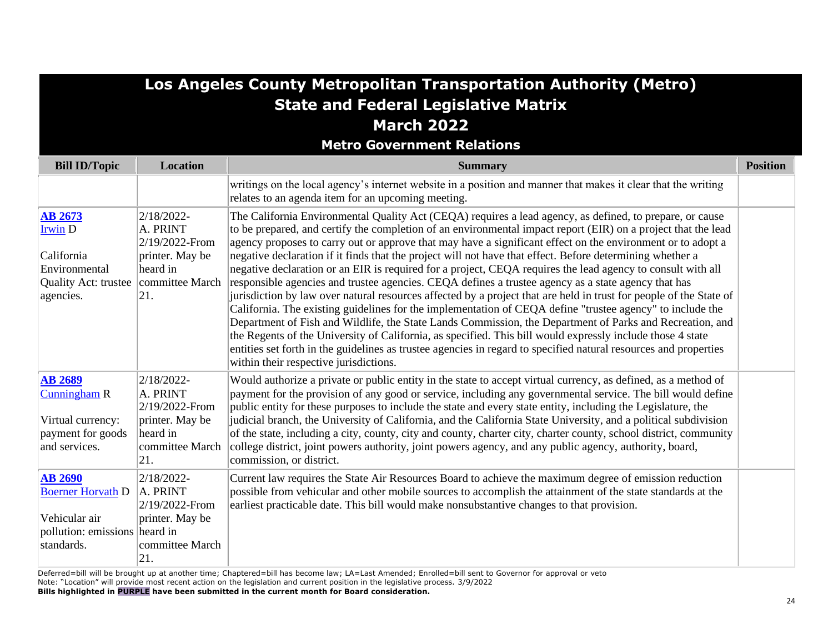| Los Angeles County Metropolitan Transportation Authority (Metro)                                                       |                                                                                                   |                                                                                                                                                                                                                                                                                                                                                                                                                                                                                                                                                                                                                                                                                                                                                                                                                                                                                                                                                                                                                                                                                                                                                                                                                                                                                                        |                 |
|------------------------------------------------------------------------------------------------------------------------|---------------------------------------------------------------------------------------------------|--------------------------------------------------------------------------------------------------------------------------------------------------------------------------------------------------------------------------------------------------------------------------------------------------------------------------------------------------------------------------------------------------------------------------------------------------------------------------------------------------------------------------------------------------------------------------------------------------------------------------------------------------------------------------------------------------------------------------------------------------------------------------------------------------------------------------------------------------------------------------------------------------------------------------------------------------------------------------------------------------------------------------------------------------------------------------------------------------------------------------------------------------------------------------------------------------------------------------------------------------------------------------------------------------------|-----------------|
|                                                                                                                        |                                                                                                   | <b>State and Federal Legislative Matrix</b>                                                                                                                                                                                                                                                                                                                                                                                                                                                                                                                                                                                                                                                                                                                                                                                                                                                                                                                                                                                                                                                                                                                                                                                                                                                            |                 |
|                                                                                                                        |                                                                                                   | <b>March 2022</b>                                                                                                                                                                                                                                                                                                                                                                                                                                                                                                                                                                                                                                                                                                                                                                                                                                                                                                                                                                                                                                                                                                                                                                                                                                                                                      |                 |
|                                                                                                                        |                                                                                                   | <b>Metro Government Relations</b>                                                                                                                                                                                                                                                                                                                                                                                                                                                                                                                                                                                                                                                                                                                                                                                                                                                                                                                                                                                                                                                                                                                                                                                                                                                                      |                 |
| <b>Bill ID/Topic</b>                                                                                                   | <b>Location</b>                                                                                   | <b>Summary</b>                                                                                                                                                                                                                                                                                                                                                                                                                                                                                                                                                                                                                                                                                                                                                                                                                                                                                                                                                                                                                                                                                                                                                                                                                                                                                         | <b>Position</b> |
|                                                                                                                        |                                                                                                   | writings on the local agency's internet website in a position and manner that makes it clear that the writing<br>relates to an agenda item for an upcoming meeting.                                                                                                                                                                                                                                                                                                                                                                                                                                                                                                                                                                                                                                                                                                                                                                                                                                                                                                                                                                                                                                                                                                                                    |                 |
| <b>AB 2673</b><br><b>Irwin D</b><br>California<br>Environmental<br>Quality Act: trustee   committee March<br>agencies. | 2/18/2022-<br>A. PRINT<br>2/19/2022-From<br>printer. May be<br>heard in<br> 21.                   | The California Environmental Quality Act (CEQA) requires a lead agency, as defined, to prepare, or cause<br>to be prepared, and certify the completion of an environmental impact report (EIR) on a project that the lead<br>agency proposes to carry out or approve that may have a significant effect on the environment or to adopt a<br>negative declaration if it finds that the project will not have that effect. Before determining whether a<br>negative declaration or an EIR is required for a project, CEQA requires the lead agency to consult with all<br>responsible agencies and trustee agencies. CEQA defines a trustee agency as a state agency that has<br>iurisdiction by law over natural resources affected by a project that are held in trust for people of the State of<br>California. The existing guidelines for the implementation of CEQA define "trustee agency" to include the<br>Department of Fish and Wildlife, the State Lands Commission, the Department of Parks and Recreation, and<br>the Regents of the University of California, as specified. This bill would expressly include those 4 state<br>entities set forth in the guidelines as trustee agencies in regard to specified natural resources and properties<br>within their respective jurisdictions. |                 |
| <b>AB 2689</b><br>Cunningham R<br>Virtual currency:<br>payment for goods<br>and services.                              | 2/18/2022-<br>A. PRINT<br>2/19/2022-From<br>printer. May be<br>heard in<br>committee March<br>21. | Would authorize a private or public entity in the state to accept virtual currency, as defined, as a method of<br>payment for the provision of any good or service, including any governmental service. The bill would define<br>public entity for these purposes to include the state and every state entity, including the Legislature, the<br>judicial branch, the University of California, and the California State University, and a political subdivision<br>of the state, including a city, county, city and county, charter city, charter county, school district, community<br>college district, joint powers authority, joint powers agency, and any public agency, authority, board,<br>commission, or district.                                                                                                                                                                                                                                                                                                                                                                                                                                                                                                                                                                           |                 |
| <b>AB 2690</b><br><b>Boerner Horvath D</b><br>Vehicular air<br>pollution: emissions heard in<br>standards.             | 2/18/2022-<br>A. PRINT<br>2/19/2022-From<br>printer. May be<br>committee March<br>21.             | Current law requires the State Air Resources Board to achieve the maximum degree of emission reduction<br>possible from vehicular and other mobile sources to accomplish the attainment of the state standards at the<br>earliest practicable date. This bill would make nonsubstantive changes to that provision.                                                                                                                                                                                                                                                                                                                                                                                                                                                                                                                                                                                                                                                                                                                                                                                                                                                                                                                                                                                     |                 |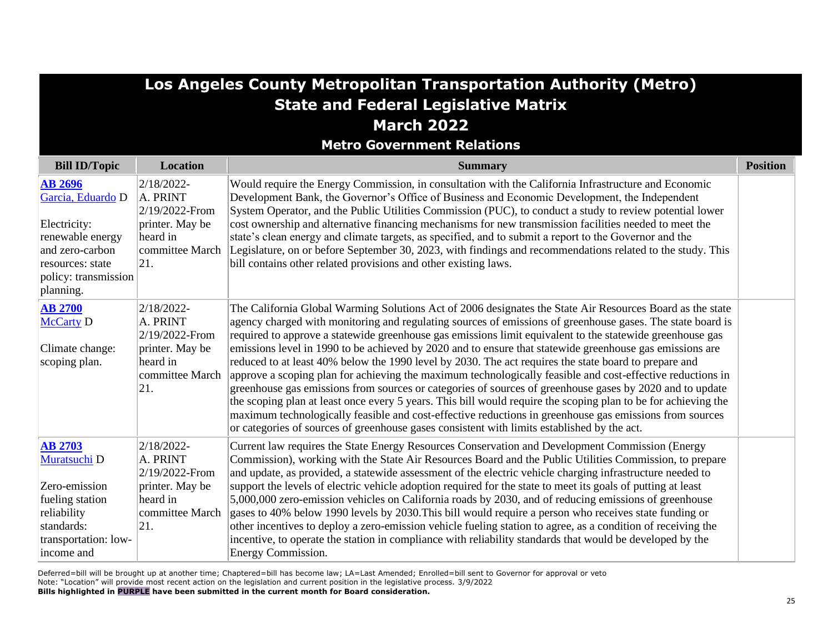|                                                                                                                                                     | Los Angeles County Metropolitan Transportation Authority (Metro)                                      |                                                                                                                                                                                                                                                                                                                                                                                                                                                                                                                                                                                                                                                                                                                                                                                                                                                                                                                                                                                                                                                                                                                 |                 |  |
|-----------------------------------------------------------------------------------------------------------------------------------------------------|-------------------------------------------------------------------------------------------------------|-----------------------------------------------------------------------------------------------------------------------------------------------------------------------------------------------------------------------------------------------------------------------------------------------------------------------------------------------------------------------------------------------------------------------------------------------------------------------------------------------------------------------------------------------------------------------------------------------------------------------------------------------------------------------------------------------------------------------------------------------------------------------------------------------------------------------------------------------------------------------------------------------------------------------------------------------------------------------------------------------------------------------------------------------------------------------------------------------------------------|-----------------|--|
|                                                                                                                                                     |                                                                                                       | <b>State and Federal Legislative Matrix</b><br><b>March 2022</b>                                                                                                                                                                                                                                                                                                                                                                                                                                                                                                                                                                                                                                                                                                                                                                                                                                                                                                                                                                                                                                                |                 |  |
|                                                                                                                                                     |                                                                                                       | <b>Metro Government Relations</b>                                                                                                                                                                                                                                                                                                                                                                                                                                                                                                                                                                                                                                                                                                                                                                                                                                                                                                                                                                                                                                                                               |                 |  |
| <b>Bill ID/Topic</b>                                                                                                                                | Location                                                                                              | <b>Summary</b>                                                                                                                                                                                                                                                                                                                                                                                                                                                                                                                                                                                                                                                                                                                                                                                                                                                                                                                                                                                                                                                                                                  | <b>Position</b> |  |
| <b>AB 2696</b><br>Garcia, Eduardo D<br>Electricity:<br>renewable energy<br>and zero-carbon<br>resources: state<br>policy: transmission<br>planning. | 2/18/2022-<br>A. PRINT<br>2/19/2022-From<br>printer. May be<br>heard in<br>committee March<br> 21     | Would require the Energy Commission, in consultation with the California Infrastructure and Economic<br>Development Bank, the Governor's Office of Business and Economic Development, the Independent<br>System Operator, and the Public Utilities Commission (PUC), to conduct a study to review potential lower<br>cost ownership and alternative financing mechanisms for new transmission facilities needed to meet the<br>state's clean energy and climate targets, as specified, and to submit a report to the Governor and the<br>Legislature, on or before September 30, 2023, with findings and recommendations related to the study. This<br>bill contains other related provisions and other existing laws.                                                                                                                                                                                                                                                                                                                                                                                          |                 |  |
| <b>AB 2700</b><br><b>McCarty D</b><br>Climate change:<br>scoping plan.                                                                              | $2/18/2022$ -<br>A. PRINT<br>2/19/2022-From<br>printer. May be<br>heard in<br>committee March<br> 21. | The California Global Warming Solutions Act of 2006 designates the State Air Resources Board as the state<br>agency charged with monitoring and regulating sources of emissions of greenhouse gases. The state board is<br>required to approve a statewide greenhouse gas emissions limit equivalent to the statewide greenhouse gas<br>emissions level in 1990 to be achieved by 2020 and to ensure that statewide greenhouse gas emissions are<br>reduced to at least 40% below the 1990 level by 2030. The act requires the state board to prepare and<br>approve a scoping plan for achieving the maximum technologically feasible and cost-effective reductions in<br>greenhouse gas emissions from sources or categories of sources of greenhouse gases by 2020 and to update<br>the scoping plan at least once every 5 years. This bill would require the scoping plan to be for achieving the<br>maximum technologically feasible and cost-effective reductions in greenhouse gas emissions from sources<br>or categories of sources of greenhouse gases consistent with limits established by the act. |                 |  |
| <b>AB 2703</b><br>Muratsuchi D<br>Zero-emission<br>fueling station<br>reliability<br>standards:<br>transportation: low-<br>income and               | 2/18/2022-<br>A. PRINT<br>2/19/2022-From<br>printer. May be<br>heard in<br>committee March<br>21.     | Current law requires the State Energy Resources Conservation and Development Commission (Energy<br>Commission), working with the State Air Resources Board and the Public Utilities Commission, to prepare<br>and update, as provided, a statewide assessment of the electric vehicle charging infrastructure needed to<br>support the levels of electric vehicle adoption required for the state to meet its goals of putting at least<br>5,000,000 zero-emission vehicles on California roads by 2030, and of reducing emissions of greenhouse<br>gases to 40% below 1990 levels by 2030. This bill would require a person who receives state funding or<br>other incentives to deploy a zero-emission vehicle fueling station to agree, as a condition of receiving the<br>incentive, to operate the station in compliance with reliability standards that would be developed by the<br>Energy Commission.                                                                                                                                                                                                   |                 |  |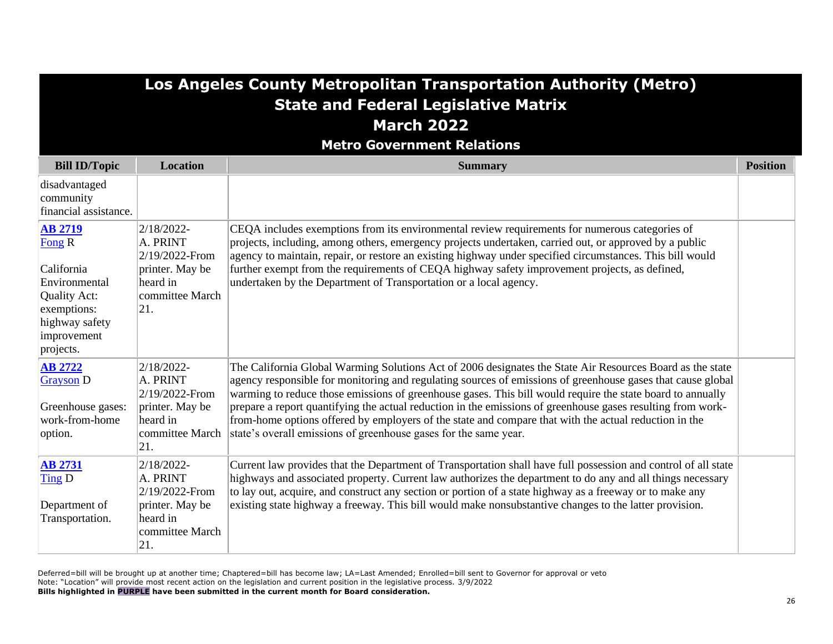|                                                                                                                                                 |                                                                                                   | Los Angeles County Metropolitan Transportation Authority (Metro)<br><b>State and Federal Legislative Matrix</b><br><b>March 2022</b><br><b>Metro Government Relations</b>                                                                                                                                                                                                                                                                                                                                                                                                                                                          |                 |
|-------------------------------------------------------------------------------------------------------------------------------------------------|---------------------------------------------------------------------------------------------------|------------------------------------------------------------------------------------------------------------------------------------------------------------------------------------------------------------------------------------------------------------------------------------------------------------------------------------------------------------------------------------------------------------------------------------------------------------------------------------------------------------------------------------------------------------------------------------------------------------------------------------|-----------------|
| <b>Bill ID/Topic</b>                                                                                                                            | <b>Location</b>                                                                                   | <b>Summary</b>                                                                                                                                                                                                                                                                                                                                                                                                                                                                                                                                                                                                                     | <b>Position</b> |
| disadvantaged<br>community<br>financial assistance.                                                                                             |                                                                                                   |                                                                                                                                                                                                                                                                                                                                                                                                                                                                                                                                                                                                                                    |                 |
| <b>AB 2719</b><br>Fong <sub>R</sub><br>California<br>Environmental<br>Quality Act:<br>exemptions:<br>highway safety<br>improvement<br>projects. | 2/18/2022-<br>A. PRINT<br>2/19/2022-From<br>printer. May be<br>heard in<br>committee March<br>21. | CEQA includes exemptions from its environmental review requirements for numerous categories of<br>projects, including, among others, emergency projects undertaken, carried out, or approved by a public<br>agency to maintain, repair, or restore an existing highway under specified circumstances. This bill would<br>further exempt from the requirements of CEQA highway safety improvement projects, as defined,<br>undertaken by the Department of Transportation or a local agency.                                                                                                                                        |                 |
| <b>AB 2722</b><br><b>Grayson D</b><br>Greenhouse gases:<br>work-from-home<br>option.                                                            | 2/18/2022-<br>A. PRINT<br>2/19/2022-From<br>printer. May be<br>heard in<br>committee March<br>21. | The California Global Warming Solutions Act of 2006 designates the State Air Resources Board as the state<br>agency responsible for monitoring and regulating sources of emissions of greenhouse gases that cause global<br>warming to reduce those emissions of greenhouse gases. This bill would require the state board to annually<br>prepare a report quantifying the actual reduction in the emissions of greenhouse gases resulting from work-<br>from-home options offered by employers of the state and compare that with the actual reduction in the<br>state's overall emissions of greenhouse gases for the same year. |                 |
| <b>AB 2731</b><br>Ting D<br>Department of<br>Transportation.                                                                                    | 2/18/2022-<br>A. PRINT<br>2/19/2022-From<br>printer. May be<br>heard in<br>committee March<br>21. | Current law provides that the Department of Transportation shall have full possession and control of all state<br>highways and associated property. Current law authorizes the department to do any and all things necessary<br>to lay out, acquire, and construct any section or portion of a state highway as a freeway or to make any<br>existing state highway a freeway. This bill would make nonsubstantive changes to the latter provision.                                                                                                                                                                                 |                 |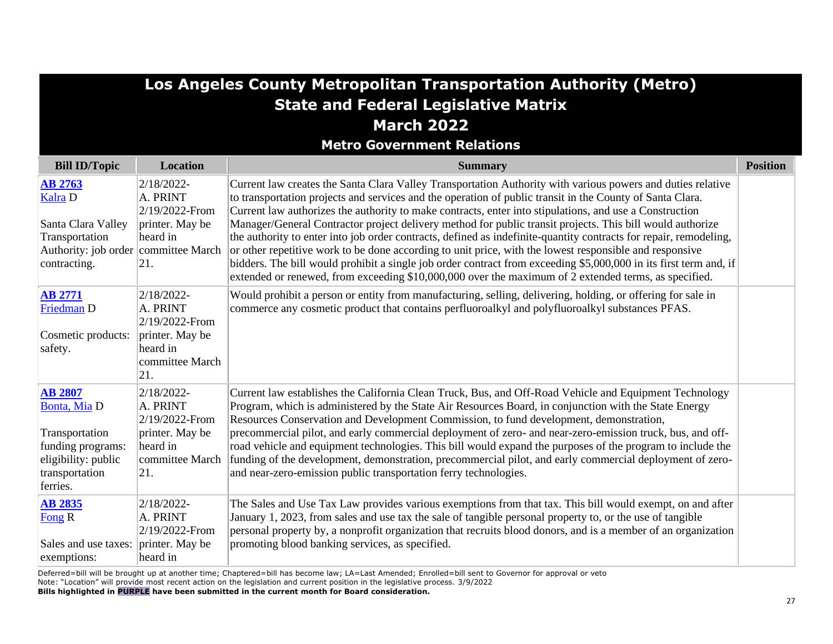|                                                                                                                                  |                                                                                                    | Los Angeles County Metropolitan Transportation Authority (Metro)<br><b>State and Federal Legislative Matrix</b><br><b>March 2022</b><br><b>Metro Government Relations</b>                                                                                                                                                                                                                                                                                                                                                                                                                                                                                                                                                                                                                                                                                                                                     |                 |
|----------------------------------------------------------------------------------------------------------------------------------|----------------------------------------------------------------------------------------------------|---------------------------------------------------------------------------------------------------------------------------------------------------------------------------------------------------------------------------------------------------------------------------------------------------------------------------------------------------------------------------------------------------------------------------------------------------------------------------------------------------------------------------------------------------------------------------------------------------------------------------------------------------------------------------------------------------------------------------------------------------------------------------------------------------------------------------------------------------------------------------------------------------------------|-----------------|
| <b>Bill ID/Topic</b>                                                                                                             | <b>Location</b>                                                                                    | <b>Summary</b>                                                                                                                                                                                                                                                                                                                                                                                                                                                                                                                                                                                                                                                                                                                                                                                                                                                                                                | <b>Position</b> |
| <b>AB 2763</b><br><b>Kalra D</b><br>Santa Clara Valley<br>Transportation<br>Authority: job order committee March<br>contracting. | 2/18/2022-<br>A. PRINT<br>2/19/2022-From<br>printer. May be<br>heard in<br>21.                     | Current law creates the Santa Clara Valley Transportation Authority with various powers and duties relative<br>to transportation projects and services and the operation of public transit in the County of Santa Clara.<br>Current law authorizes the authority to make contracts, enter into stipulations, and use a Construction<br>Manager/General Contractor project delivery method for public transit projects. This bill would authorize<br>the authority to enter into job order contracts, defined as indefinite-quantity contracts for repair, remodeling,<br>or other repetitive work to be done according to unit price, with the lowest responsible and responsive<br>bidders. The bill would prohibit a single job order contract from exceeding \$5,000,000 in its first term and, if<br>extended or renewed, from exceeding \$10,000,000 over the maximum of 2 extended terms, as specified. |                 |
| <b>AB 2771</b><br>Friedman D<br>Cosmetic products:<br>safety.                                                                    | 2/18/2022-<br>A. PRINT<br>2/19/2022-From<br>printer. May be<br>heard in<br>committee March<br> 21. | Would prohibit a person or entity from manufacturing, selling, delivering, holding, or offering for sale in<br>commerce any cosmetic product that contains perfluoroalkyl and polyfluoroalkyl substances PFAS.                                                                                                                                                                                                                                                                                                                                                                                                                                                                                                                                                                                                                                                                                                |                 |
| <b>AB 2807</b><br>Bonta, Mia D<br>Transportation<br>funding programs:<br>eligibility: public<br>transportation<br>ferries.       | 2/18/2022-<br>A. PRINT<br>2/19/2022-From<br>printer. May be<br>heard in<br>committee March<br> 21. | Current law establishes the California Clean Truck, Bus, and Off-Road Vehicle and Equipment Technology<br>Program, which is administered by the State Air Resources Board, in conjunction with the State Energy<br>Resources Conservation and Development Commission, to fund development, demonstration,<br>precommercial pilot, and early commercial deployment of zero- and near-zero-emission truck, bus, and off-<br>road vehicle and equipment technologies. This bill would expand the purposes of the program to include the<br>funding of the development, demonstration, precommercial pilot, and early commercial deployment of zero-<br>and near-zero-emission public transportation ferry technologies.                                                                                                                                                                                          |                 |
| <b>AB 2835</b><br>Fong R<br>Sales and use taxes: printer. May be<br>exemptions:                                                  | 2/18/2022-<br>A. PRINT<br>2/19/2022-From<br>heard in                                               | The Sales and Use Tax Law provides various exemptions from that tax. This bill would exempt, on and after<br>January 1, 2023, from sales and use tax the sale of tangible personal property to, or the use of tangible<br>personal property by, a nonprofit organization that recruits blood donors, and is a member of an organization<br>promoting blood banking services, as specified.                                                                                                                                                                                                                                                                                                                                                                                                                                                                                                                    |                 |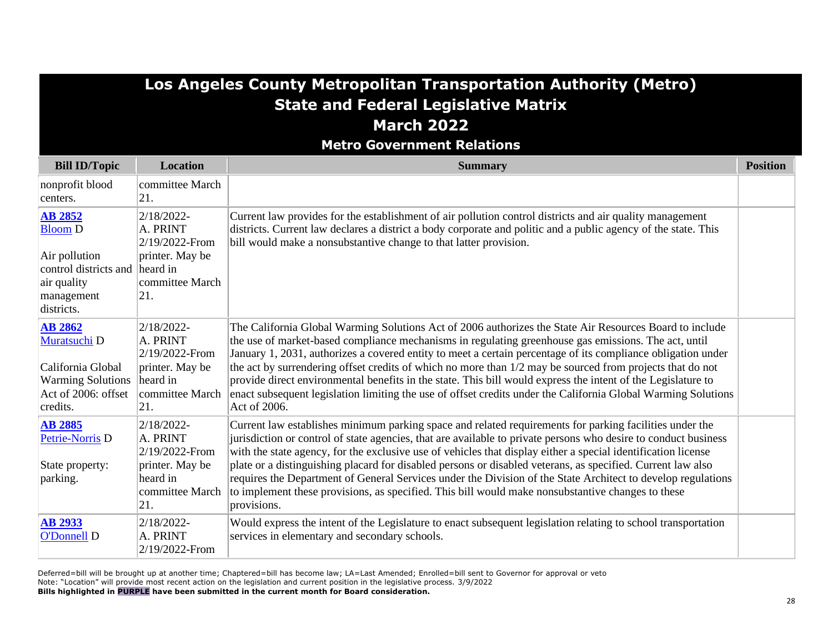## **Los Angeles County Metropolitan Transportation Authority (Metro) State and Federal Legislative Matrix March 2022**

**Metro Government Relations**

| <b>Bill ID/Topic</b>                                                                                                             | <b>Location</b>                                                                                   | <b>Summary</b>                                                                                                                                                                                                                                                                                                                                                                                                                                                                                                                                                                                                                                                                                 | <b>Position</b> |
|----------------------------------------------------------------------------------------------------------------------------------|---------------------------------------------------------------------------------------------------|------------------------------------------------------------------------------------------------------------------------------------------------------------------------------------------------------------------------------------------------------------------------------------------------------------------------------------------------------------------------------------------------------------------------------------------------------------------------------------------------------------------------------------------------------------------------------------------------------------------------------------------------------------------------------------------------|-----------------|
| nonprofit blood<br>centers.                                                                                                      | committee March<br>21.                                                                            |                                                                                                                                                                                                                                                                                                                                                                                                                                                                                                                                                                                                                                                                                                |                 |
| <b>AB 2852</b><br><b>Bloom D</b><br>Air pollution<br>control districts and   heard in<br>air quality<br>management<br>districts. | 2/18/2022-<br>A. PRINT<br>2/19/2022-From<br>printer. May be<br>committee March<br> 21.            | Current law provides for the establishment of air pollution control districts and air quality management<br>districts. Current law declares a district a body corporate and politic and a public agency of the state. This<br>bill would make a nonsubstantive change to that latter provision.                                                                                                                                                                                                                                                                                                                                                                                                |                 |
| <b>AB 2862</b><br>Muratsuchi D<br>California Global<br><b>Warming Solutions</b><br>Act of 2006: offset<br>credits.               | 2/18/2022-<br>A. PRINT<br>2/19/2022-From<br>printer. May be<br>heard in<br>committee March<br>21. | The California Global Warming Solutions Act of 2006 authorizes the State Air Resources Board to include<br>the use of market-based compliance mechanisms in regulating greenhouse gas emissions. The act, until<br>January 1, 2031, authorizes a covered entity to meet a certain percentage of its compliance obligation under<br>the act by surrendering offset credits of which no more than 1/2 may be sourced from projects that do not<br>provide direct environmental benefits in the state. This bill would express the intent of the Legislature to<br>enact subsequent legislation limiting the use of offset credits under the California Global Warming Solutions<br>Act of 2006.  |                 |
| <b>AB 2885</b><br>Petrie-Norris D<br>State property:<br>parking.                                                                 | 2/18/2022-<br>A. PRINT<br>2/19/2022-From<br>printer. May be<br>heard in<br>committee March<br>21. | Current law establishes minimum parking space and related requirements for parking facilities under the<br>iurisdiction or control of state agencies, that are available to private persons who desire to conduct business<br>with the state agency, for the exclusive use of vehicles that display either a special identification license<br>plate or a distinguishing placard for disabled persons or disabled veterans, as specified. Current law also<br>requires the Department of General Services under the Division of the State Architect to develop regulations<br>to implement these provisions, as specified. This bill would make nonsubstantive changes to these<br>provisions. |                 |
| <b>AB 2933</b><br>O'Donnell D                                                                                                    | 2/18/2022-<br>A. PRINT<br>2/19/2022-From                                                          | Would express the intent of the Legislature to enact subsequent legislation relating to school transportation<br>services in elementary and secondary schools.                                                                                                                                                                                                                                                                                                                                                                                                                                                                                                                                 |                 |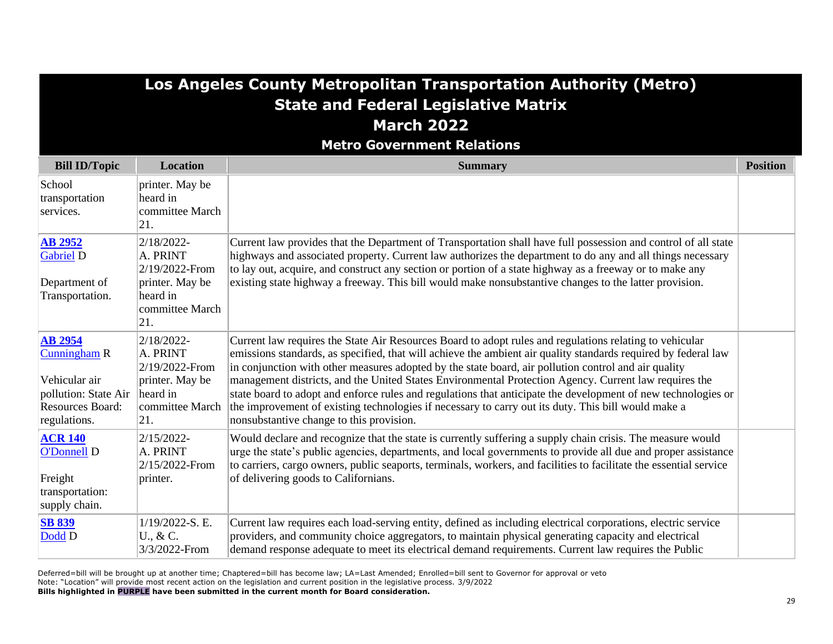|                                                                                                                           |                                                                                                    | Los Angeles County Metropolitan Transportation Authority (Metro)<br><b>State and Federal Legislative Matrix</b><br><b>March 2022</b><br><b>Metro Government Relations</b>                                                                                                                                                                                                                                                                                                                                                                                                                                                                                                                                      |                 |
|---------------------------------------------------------------------------------------------------------------------------|----------------------------------------------------------------------------------------------------|----------------------------------------------------------------------------------------------------------------------------------------------------------------------------------------------------------------------------------------------------------------------------------------------------------------------------------------------------------------------------------------------------------------------------------------------------------------------------------------------------------------------------------------------------------------------------------------------------------------------------------------------------------------------------------------------------------------|-----------------|
| <b>Bill ID/Topic</b>                                                                                                      | <b>Location</b>                                                                                    | <b>Summary</b>                                                                                                                                                                                                                                                                                                                                                                                                                                                                                                                                                                                                                                                                                                 | <b>Position</b> |
| School<br>transportation<br>services.                                                                                     | printer. May be<br>heard in<br>committee March<br> 21.                                             |                                                                                                                                                                                                                                                                                                                                                                                                                                                                                                                                                                                                                                                                                                                |                 |
| <b>AB 2952</b><br><b>Gabriel D</b><br>Department of<br>Transportation.                                                    | 2/18/2022-<br>A. PRINT<br>2/19/2022-From<br>printer. May be<br>heard in<br>committee March<br> 21. | Current law provides that the Department of Transportation shall have full possession and control of all state<br>highways and associated property. Current law authorizes the department to do any and all things necessary<br>to lay out, acquire, and construct any section or portion of a state highway as a freeway or to make any<br>existing state highway a freeway. This bill would make nonsubstantive changes to the latter provision.                                                                                                                                                                                                                                                             |                 |
| <b>AB 2954</b><br><b>Cunningham R</b><br>Vehicular air<br>pollution: State Air<br><b>Resources Board:</b><br>regulations. | 2/18/2022-<br>A. PRINT<br>2/19/2022-From<br>printer. May be<br>heard in<br>committee March<br> 21. | Current law requires the State Air Resources Board to adopt rules and regulations relating to vehicular<br>emissions standards, as specified, that will achieve the ambient air quality standards required by federal law<br>in conjunction with other measures adopted by the state board, air pollution control and air quality<br>management districts, and the United States Environmental Protection Agency. Current law requires the<br>state board to adopt and enforce rules and regulations that anticipate the development of new technologies or<br>the improvement of existing technologies if necessary to carry out its duty. This bill would make a<br>nonsubstantive change to this provision. |                 |
| <b>ACR 140</b><br><b>O'Donnell D</b><br>Freight<br>transportation:<br>supply chain.                                       | 2/15/2022-<br>A. PRINT<br>2/15/2022-From<br>printer.                                               | Would declare and recognize that the state is currently suffering a supply chain crisis. The measure would<br>urge the state's public agencies, departments, and local governments to provide all due and proper assistance<br>to carriers, cargo owners, public seaports, terminals, workers, and facilities to facilitate the essential service<br>of delivering goods to Californians.                                                                                                                                                                                                                                                                                                                      |                 |
| <b>SB 839</b><br>Dodd D                                                                                                   | 1/19/2022-S. E.<br>U., & C.<br>3/3/2022-From                                                       | Current law requires each load-serving entity, defined as including electrical corporations, electric service<br>providers, and community choice aggregators, to maintain physical generating capacity and electrical<br>demand response adequate to meet its electrical demand requirements. Current law requires the Public                                                                                                                                                                                                                                                                                                                                                                                  |                 |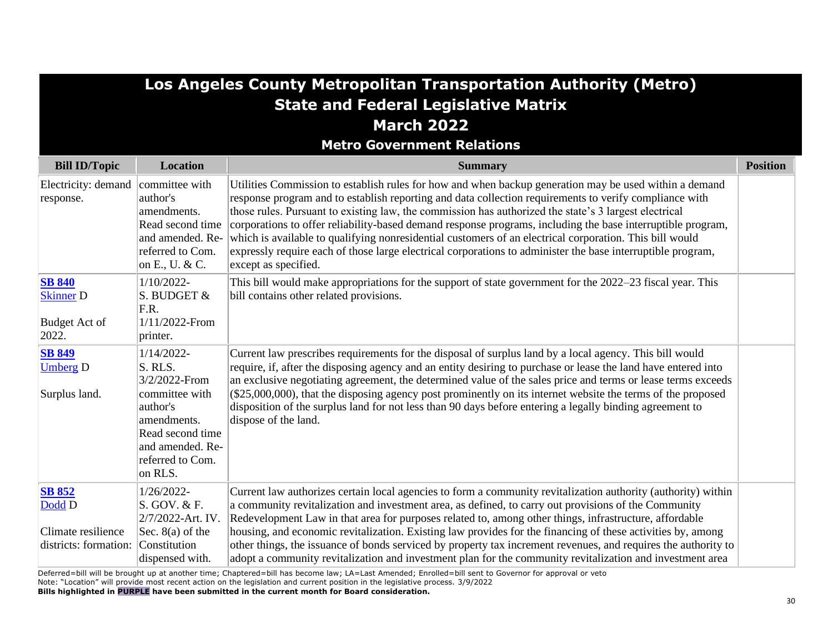|                                                                        |                                                                                                                                                               | Los Angeles County Metropolitan Transportation Authority (Metro)<br><b>State and Federal Legislative Matrix</b>                                                                                                                                                                                                                                                                                                                                                                                                                                                                                                                                                                            |                 |
|------------------------------------------------------------------------|---------------------------------------------------------------------------------------------------------------------------------------------------------------|--------------------------------------------------------------------------------------------------------------------------------------------------------------------------------------------------------------------------------------------------------------------------------------------------------------------------------------------------------------------------------------------------------------------------------------------------------------------------------------------------------------------------------------------------------------------------------------------------------------------------------------------------------------------------------------------|-----------------|
|                                                                        |                                                                                                                                                               | <b>March 2022</b>                                                                                                                                                                                                                                                                                                                                                                                                                                                                                                                                                                                                                                                                          |                 |
|                                                                        |                                                                                                                                                               | <b>Metro Government Relations</b>                                                                                                                                                                                                                                                                                                                                                                                                                                                                                                                                                                                                                                                          |                 |
| <b>Bill ID/Topic</b>                                                   | <b>Location</b>                                                                                                                                               | <b>Summary</b>                                                                                                                                                                                                                                                                                                                                                                                                                                                                                                                                                                                                                                                                             | <b>Position</b> |
| Electricity: demand<br>response.                                       | committee with<br>author's<br>amendments.<br>Read second time<br>and amended. Re-<br>referred to Com.<br>on E., U. & C.                                       | Utilities Commission to establish rules for how and when backup generation may be used within a demand<br>response program and to establish reporting and data collection requirements to verify compliance with<br>those rules. Pursuant to existing law, the commission has authorized the state's 3 largest electrical<br>corporations to offer reliability-based demand response programs, including the base interruptible program,<br>which is available to qualifying nonresidential customers of an electrical corporation. This bill would<br>expressly require each of those large electrical corporations to administer the base interruptible program,<br>except as specified. |                 |
| <b>SB 840</b><br><b>Skinner D</b><br><b>Budget Act of</b><br>2022.     | $1/10/2022$ -<br>S. BUDGET &<br>F.R.<br>1/11/2022-From<br>printer.                                                                                            | This bill would make appropriations for the support of state government for the 2022–23 fiscal year. This<br>bill contains other related provisions.                                                                                                                                                                                                                                                                                                                                                                                                                                                                                                                                       |                 |
| <b>SB 849</b><br><b>Umberg D</b><br>Surplus land.                      | $1/14/2022$ -<br>S. RLS.<br>3/2/2022-From<br>committee with<br>author's<br>amendments.<br>Read second time<br>and amended. Re-<br>referred to Com.<br>on RLS. | Current law prescribes requirements for the disposal of surplus land by a local agency. This bill would<br>require, if, after the disposing agency and an entity desiring to purchase or lease the land have entered into<br>an exclusive negotiating agreement, the determined value of the sales price and terms or lease terms exceeds<br>$($25,000,000)$ , that the disposing agency post prominently on its internet website the terms of the proposed<br>disposition of the surplus land for not less than 90 days before entering a legally binding agreement to<br>dispose of the land.                                                                                            |                 |
| <b>SB 852</b><br>Dodd D<br>Climate resilience<br>districts: formation: | 1/26/2022-<br>S. GOV. & F.<br>2/7/2022-Art. IV.<br>Sec. $8(a)$ of the<br>Constitution<br>dispensed with.                                                      | Current law authorizes certain local agencies to form a community revitalization authority (authority) within<br>a community revitalization and investment area, as defined, to carry out provisions of the Community<br>Redevelopment Law in that area for purposes related to, among other things, infrastructure, affordable<br>housing, and economic revitalization. Existing law provides for the financing of these activities by, among<br>other things, the issuance of bonds serviced by property tax increment revenues, and requires the authority to<br>adopt a community revitalization and investment plan for the community revitalization and investment area              |                 |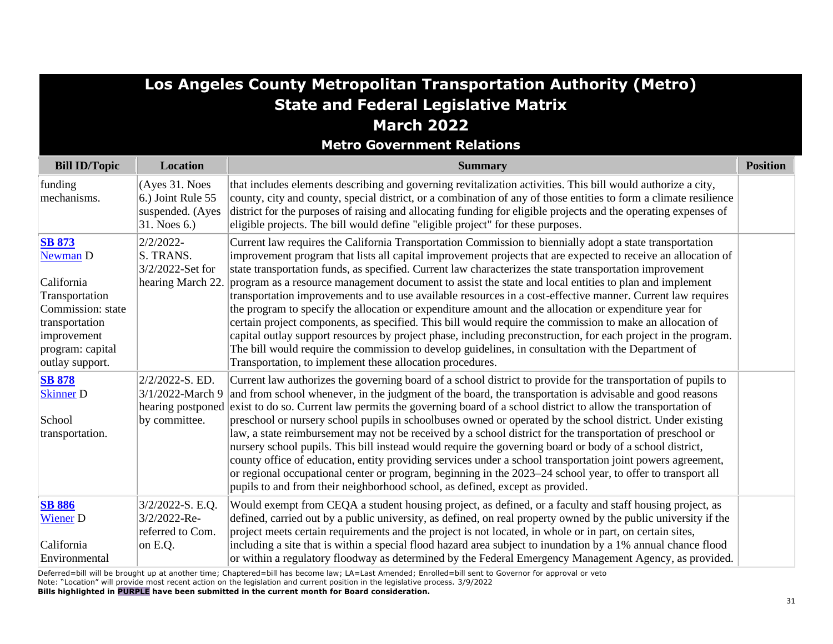|                                                                                                                                                        |                                                                           | Los Angeles County Metropolitan Transportation Authority (Metro)<br><b>State and Federal Legislative Matrix</b><br><b>March 2022</b>                                                                                                                                                                                                                                                                                                                                                                                                                                                                                                                                                                                                                                                                                                                                                                                                                                                                                                                                        |                 |
|--------------------------------------------------------------------------------------------------------------------------------------------------------|---------------------------------------------------------------------------|-----------------------------------------------------------------------------------------------------------------------------------------------------------------------------------------------------------------------------------------------------------------------------------------------------------------------------------------------------------------------------------------------------------------------------------------------------------------------------------------------------------------------------------------------------------------------------------------------------------------------------------------------------------------------------------------------------------------------------------------------------------------------------------------------------------------------------------------------------------------------------------------------------------------------------------------------------------------------------------------------------------------------------------------------------------------------------|-----------------|
|                                                                                                                                                        |                                                                           | <b>Metro Government Relations</b>                                                                                                                                                                                                                                                                                                                                                                                                                                                                                                                                                                                                                                                                                                                                                                                                                                                                                                                                                                                                                                           |                 |
| <b>Bill ID/Topic</b>                                                                                                                                   | <b>Location</b>                                                           | <b>Summary</b>                                                                                                                                                                                                                                                                                                                                                                                                                                                                                                                                                                                                                                                                                                                                                                                                                                                                                                                                                                                                                                                              | <b>Position</b> |
| funding<br>mechanisms.                                                                                                                                 | (Ayes 31. Noes<br>6.) Joint Rule 55<br>suspended. (Ayes<br>$31.$ Noes 6.) | that includes elements describing and governing revitalization activities. This bill would authorize a city,<br>county, city and county, special district, or a combination of any of those entities to form a climate resilience<br>district for the purposes of raising and allocating funding for eligible projects and the operating expenses of<br>eligible projects. The bill would define "eligible project" for these purposes.                                                                                                                                                                                                                                                                                                                                                                                                                                                                                                                                                                                                                                     |                 |
| <b>SB 873</b><br>Newman D<br>California<br>Transportation<br>Commission: state<br>transportation<br>improvement<br>program: capital<br>outlay support. | 2/2/2022-<br>S. TRANS.<br>3/2/2022-Set for<br>hearing March 22.           | Current law requires the California Transportation Commission to biennially adopt a state transportation<br>improvement program that lists all capital improvement projects that are expected to receive an allocation of<br>state transportation funds, as specified. Current law characterizes the state transportation improvement<br>program as a resource management document to assist the state and local entities to plan and implement<br>transportation improvements and to use available resources in a cost-effective manner. Current law requires<br>the program to specify the allocation or expenditure amount and the allocation or expenditure year for<br>certain project components, as specified. This bill would require the commission to make an allocation of<br>capital outlay support resources by project phase, including preconstruction, for each project in the program.<br>The bill would require the commission to develop guidelines, in consultation with the Department of<br>Transportation, to implement these allocation procedures. |                 |
| <b>SB 878</b><br><b>Skinner D</b><br>School<br>transportation.                                                                                         | 2/2/2022-S. ED.<br>3/1/2022-March 9<br>hearing postponed<br>by committee. | Current law authorizes the governing board of a school district to provide for the transportation of pupils to<br>and from school whenever, in the judgment of the board, the transportation is advisable and good reasons<br>exist to do so. Current law permits the governing board of a school district to allow the transportation of<br>preschool or nursery school pupils in schoolbuses owned or operated by the school district. Under existing<br>law, a state reimbursement may not be received by a school district for the transportation of preschool or<br>nursery school pupils. This bill instead would require the governing board or body of a school district,<br>county office of education, entity providing services under a school transportation joint powers agreement,<br>or regional occupational center or program, beginning in the 2023–24 school year, to offer to transport all<br>pupils to and from their neighborhood school, as defined, except as provided.                                                                            |                 |
| <b>SB 886</b><br>Wiener <sub>D</sub><br>California<br>Environmental                                                                                    | $3/2/2022-S. E.Q.$<br>3/2/2022-Re-<br>referred to Com.<br>on E.Q.         | Would exempt from CEQA a student housing project, as defined, or a faculty and staff housing project, as<br>defined, carried out by a public university, as defined, on real property owned by the public university if the<br>project meets certain requirements and the project is not located, in whole or in part, on certain sites,<br>including a site that is within a special flood hazard area subject to inundation by a 1% annual chance flood<br>or within a regulatory floodway as determined by the Federal Emergency Management Agency, as provided.                                                                                                                                                                                                                                                                                                                                                                                                                                                                                                         |                 |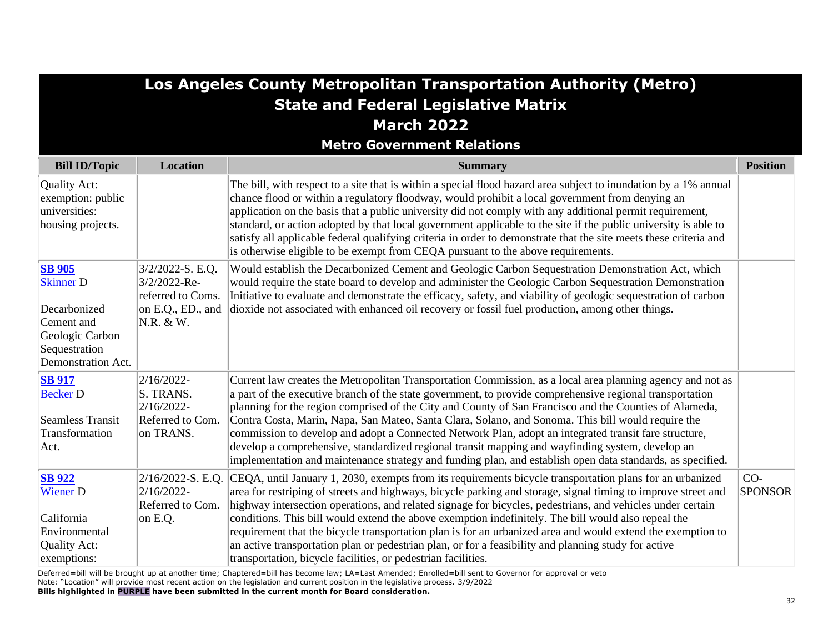|                                                                                                                           |                                                                                         | Los Angeles County Metropolitan Transportation Authority (Metro)                                                                                                                                                                                                                                                                                                                                                                                                                                                                                                                                                                                                                                                                                                  |                         |
|---------------------------------------------------------------------------------------------------------------------------|-----------------------------------------------------------------------------------------|-------------------------------------------------------------------------------------------------------------------------------------------------------------------------------------------------------------------------------------------------------------------------------------------------------------------------------------------------------------------------------------------------------------------------------------------------------------------------------------------------------------------------------------------------------------------------------------------------------------------------------------------------------------------------------------------------------------------------------------------------------------------|-------------------------|
|                                                                                                                           |                                                                                         | <b>State and Federal Legislative Matrix</b>                                                                                                                                                                                                                                                                                                                                                                                                                                                                                                                                                                                                                                                                                                                       |                         |
|                                                                                                                           |                                                                                         | <b>March 2022</b>                                                                                                                                                                                                                                                                                                                                                                                                                                                                                                                                                                                                                                                                                                                                                 |                         |
|                                                                                                                           |                                                                                         | <b>Metro Government Relations</b>                                                                                                                                                                                                                                                                                                                                                                                                                                                                                                                                                                                                                                                                                                                                 |                         |
| <b>Bill ID/Topic</b>                                                                                                      | <b>Location</b>                                                                         | <b>Summary</b>                                                                                                                                                                                                                                                                                                                                                                                                                                                                                                                                                                                                                                                                                                                                                    | <b>Position</b>         |
| Quality Act:<br>exemption: public<br>universities:<br>housing projects.                                                   |                                                                                         | The bill, with respect to a site that is within a special flood hazard area subject to inundation by a 1% annual<br>chance flood or within a regulatory floodway, would prohibit a local government from denying an<br>application on the basis that a public university did not comply with any additional permit requirement,<br>standard, or action adopted by that local government applicable to the site if the public university is able to<br>satisfy all applicable federal qualifying criteria in order to demonstrate that the site meets these criteria and<br>is otherwise eligible to be exempt from CEQA pursuant to the above requirements.                                                                                                       |                         |
| <b>SB 905</b><br><b>Skinner D</b><br>Decarbonized<br>Cement and<br>Geologic Carbon<br>Sequestration<br>Demonstration Act. | 3/2/2022-S. E.Q.<br>3/2/2022-Re-<br>referred to Coms.<br>on E.Q., ED., and<br>N.R. & W. | Would establish the Decarbonized Cement and Geologic Carbon Sequestration Demonstration Act, which<br>would require the state board to develop and administer the Geologic Carbon Sequestration Demonstration<br>Initiative to evaluate and demonstrate the efficacy, safety, and viability of geologic sequestration of carbon<br>dioxide not associated with enhanced oil recovery or fossil fuel production, among other things.                                                                                                                                                                                                                                                                                                                               |                         |
| <b>SB 917</b><br><b>Becker D</b><br><b>Seamless Transit</b><br>Transformation<br>Act.                                     | $2/16/2022$ -<br>S. TRANS.<br>2/16/2022-<br>Referred to Com.<br>on TRANS.               | Current law creates the Metropolitan Transportation Commission, as a local area planning agency and not as<br>a part of the executive branch of the state government, to provide comprehensive regional transportation<br>planning for the region comprised of the City and County of San Francisco and the Counties of Alameda,<br>Contra Costa, Marin, Napa, San Mateo, Santa Clara, Solano, and Sonoma. This bill would require the<br>commission to develop and adopt a Connected Network Plan, adopt an integrated transit fare structure,<br>develop a comprehensive, standardized regional transit mapping and wayfinding system, develop an<br>implementation and maintenance strategy and funding plan, and establish open data standards, as specified. |                         |
| <b>SB 922</b><br><b>Wiener D</b><br>California<br>Environmental<br>Quality Act:<br>exemptions:                            | 2/16/2022-S. E.Q.<br>$2/16/2022$ -<br>Referred to Com.<br>on E.Q.                       | CEQA, until January 1, 2030, exempts from its requirements bicycle transportation plans for an urbanized<br>area for restriping of streets and highways, bicycle parking and storage, signal timing to improve street and<br>highway intersection operations, and related signage for bicycles, pedestrians, and vehicles under certain<br>conditions. This bill would extend the above exemption indefinitely. The bill would also repeal the<br>requirement that the bicycle transportation plan is for an urbanized area and would extend the exemption to<br>an active transportation plan or pedestrian plan, or for a feasibility and planning study for active<br>transportation, bicycle facilities, or pedestrian facilities.                            | $CO-$<br><b>SPONSOR</b> |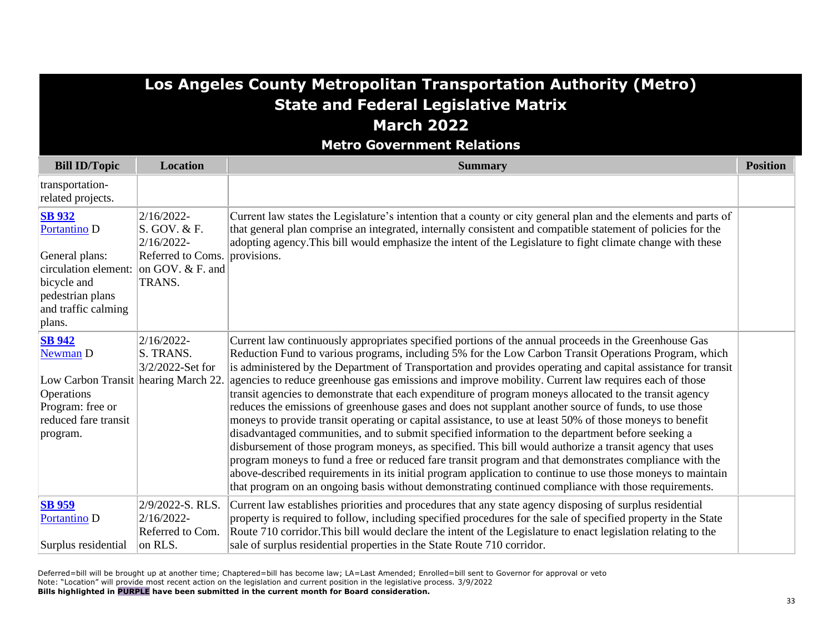| Los Angeles County Metropolitan Transportation Authority (Metro)                                                                            |                                                                                                           |                                                                                                                                                                                                                                                                                                                                                                                                                                                                                                                                                                                                                                                                                                                                                                                                                                                                                                                                                                                                                                                                                                                                                                                                                                                                                                                             |                 |
|---------------------------------------------------------------------------------------------------------------------------------------------|-----------------------------------------------------------------------------------------------------------|-----------------------------------------------------------------------------------------------------------------------------------------------------------------------------------------------------------------------------------------------------------------------------------------------------------------------------------------------------------------------------------------------------------------------------------------------------------------------------------------------------------------------------------------------------------------------------------------------------------------------------------------------------------------------------------------------------------------------------------------------------------------------------------------------------------------------------------------------------------------------------------------------------------------------------------------------------------------------------------------------------------------------------------------------------------------------------------------------------------------------------------------------------------------------------------------------------------------------------------------------------------------------------------------------------------------------------|-----------------|
|                                                                                                                                             |                                                                                                           | <b>State and Federal Legislative Matrix</b>                                                                                                                                                                                                                                                                                                                                                                                                                                                                                                                                                                                                                                                                                                                                                                                                                                                                                                                                                                                                                                                                                                                                                                                                                                                                                 |                 |
|                                                                                                                                             |                                                                                                           | <b>March 2022</b>                                                                                                                                                                                                                                                                                                                                                                                                                                                                                                                                                                                                                                                                                                                                                                                                                                                                                                                                                                                                                                                                                                                                                                                                                                                                                                           |                 |
|                                                                                                                                             |                                                                                                           | <b>Metro Government Relations</b>                                                                                                                                                                                                                                                                                                                                                                                                                                                                                                                                                                                                                                                                                                                                                                                                                                                                                                                                                                                                                                                                                                                                                                                                                                                                                           |                 |
| <b>Bill ID/Topic</b>                                                                                                                        | <b>Location</b>                                                                                           | <b>Summary</b>                                                                                                                                                                                                                                                                                                                                                                                                                                                                                                                                                                                                                                                                                                                                                                                                                                                                                                                                                                                                                                                                                                                                                                                                                                                                                                              | <b>Position</b> |
| transportation-<br>related projects.                                                                                                        |                                                                                                           |                                                                                                                                                                                                                                                                                                                                                                                                                                                                                                                                                                                                                                                                                                                                                                                                                                                                                                                                                                                                                                                                                                                                                                                                                                                                                                                             |                 |
| <b>SB 932</b><br>Portantino D<br>General plans:<br>circulation element:<br>bicycle and<br>pedestrian plans<br>and traffic calming<br>plans. | 2/16/2022-<br>S. GOV. & F.<br>2/16/2022-<br>Referred to Coms. provisions.<br>on GOV. $&$ F. and<br>TRANS. | Current law states the Legislature's intention that a county or city general plan and the elements and parts of<br>that general plan comprise an integrated, internally consistent and compatible statement of policies for the<br>adopting agency. This bill would emphasize the intent of the Legislature to fight climate change with these                                                                                                                                                                                                                                                                                                                                                                                                                                                                                                                                                                                                                                                                                                                                                                                                                                                                                                                                                                              |                 |
| <b>SB 942</b><br>Newman D<br>Low Carbon Transit hearing March 22<br>Operations<br>Program: free or<br>reduced fare transit<br>program.      | 2/16/2022-<br>S. TRANS.<br>3/2/2022-Set for                                                               | Current law continuously appropriates specified portions of the annual proceeds in the Greenhouse Gas<br>Reduction Fund to various programs, including 5% for the Low Carbon Transit Operations Program, which<br>is administered by the Department of Transportation and provides operating and capital assistance for transit<br>agencies to reduce greenhouse gas emissions and improve mobility. Current law requires each of those<br>transit agencies to demonstrate that each expenditure of program moneys allocated to the transit agency<br>reduces the emissions of greenhouse gases and does not supplant another source of funds, to use those<br>moneys to provide transit operating or capital assistance, to use at least 50% of those moneys to benefit<br>disadvantaged communities, and to submit specified information to the department before seeking a<br>disbursement of those program moneys, as specified. This bill would authorize a transit agency that uses<br>program moneys to fund a free or reduced fare transit program and that demonstrates compliance with the<br>above-described requirements in its initial program application to continue to use those moneys to maintain<br>that program on an ongoing basis without demonstrating continued compliance with those requirements. |                 |
| <b>SB</b> 959<br>Portantino D<br>Surplus residential                                                                                        | 2/9/2022-S. RLS.<br>2/16/2022-<br>Referred to Com.<br>on RLS.                                             | Current law establishes priorities and procedures that any state agency disposing of surplus residential<br>property is required to follow, including specified procedures for the sale of specified property in the State<br>Route 710 corridor. This bill would declare the intent of the Legislature to enact legislation relating to the<br>sale of surplus residential properties in the State Route 710 corridor.                                                                                                                                                                                                                                                                                                                                                                                                                                                                                                                                                                                                                                                                                                                                                                                                                                                                                                     |                 |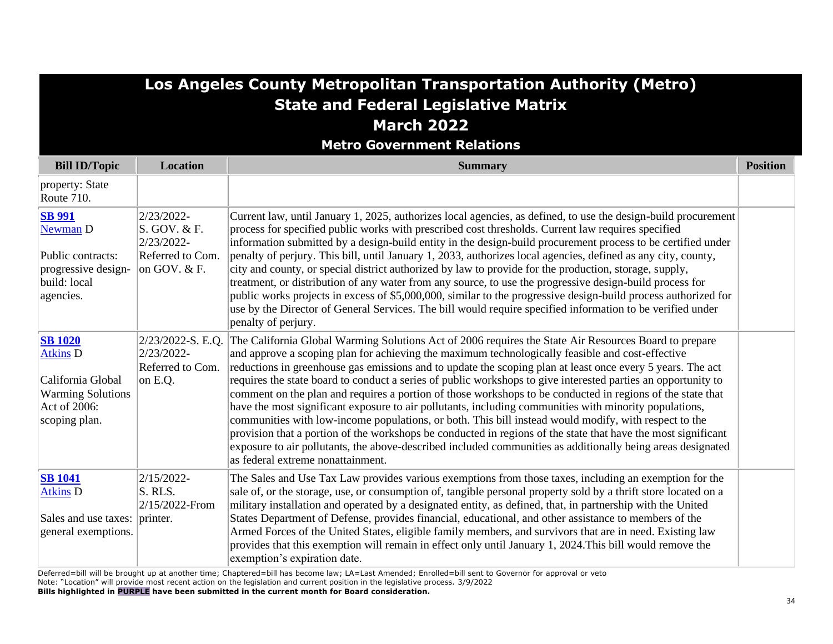## **Los Angeles County Metropolitan Transportation Authority (Metro) State and Federal Legislative Matrix March 2022**

**Metro Government Relations**

| <b>Bill ID/Topic</b>                                                                                                | <b>Location</b>                                                                | <b>Summary</b>                                                                                                                                                                                                                                                                                                                                                                                                                                                                                                                                                                                                                                                                                                                                                                                                                                                                                                                                                                                                                                 | <b>Position</b> |
|---------------------------------------------------------------------------------------------------------------------|--------------------------------------------------------------------------------|------------------------------------------------------------------------------------------------------------------------------------------------------------------------------------------------------------------------------------------------------------------------------------------------------------------------------------------------------------------------------------------------------------------------------------------------------------------------------------------------------------------------------------------------------------------------------------------------------------------------------------------------------------------------------------------------------------------------------------------------------------------------------------------------------------------------------------------------------------------------------------------------------------------------------------------------------------------------------------------------------------------------------------------------|-----------------|
| property: State<br>Route 710.                                                                                       |                                                                                |                                                                                                                                                                                                                                                                                                                                                                                                                                                                                                                                                                                                                                                                                                                                                                                                                                                                                                                                                                                                                                                |                 |
| <b>SB 991</b><br>Newman D<br>Public contracts:<br>progressive design-<br>build: local<br>agencies.                  | 2/23/2022-<br>S. GOV. & F.<br>2/23/2022-<br>Referred to Com.<br>on GOV. $&$ F. | Current law, until January 1, 2025, authorizes local agencies, as defined, to use the design-build procurement<br>process for specified public works with prescribed cost thresholds. Current law requires specified<br>information submitted by a design-build entity in the design-build procurement process to be certified under<br>penalty of perjury. This bill, until January 1, 2033, authorizes local agencies, defined as any city, county,<br>city and county, or special district authorized by law to provide for the production, storage, supply,<br>treatment, or distribution of any water from any source, to use the progressive design-build process for<br>public works projects in excess of \$5,000,000, similar to the progressive design-build process authorized for<br>use by the Director of General Services. The bill would require specified information to be verified under<br>penalty of perjury.                                                                                                             |                 |
| <b>SB 1020</b><br><b>Atkins D</b><br>California Global<br><b>Warming Solutions</b><br>Act of 2006:<br>scoping plan. | 2/23/2022-S. E.Q.<br>2/23/2022-<br>Referred to Com.<br>on E.Q.                 | The California Global Warming Solutions Act of 2006 requires the State Air Resources Board to prepare<br>and approve a scoping plan for achieving the maximum technologically feasible and cost-effective<br>reductions in greenhouse gas emissions and to update the scoping plan at least once every 5 years. The act<br>requires the state board to conduct a series of public workshops to give interested parties an opportunity to<br>comment on the plan and requires a portion of those workshops to be conducted in regions of the state that<br>have the most significant exposure to air pollutants, including communities with minority populations,<br>communities with low-income populations, or both. This bill instead would modify, with respect to the<br>provision that a portion of the workshops be conducted in regions of the state that have the most significant<br>exposure to air pollutants, the above-described included communities as additionally being areas designated<br>as federal extreme nonattainment. |                 |
| <b>SB</b> 1041<br><b>Atkins</b> D<br>Sales and use taxes:<br>general exemptions.                                    | 2/15/2022-<br>S. RLS.<br>$2/15/2022$ -From<br>printer.                         | The Sales and Use Tax Law provides various exemptions from those taxes, including an exemption for the<br>sale of, or the storage, use, or consumption of, tangible personal property sold by a thrift store located on a<br>military installation and operated by a designated entity, as defined, that, in partnership with the United<br>States Department of Defense, provides financial, educational, and other assistance to members of the<br>Armed Forces of the United States, eligible family members, and survivors that are in need. Existing law<br>provides that this exemption will remain in effect only until January 1, 2024. This bill would remove the<br>exemption's expiration date.                                                                                                                                                                                                                                                                                                                                     |                 |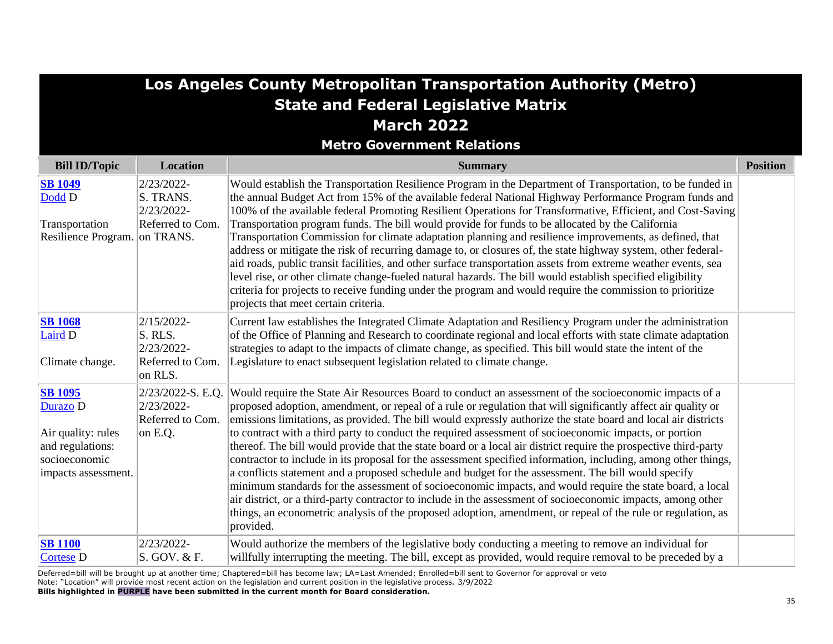| Los Angeles County Metropolitan Transportation Authority (Metro)                                             |                                                                    |                                                                                                                                                                                                                                                                                                                                                                                                                                                                                                                                                                                                                                                                                                                                                                                                                                                                                                                                                                                                                                                                                                                                                            |                 |  |  |
|--------------------------------------------------------------------------------------------------------------|--------------------------------------------------------------------|------------------------------------------------------------------------------------------------------------------------------------------------------------------------------------------------------------------------------------------------------------------------------------------------------------------------------------------------------------------------------------------------------------------------------------------------------------------------------------------------------------------------------------------------------------------------------------------------------------------------------------------------------------------------------------------------------------------------------------------------------------------------------------------------------------------------------------------------------------------------------------------------------------------------------------------------------------------------------------------------------------------------------------------------------------------------------------------------------------------------------------------------------------|-----------------|--|--|
| <b>State and Federal Legislative Matrix</b>                                                                  |                                                                    |                                                                                                                                                                                                                                                                                                                                                                                                                                                                                                                                                                                                                                                                                                                                                                                                                                                                                                                                                                                                                                                                                                                                                            |                 |  |  |
| <b>March 2022</b>                                                                                            |                                                                    |                                                                                                                                                                                                                                                                                                                                                                                                                                                                                                                                                                                                                                                                                                                                                                                                                                                                                                                                                                                                                                                                                                                                                            |                 |  |  |
|                                                                                                              |                                                                    | <b>Metro Government Relations</b>                                                                                                                                                                                                                                                                                                                                                                                                                                                                                                                                                                                                                                                                                                                                                                                                                                                                                                                                                                                                                                                                                                                          |                 |  |  |
| <b>Bill ID/Topic</b>                                                                                         | <b>Location</b>                                                    | <b>Summary</b>                                                                                                                                                                                                                                                                                                                                                                                                                                                                                                                                                                                                                                                                                                                                                                                                                                                                                                                                                                                                                                                                                                                                             | <b>Position</b> |  |  |
| <b>SB 1049</b><br>Dodd D                                                                                     | 2/23/2022-<br>S. TRANS.<br>2/23/2022-                              | Would establish the Transportation Resilience Program in the Department of Transportation, to be funded in<br>the annual Budget Act from 15% of the available federal National Highway Performance Program funds and<br>100% of the available federal Promoting Resilient Operations for Transformative, Efficient, and Cost-Saving                                                                                                                                                                                                                                                                                                                                                                                                                                                                                                                                                                                                                                                                                                                                                                                                                        |                 |  |  |
| Transportation<br>Resilience Program. on TRANS.                                                              | Referred to Com.                                                   | Transportation program funds. The bill would provide for funds to be allocated by the California<br>Transportation Commission for climate adaptation planning and resilience improvements, as defined, that<br>address or mitigate the risk of recurring damage to, or closures of, the state highway system, other federal-<br>aid roads, public transit facilities, and other surface transportation assets from extreme weather events, sea<br>level rise, or other climate change-fueled natural hazards. The bill would establish specified eligibility<br>criteria for projects to receive funding under the program and would require the commission to prioritize<br>projects that meet certain criteria.                                                                                                                                                                                                                                                                                                                                                                                                                                          |                 |  |  |
| <b>SB 1068</b><br>Laird D<br>Climate change.                                                                 | 2/15/2022-<br>S. RLS.<br>2/23/2022-<br>Referred to Com.<br>on RLS. | Current law establishes the Integrated Climate Adaptation and Resiliency Program under the administration<br>of the Office of Planning and Research to coordinate regional and local efforts with state climate adaptation<br>strategies to adapt to the impacts of climate change, as specified. This bill would state the intent of the<br>Legislature to enact subsequent legislation related to climate change.                                                                                                                                                                                                                                                                                                                                                                                                                                                                                                                                                                                                                                                                                                                                        |                 |  |  |
| <b>SB 1095</b><br>Durazo D<br>Air quality: rules<br>and regulations:<br>socioeconomic<br>impacts assessment. | 2/23/2022-S. E.Q.<br>2/23/2022-<br>Referred to Com.<br>on E.Q.     | Would require the State Air Resources Board to conduct an assessment of the socioeconomic impacts of a<br>proposed adoption, amendment, or repeal of a rule or regulation that will significantly affect air quality or<br>emissions limitations, as provided. The bill would expressly authorize the state board and local air districts<br>to contract with a third party to conduct the required assessment of socioeconomic impacts, or portion<br>thereof. The bill would provide that the state board or a local air district require the prospective third-party<br>contractor to include in its proposal for the assessment specified information, including, among other things,<br>a conflicts statement and a proposed schedule and budget for the assessment. The bill would specify<br>minimum standards for the assessment of socioeconomic impacts, and would require the state board, a local<br>air district, or a third-party contractor to include in the assessment of socioeconomic impacts, among other<br>things, an econometric analysis of the proposed adoption, amendment, or repeal of the rule or regulation, as<br>provided. |                 |  |  |
| <b>SB 1100</b><br><b>Cortese D</b><br>all the fill and fill the collection                                   | 2/23/2022-<br>S. GOV. & F.                                         | Would authorize the members of the legislative body conducting a meeting to remove an individual for<br>willfully interrupting the meeting. The bill, except as provided, would require removal to be preceded by a<br>$\sigma$ and the set of the set of the set of the set of the set of the set of the set of $\sigma$ . The set of the set of the set of the set of the set of the set of the set of the set of the set of the set of the set of the set                                                                                                                                                                                                                                                                                                                                                                                                                                                                                                                                                                                                                                                                                               |                 |  |  |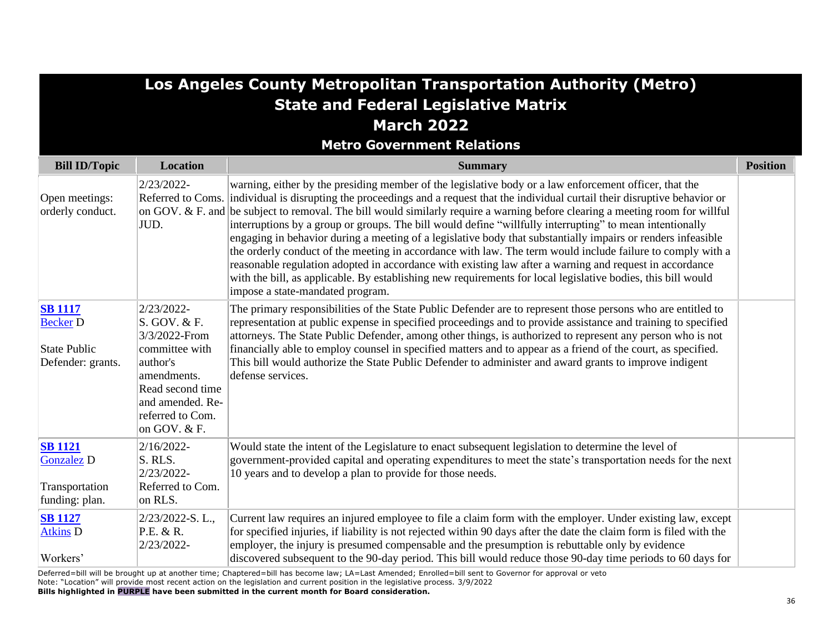| Los Angeles County Metropolitan Transportation Authority (Metro)              |                                                                                                                                                                      |                                                                                                                                                                                                                                                                                                                                                                                                                                                                                                                                                                                                                                                                                                                                                                                                                                                                                                                                                                                       |                 |  |  |
|-------------------------------------------------------------------------------|----------------------------------------------------------------------------------------------------------------------------------------------------------------------|---------------------------------------------------------------------------------------------------------------------------------------------------------------------------------------------------------------------------------------------------------------------------------------------------------------------------------------------------------------------------------------------------------------------------------------------------------------------------------------------------------------------------------------------------------------------------------------------------------------------------------------------------------------------------------------------------------------------------------------------------------------------------------------------------------------------------------------------------------------------------------------------------------------------------------------------------------------------------------------|-----------------|--|--|
| <b>State and Federal Legislative Matrix</b>                                   |                                                                                                                                                                      |                                                                                                                                                                                                                                                                                                                                                                                                                                                                                                                                                                                                                                                                                                                                                                                                                                                                                                                                                                                       |                 |  |  |
| <b>March 2022</b>                                                             |                                                                                                                                                                      |                                                                                                                                                                                                                                                                                                                                                                                                                                                                                                                                                                                                                                                                                                                                                                                                                                                                                                                                                                                       |                 |  |  |
|                                                                               |                                                                                                                                                                      | <b>Metro Government Relations</b>                                                                                                                                                                                                                                                                                                                                                                                                                                                                                                                                                                                                                                                                                                                                                                                                                                                                                                                                                     |                 |  |  |
| <b>Bill ID/Topic</b>                                                          | <b>Location</b>                                                                                                                                                      | <b>Summary</b>                                                                                                                                                                                                                                                                                                                                                                                                                                                                                                                                                                                                                                                                                                                                                                                                                                                                                                                                                                        | <b>Position</b> |  |  |
| Open meetings:<br>orderly conduct.                                            | 2/23/2022-<br>JUD.                                                                                                                                                   | warning, either by the presiding member of the legislative body or a law enforcement officer, that the<br>Referred to Coms. individual is disrupting the proceedings and a request that the individual curtail their disruptive behavior or<br>on GOV. & F. and be subject to removal. The bill would similarly require a warning before clearing a meeting room for willful<br>interruptions by a group or groups. The bill would define "willfully interrupting" to mean intentionally<br>engaging in behavior during a meeting of a legislative body that substantially impairs or renders infeasible<br>the orderly conduct of the meeting in accordance with law. The term would include failure to comply with a<br>reasonable regulation adopted in accordance with existing law after a warning and request in accordance<br>with the bill, as applicable. By establishing new requirements for local legislative bodies, this bill would<br>impose a state-mandated program. |                 |  |  |
| <b>SB</b> 1117<br><b>Becker D</b><br><b>State Public</b><br>Defender: grants. | 2/23/2022-<br>S. GOV. & F.<br>3/3/2022-From<br>committee with<br>author's<br>amendments.<br>Read second time<br>and amended. Re-<br>referred to Com.<br>on GOV. & F. | The primary responsibilities of the State Public Defender are to represent those persons who are entitled to<br>representation at public expense in specified proceedings and to provide assistance and training to specified<br>attorneys. The State Public Defender, among other things, is authorized to represent any person who is not<br>financially able to employ counsel in specified matters and to appear as a friend of the court, as specified.<br>This bill would authorize the State Public Defender to administer and award grants to improve indigent<br>defense services.                                                                                                                                                                                                                                                                                                                                                                                           |                 |  |  |
| <b>SB</b> 1121<br><b>Gonzalez D</b><br>Transportation<br>funding: plan.       | $2/16/2022$ -<br>S. RLS.<br>2/23/2022-<br>Referred to Com.<br>on RLS.                                                                                                | Would state the intent of the Legislature to enact subsequent legislation to determine the level of<br>government-provided capital and operating expenditures to meet the state's transportation needs for the next<br>10 years and to develop a plan to provide for those needs.                                                                                                                                                                                                                                                                                                                                                                                                                                                                                                                                                                                                                                                                                                     |                 |  |  |
| <b>SB 1127</b><br><b>Atkins D</b><br>Workers'                                 | 2/23/2022-S.L.,<br>P.E. & R.<br>2/23/2022-                                                                                                                           | Current law requires an injured employee to file a claim form with the employer. Under existing law, except<br>for specified injuries, if liability is not rejected within 90 days after the date the claim form is filed with the<br>employer, the injury is presumed compensable and the presumption is rebuttable only by evidence<br>discovered subsequent to the 90-day period. This bill would reduce those 90-day time periods to 60 days for                                                                                                                                                                                                                                                                                                                                                                                                                                                                                                                                  |                 |  |  |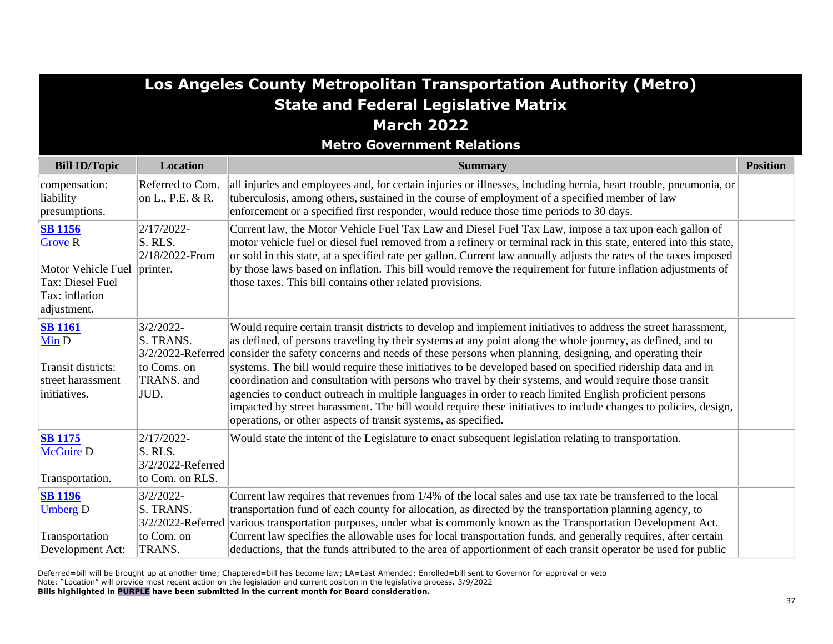| Los Angeles County Metropolitan Transportation Authority (Metro)<br><b>State and Federal Legislative Matrix</b><br><b>March 2022</b><br><b>Metro Government Relations</b> |                                                                |                                                                                                                                                                                                                                                                                                                                                                                                                                                                                                                                                                                                                                                                                                                                                                                                                                                                                  |                 |
|---------------------------------------------------------------------------------------------------------------------------------------------------------------------------|----------------------------------------------------------------|----------------------------------------------------------------------------------------------------------------------------------------------------------------------------------------------------------------------------------------------------------------------------------------------------------------------------------------------------------------------------------------------------------------------------------------------------------------------------------------------------------------------------------------------------------------------------------------------------------------------------------------------------------------------------------------------------------------------------------------------------------------------------------------------------------------------------------------------------------------------------------|-----------------|
| <b>Bill ID/Topic</b>                                                                                                                                                      | Location                                                       | <b>Summary</b>                                                                                                                                                                                                                                                                                                                                                                                                                                                                                                                                                                                                                                                                                                                                                                                                                                                                   | <b>Position</b> |
| compensation:<br>liability<br>presumptions.                                                                                                                               | Referred to Com.<br>on L., P.E. & R.                           | all injuries and employees and, for certain injuries or illnesses, including hernia, heart trouble, pneumonia, or<br>tuberculosis, among others, sustained in the course of employment of a specified member of law<br>enforcement or a specified first responder, would reduce those time periods to 30 days.                                                                                                                                                                                                                                                                                                                                                                                                                                                                                                                                                                   |                 |
| <b>SB</b> 1156<br><b>Grove R</b><br>Motor Vehicle Fuel printer.<br>Tax: Diesel Fuel<br>Tax: inflation<br>adjustment.                                                      | 2/17/2022-<br>S. RLS.<br>2/18/2022-From                        | Current law, the Motor Vehicle Fuel Tax Law and Diesel Fuel Tax Law, impose a tax upon each gallon of<br>motor vehicle fuel or diesel fuel removed from a refinery or terminal rack in this state, entered into this state,<br>or sold in this state, at a specified rate per gallon. Current law annually adjusts the rates of the taxes imposed<br>by those laws based on inflation. This bill would remove the requirement for future inflation adjustments of<br>those taxes. This bill contains other related provisions.                                                                                                                                                                                                                                                                                                                                                   |                 |
| <b>SB</b> 1161<br>Min D<br>Transit districts:<br>street harassment<br>initiatives.                                                                                        | $3/2/2022 -$<br>S. TRANS.<br>to Coms. on<br>TRANS. and<br>JUD. | Would require certain transit districts to develop and implement initiatives to address the street harassment,<br>as defined, of persons traveling by their systems at any point along the whole journey, as defined, and to<br>3/2/2022-Referred consider the safety concerns and needs of these persons when planning, designing, and operating their<br>systems. The bill would require these initiatives to be developed based on specified ridership data and in<br>coordination and consultation with persons who travel by their systems, and would require those transit<br>agencies to conduct outreach in multiple languages in order to reach limited English proficient persons<br>impacted by street harassment. The bill would require these initiatives to include changes to policies, design,<br>operations, or other aspects of transit systems, as specified. |                 |
| <b>SB 1175</b><br><b>McGuire D</b><br>Transportation.                                                                                                                     | 2/17/2022-<br>S. RLS.<br>3/2/2022-Referred<br>to Com. on RLS.  | Would state the intent of the Legislature to enact subsequent legislation relating to transportation.                                                                                                                                                                                                                                                                                                                                                                                                                                                                                                                                                                                                                                                                                                                                                                            |                 |
| <b>SB 1196</b><br><b>Umberg</b> D<br>Transportation<br>Development Act:                                                                                                   | $3/2/2022 -$<br>S. TRANS.<br>to Com. on<br>TRANS.              | Current law requires that revenues from 1/4% of the local sales and use tax rate be transferred to the local<br>transportation fund of each county for allocation, as directed by the transportation planning agency, to<br>3/2/2022-Referred various transportation purposes, under what is commonly known as the Transportation Development Act.<br>Current law specifies the allowable uses for local transportation funds, and generally requires, after certain<br>deductions, that the funds attributed to the area of apportionment of each transit operator be used for public                                                                                                                                                                                                                                                                                           |                 |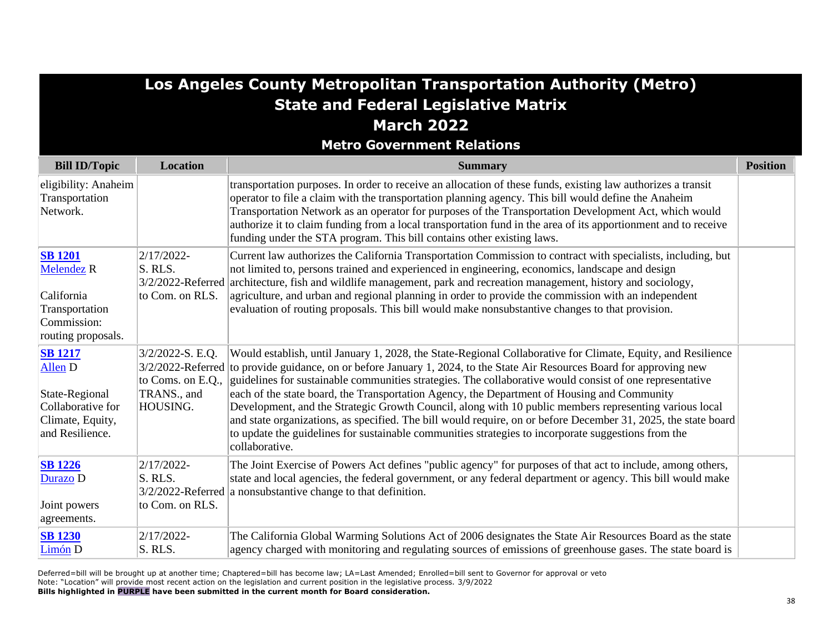| Los Angeles County Metropolitan Transportation Authority (Metro)<br><b>State and Federal Legislative Matrix</b><br><b>March 2022</b> |                                                                    |                                                                                                                                                                                                                                                                                                                                                                                                                                                                                                                                                                                                                                                                                                                                                                                                            |                 |  |
|--------------------------------------------------------------------------------------------------------------------------------------|--------------------------------------------------------------------|------------------------------------------------------------------------------------------------------------------------------------------------------------------------------------------------------------------------------------------------------------------------------------------------------------------------------------------------------------------------------------------------------------------------------------------------------------------------------------------------------------------------------------------------------------------------------------------------------------------------------------------------------------------------------------------------------------------------------------------------------------------------------------------------------------|-----------------|--|
|                                                                                                                                      |                                                                    | <b>Metro Government Relations</b>                                                                                                                                                                                                                                                                                                                                                                                                                                                                                                                                                                                                                                                                                                                                                                          |                 |  |
| <b>Bill ID/Topic</b>                                                                                                                 | <b>Location</b>                                                    | <b>Summary</b>                                                                                                                                                                                                                                                                                                                                                                                                                                                                                                                                                                                                                                                                                                                                                                                             | <b>Position</b> |  |
| eligibility: Anaheim<br>Transportation<br>Network.                                                                                   |                                                                    | transportation purposes. In order to receive an allocation of these funds, existing law authorizes a transit<br>operator to file a claim with the transportation planning agency. This bill would define the Anaheim<br>Transportation Network as an operator for purposes of the Transportation Development Act, which would<br>authorize it to claim funding from a local transportation fund in the area of its apportionment and to receive<br>funding under the STA program. This bill contains other existing laws.                                                                                                                                                                                                                                                                                  |                 |  |
| <b>SB 1201</b><br><b>Melendez R</b><br>California<br>Transportation<br>Commission:<br>routing proposals.                             | 2/17/2022-<br>$\vert$ S. RLS.<br>to Com. on RLS.                   | Current law authorizes the California Transportation Commission to contract with specialists, including, but<br>not limited to, persons trained and experienced in engineering, economics, landscape and design<br>3/2/2022-Referred architecture, fish and wildlife management, park and recreation management, history and sociology,<br>agriculture, and urban and regional planning in order to provide the commission with an independent<br>evaluation of routing proposals. This bill would make nonsubstantive changes to that provision.                                                                                                                                                                                                                                                          |                 |  |
| <b>SB 1217</b><br>Allen D<br>State-Regional<br>Collaborative for<br>Climate, Equity,<br>and Resilience.                              | $3/2/2022-S. E.Q.$<br>to Coms. on E.Q.,<br>TRANS., and<br>HOUSING. | Would establish, until January 1, 2028, the State-Regional Collaborative for Climate, Equity, and Resilience<br>$3/2/2022$ -Referred to provide guidance, on or before January 1, 2024, to the State Air Resources Board for approving new<br>guidelines for sustainable communities strategies. The collaborative would consist of one representative<br>each of the state board, the Transportation Agency, the Department of Housing and Community<br>Development, and the Strategic Growth Council, along with 10 public members representing various local<br>and state organizations, as specified. The bill would require, on or before December 31, 2025, the state board<br>to update the guidelines for sustainable communities strategies to incorporate suggestions from the<br>collaborative. |                 |  |
| <b>SB 1226</b><br>Durazo D<br>Joint powers<br>agreements.                                                                            | 2/17/2022-<br>S. RLS.<br>to Com. on RLS.                           | The Joint Exercise of Powers Act defines "public agency" for purposes of that act to include, among others,<br>state and local agencies, the federal government, or any federal department or agency. This bill would make<br>$ 3/2/2022$ -Referred a nonsubstantive change to that definition.                                                                                                                                                                                                                                                                                                                                                                                                                                                                                                            |                 |  |
| <b>SB 1230</b><br>Limón D                                                                                                            | $2/17/2022$ -<br>S. RLS.                                           | The California Global Warming Solutions Act of 2006 designates the State Air Resources Board as the state<br>agency charged with monitoring and regulating sources of emissions of greenhouse gases. The state board is                                                                                                                                                                                                                                                                                                                                                                                                                                                                                                                                                                                    |                 |  |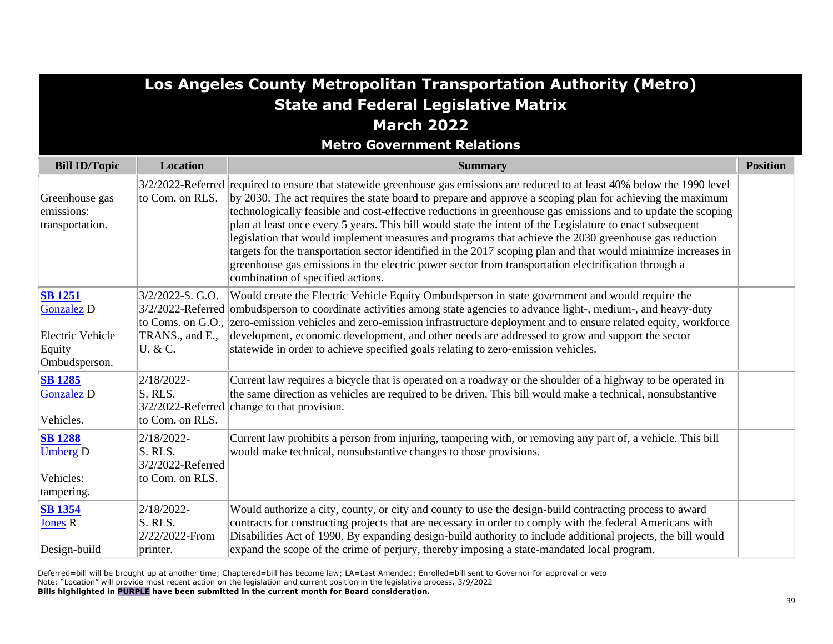| Los Angeles County Metropolitan Transportation Authority (Metro)<br><b>State and Federal Legislative Matrix</b> |                                                               |                                                                                                                                                                                                                                                                                                                                                                                                                                                                                                                                                                                                                                                                                                                                                                                                                                                |                 |  |  |
|-----------------------------------------------------------------------------------------------------------------|---------------------------------------------------------------|------------------------------------------------------------------------------------------------------------------------------------------------------------------------------------------------------------------------------------------------------------------------------------------------------------------------------------------------------------------------------------------------------------------------------------------------------------------------------------------------------------------------------------------------------------------------------------------------------------------------------------------------------------------------------------------------------------------------------------------------------------------------------------------------------------------------------------------------|-----------------|--|--|
| <b>March 2022</b>                                                                                               |                                                               |                                                                                                                                                                                                                                                                                                                                                                                                                                                                                                                                                                                                                                                                                                                                                                                                                                                |                 |  |  |
|                                                                                                                 |                                                               | <b>Metro Government Relations</b>                                                                                                                                                                                                                                                                                                                                                                                                                                                                                                                                                                                                                                                                                                                                                                                                              |                 |  |  |
| <b>Bill ID/Topic</b>                                                                                            | <b>Location</b>                                               | <b>Summary</b>                                                                                                                                                                                                                                                                                                                                                                                                                                                                                                                                                                                                                                                                                                                                                                                                                                 | <b>Position</b> |  |  |
| Greenhouse gas<br>emissions:<br>transportation.                                                                 | to Com. on RLS.                                               | 3/2/2022-Referred required to ensure that statewide greenhouse gas emissions are reduced to at least 40% below the 1990 level<br>by 2030. The act requires the state board to prepare and approve a scoping plan for achieving the maximum<br>technologically feasible and cost-effective reductions in greenhouse gas emissions and to update the scoping<br>plan at least once every 5 years. This bill would state the intent of the Legislature to enact subsequent<br>legislation that would implement measures and programs that achieve the 2030 greenhouse gas reduction<br>targets for the transportation sector identified in the 2017 scoping plan and that would minimize increases in<br>greenhouse gas emissions in the electric power sector from transportation electrification through a<br>combination of specified actions. |                 |  |  |
| <b>SB</b> 1251<br><b>Gonzalez D</b><br><b>Electric Vehicle</b><br>Equity<br>Ombudsperson.                       | 3/2/2022-S. G.O.<br>TRANS., and E.,<br>U. & C.                | Would create the Electric Vehicle Equity Ombudsperson in state government and would require the<br>3/2/2022-Referred ombudsperson to coordinate activities among state agencies to advance light-, medium-, and heavy-duty<br>to Coms. on G.O., zero-emission vehicles and zero-emission infrastructure deployment and to ensure related equity, workforce<br>development, economic development, and other needs are addressed to grow and support the sector<br>statewide in order to achieve specified goals relating to zero-emission vehicles.                                                                                                                                                                                                                                                                                             |                 |  |  |
| <b>SB 1285</b><br><b>Gonzalez D</b><br>Vehicles.                                                                | 2/18/2022-<br>S. RLS.<br>to Com. on RLS.                      | Current law requires a bicycle that is operated on a roadway or the shoulder of a highway to be operated in<br>the same direction as vehicles are required to be driven. This bill would make a technical, nonsubstantive<br>3/2/2022-Referred change to that provision.                                                                                                                                                                                                                                                                                                                                                                                                                                                                                                                                                                       |                 |  |  |
| <b>SB 1288</b><br><b>Umberg D</b><br>Vehicles:<br>tampering.                                                    | 2/18/2022-<br>S. RLS.<br>3/2/2022-Referred<br>to Com. on RLS. | Current law prohibits a person from injuring, tampering with, or removing any part of, a vehicle. This bill<br>would make technical, nonsubstantive changes to those provisions.                                                                                                                                                                                                                                                                                                                                                                                                                                                                                                                                                                                                                                                               |                 |  |  |
| <b>SB 1354</b><br><b>Jones R</b><br>Design-build                                                                | 2/18/2022-<br>S. RLS.<br>2/22/2022-From<br>printer.           | Would authorize a city, county, or city and county to use the design-build contracting process to award<br>contracts for constructing projects that are necessary in order to comply with the federal Americans with<br>Disabilities Act of 1990. By expanding design-build authority to include additional projects, the bill would<br>expand the scope of the crime of perjury, thereby imposing a state-mandated local program.                                                                                                                                                                                                                                                                                                                                                                                                             |                 |  |  |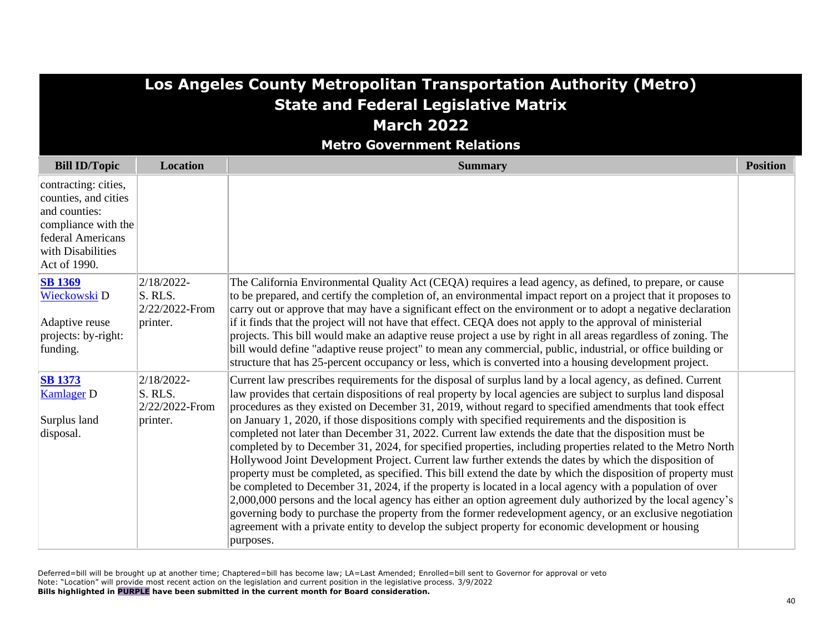| Los Angeles County Metropolitan Transportation Authority (Metro)<br><b>State and Federal Legislative Matrix</b><br><b>March 2022</b><br><b>Metro Government Relations</b> |                                                        |                                                                                                                                                                                                                                                                                                                                                                                                                                                                                                                                                                                                                                                                                                                                                                                                                                                                                                                                                                                                                                                                                                                                                                                                                                                                                                                                                                   |                 |
|---------------------------------------------------------------------------------------------------------------------------------------------------------------------------|--------------------------------------------------------|-------------------------------------------------------------------------------------------------------------------------------------------------------------------------------------------------------------------------------------------------------------------------------------------------------------------------------------------------------------------------------------------------------------------------------------------------------------------------------------------------------------------------------------------------------------------------------------------------------------------------------------------------------------------------------------------------------------------------------------------------------------------------------------------------------------------------------------------------------------------------------------------------------------------------------------------------------------------------------------------------------------------------------------------------------------------------------------------------------------------------------------------------------------------------------------------------------------------------------------------------------------------------------------------------------------------------------------------------------------------|-----------------|
| <b>Bill ID/Topic</b>                                                                                                                                                      | Location                                               | <b>Summary</b>                                                                                                                                                                                                                                                                                                                                                                                                                                                                                                                                                                                                                                                                                                                                                                                                                                                                                                                                                                                                                                                                                                                                                                                                                                                                                                                                                    | <b>Position</b> |
| contracting: cities,<br>counties, and cities<br>and counties:<br>compliance with the<br>federal Americans<br>with Disabilities<br>Act of 1990.                            |                                                        |                                                                                                                                                                                                                                                                                                                                                                                                                                                                                                                                                                                                                                                                                                                                                                                                                                                                                                                                                                                                                                                                                                                                                                                                                                                                                                                                                                   |                 |
| <b>SB</b> 1369<br>Wieckowski D<br>Adaptive reuse<br>projects: by-right:<br>funding.                                                                                       | 2/18/2022-<br>S. RLS.<br>2/22/2022-From<br>printer.    | The California Environmental Quality Act (CEQA) requires a lead agency, as defined, to prepare, or cause<br>to be prepared, and certify the completion of, an environmental impact report on a project that it proposes to<br>carry out or approve that may have a significant effect on the environment or to adopt a negative declaration<br>if it finds that the project will not have that effect. CEQA does not apply to the approval of ministerial<br>projects. This bill would make an adaptive reuse project a use by right in all areas regardless of zoning. The<br>bill would define "adaptive reuse project" to mean any commercial, public, industrial, or office building or<br>structure that has 25-percent occupancy or less, which is converted into a housing development project.                                                                                                                                                                                                                                                                                                                                                                                                                                                                                                                                                            |                 |
| <b>SB 1373</b><br><b>Kamlager D</b><br>Surplus land<br>disposal.                                                                                                          | $2/18/2022$ -<br>S. RLS.<br>2/22/2022-From<br>printer. | Current law prescribes requirements for the disposal of surplus land by a local agency, as defined. Current<br>law provides that certain dispositions of real property by local agencies are subject to surplus land disposal<br>procedures as they existed on December 31, 2019, without regard to specified amendments that took effect<br>on January 1, 2020, if those dispositions comply with specified requirements and the disposition is<br>completed not later than December 31, 2022. Current law extends the date that the disposition must be<br>completed by to December 31, 2024, for specified properties, including properties related to the Metro North<br>Hollywood Joint Development Project. Current law further extends the dates by which the disposition of<br>property must be completed, as specified. This bill extend the date by which the disposition of property must<br>be completed to December 31, 2024, if the property is located in a local agency with a population of over<br>2,000,000 persons and the local agency has either an option agreement duly authorized by the local agency's<br>governing body to purchase the property from the former redevelopment agency, or an exclusive negotiation<br>agreement with a private entity to develop the subject property for economic development or housing<br>purposes. |                 |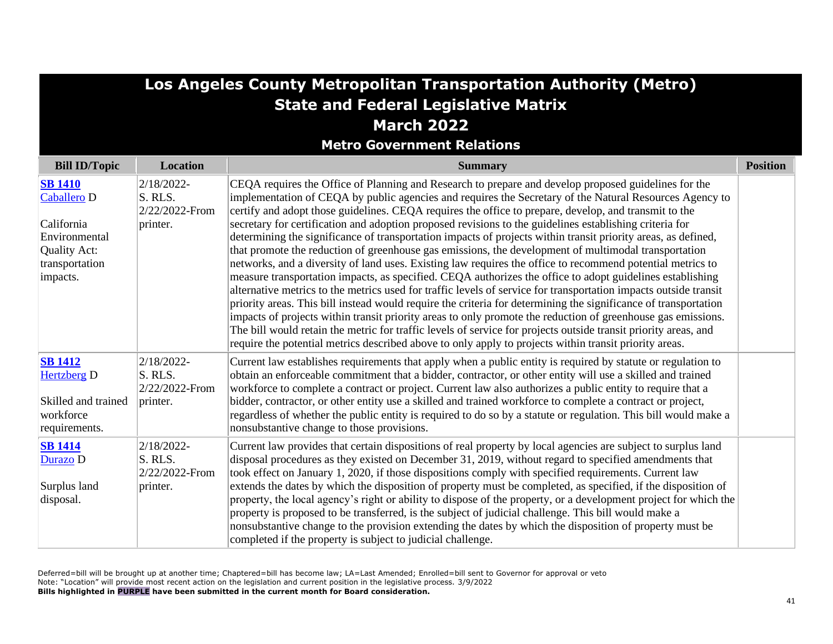| Los Angeles County Metropolitan Transportation Authority (Metro)<br><b>State and Federal Legislative Matrix</b>   |                                                     |                                                                                                                                                                                                                                                                                                                                                                                                                                                                                                                                                                                                                                                                                                                                                                                                                                                                                                                                                                                                                                                                                                                                                                                                                                                                                                                                                                                                                                                                             |                 |  |  |
|-------------------------------------------------------------------------------------------------------------------|-----------------------------------------------------|-----------------------------------------------------------------------------------------------------------------------------------------------------------------------------------------------------------------------------------------------------------------------------------------------------------------------------------------------------------------------------------------------------------------------------------------------------------------------------------------------------------------------------------------------------------------------------------------------------------------------------------------------------------------------------------------------------------------------------------------------------------------------------------------------------------------------------------------------------------------------------------------------------------------------------------------------------------------------------------------------------------------------------------------------------------------------------------------------------------------------------------------------------------------------------------------------------------------------------------------------------------------------------------------------------------------------------------------------------------------------------------------------------------------------------------------------------------------------------|-----------------|--|--|
| <b>March 2022</b>                                                                                                 |                                                     |                                                                                                                                                                                                                                                                                                                                                                                                                                                                                                                                                                                                                                                                                                                                                                                                                                                                                                                                                                                                                                                                                                                                                                                                                                                                                                                                                                                                                                                                             |                 |  |  |
|                                                                                                                   |                                                     | <b>Metro Government Relations</b>                                                                                                                                                                                                                                                                                                                                                                                                                                                                                                                                                                                                                                                                                                                                                                                                                                                                                                                                                                                                                                                                                                                                                                                                                                                                                                                                                                                                                                           |                 |  |  |
| <b>Bill ID/Topic</b>                                                                                              | <b>Location</b>                                     | <b>Summary</b>                                                                                                                                                                                                                                                                                                                                                                                                                                                                                                                                                                                                                                                                                                                                                                                                                                                                                                                                                                                                                                                                                                                                                                                                                                                                                                                                                                                                                                                              | <b>Position</b> |  |  |
| <b>SB 1410</b><br><b>Caballero D</b><br>California<br>Environmental<br>Quality Act:<br>transportation<br>impacts. | 2/18/2022-<br>S. RLS.<br>2/22/2022-From<br>printer. | CEQA requires the Office of Planning and Research to prepare and develop proposed guidelines for the<br>implementation of CEQA by public agencies and requires the Secretary of the Natural Resources Agency to<br>certify and adopt those guidelines. CEQA requires the office to prepare, develop, and transmit to the<br>secretary for certification and adoption proposed revisions to the guidelines establishing criteria for<br>determining the significance of transportation impacts of projects within transit priority areas, as defined,<br>that promote the reduction of greenhouse gas emissions, the development of multimodal transportation<br>networks, and a diversity of land uses. Existing law requires the office to recommend potential metrics to<br>measure transportation impacts, as specified. CEQA authorizes the office to adopt guidelines establishing<br>alternative metrics to the metrics used for traffic levels of service for transportation impacts outside transit<br>priority areas. This bill instead would require the criteria for determining the significance of transportation<br>impacts of projects within transit priority areas to only promote the reduction of greenhouse gas emissions.<br>The bill would retain the metric for traffic levels of service for projects outside transit priority areas, and<br>require the potential metrics described above to only apply to projects within transit priority areas. |                 |  |  |
| <b>SB 1412</b><br><b>Hertzberg</b> D<br>Skilled and trained<br>workforce<br>requirements.                         | 2/18/2022-<br>S. RLS.<br>2/22/2022-From<br>printer. | Current law establishes requirements that apply when a public entity is required by statute or regulation to<br>obtain an enforceable commitment that a bidder, contractor, or other entity will use a skilled and trained<br>workforce to complete a contract or project. Current law also authorizes a public entity to require that a<br>bidder, contractor, or other entity use a skilled and trained workforce to complete a contract or project,<br>regardless of whether the public entity is required to do so by a statute or regulation. This bill would make a<br>nonsubstantive change to those provisions.                                                                                                                                                                                                                                                                                                                                                                                                                                                                                                                                                                                                                                                                                                                                                                                                                                                     |                 |  |  |
| <b>SB 1414</b><br>Durazo D<br>Surplus land<br>disposal.                                                           | 2/18/2022-<br>S. RLS.<br>2/22/2022-From<br>printer. | Current law provides that certain dispositions of real property by local agencies are subject to surplus land<br>disposal procedures as they existed on December 31, 2019, without regard to specified amendments that<br>took effect on January 1, 2020, if those dispositions comply with specified requirements. Current law<br>extends the dates by which the disposition of property must be completed, as specified, if the disposition of<br>property, the local agency's right or ability to dispose of the property, or a development project for which the<br>property is proposed to be transferred, is the subject of judicial challenge. This bill would make a<br>nonsubstantive change to the provision extending the dates by which the disposition of property must be<br>completed if the property is subject to judicial challenge.                                                                                                                                                                                                                                                                                                                                                                                                                                                                                                                                                                                                                      |                 |  |  |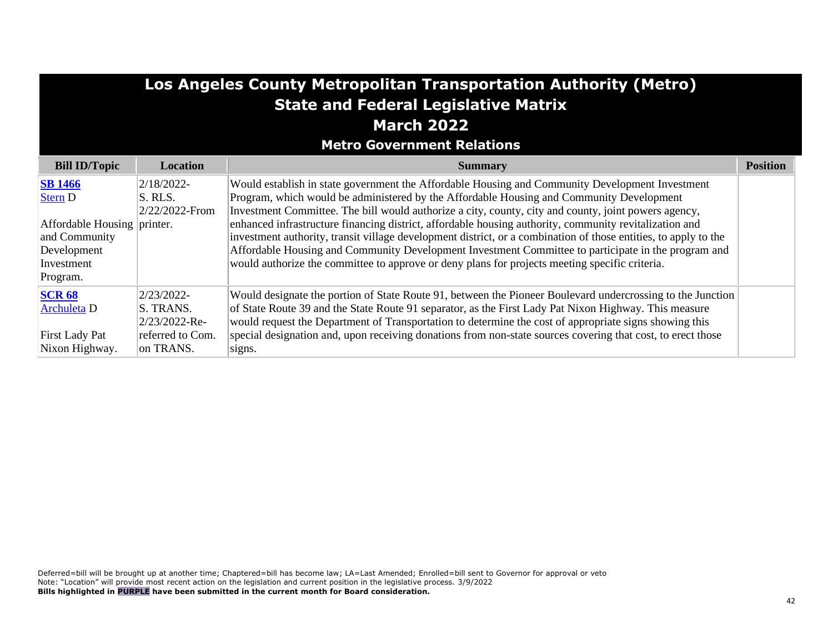| Los Angeles County Metropolitan Transportation Authority (Metro)<br><b>State and Federal Legislative Matrix</b><br><b>March 2022</b><br><b>Metro Government Relations</b>                                                                                                                                                                                                                                                                                                                                                                                                                                      |                                         |                                                                                                                                                                                                                                                                                                                                                                                                                                                                                                                                                                                                                                                                                                                                           |                 |  |  |
|----------------------------------------------------------------------------------------------------------------------------------------------------------------------------------------------------------------------------------------------------------------------------------------------------------------------------------------------------------------------------------------------------------------------------------------------------------------------------------------------------------------------------------------------------------------------------------------------------------------|-----------------------------------------|-------------------------------------------------------------------------------------------------------------------------------------------------------------------------------------------------------------------------------------------------------------------------------------------------------------------------------------------------------------------------------------------------------------------------------------------------------------------------------------------------------------------------------------------------------------------------------------------------------------------------------------------------------------------------------------------------------------------------------------------|-----------------|--|--|
| <b>Bill ID/Topic</b>                                                                                                                                                                                                                                                                                                                                                                                                                                                                                                                                                                                           | Location                                | <b>Summary</b>                                                                                                                                                                                                                                                                                                                                                                                                                                                                                                                                                                                                                                                                                                                            | <b>Position</b> |  |  |
| <b>SB</b> 1466<br><b>Stern D</b><br>Affordable Housing printer.<br>and Community<br>Development<br>Investment<br>Program.                                                                                                                                                                                                                                                                                                                                                                                                                                                                                      | 2/18/2022-<br>S. RLS.<br>2/22/2022-From | Would establish in state government the Affordable Housing and Community Development Investment<br>Program, which would be administered by the Affordable Housing and Community Development<br>Investment Committee. The bill would authorize a city, county, city and county, joint powers agency,<br>enhanced infrastructure financing district, affordable housing authority, community revitalization and<br>investment authority, transit village development district, or a combination of those entities, to apply to the<br>Affordable Housing and Community Development Investment Committee to participate in the program and<br>would authorize the committee to approve or deny plans for projects meeting specific criteria. |                 |  |  |
| <b>SCR 68</b><br>Would designate the portion of State Route 91, between the Pioneer Boulevard undercrossing to the Junction<br>2/23/2022-<br>of State Route 39 and the State Route 91 separator, as the First Lady Pat Nixon Highway. This measure<br>S. TRANS.<br><b>Archuleta</b> D<br>would request the Department of Transportation to determine the cost of appropriate signs showing this<br>2/23/2022-Re-<br>special designation and, upon receiving donations from non-state sources covering that cost, to erect those<br>referred to Com.<br>First Lady Pat<br>Nixon Highway.<br>on TRANS.<br>signs. |                                         |                                                                                                                                                                                                                                                                                                                                                                                                                                                                                                                                                                                                                                                                                                                                           |                 |  |  |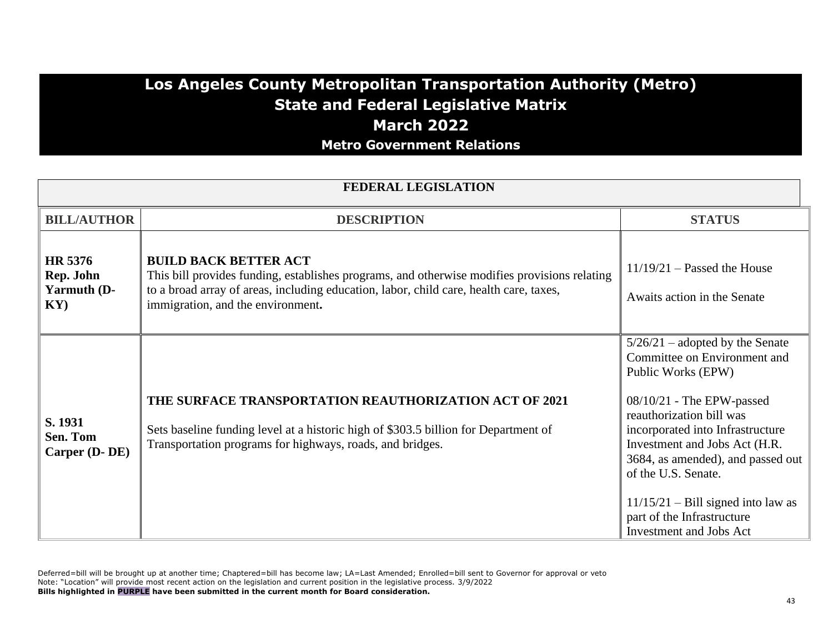### **Los Angeles County Metropolitan Transportation Authority (Metro) State and Federal Legislative Matrix March 2022 Metro Government Relations**

| <b>FEDERAL LEGISLATION</b>                 |                                                                                                                                                                                                                                                             |                                                                                                                                                                                                                                                                                                                                                                                           |  |  |
|--------------------------------------------|-------------------------------------------------------------------------------------------------------------------------------------------------------------------------------------------------------------------------------------------------------------|-------------------------------------------------------------------------------------------------------------------------------------------------------------------------------------------------------------------------------------------------------------------------------------------------------------------------------------------------------------------------------------------|--|--|
| <b>BILL/AUTHOR</b>                         | <b>DESCRIPTION</b>                                                                                                                                                                                                                                          | <b>STATUS</b>                                                                                                                                                                                                                                                                                                                                                                             |  |  |
| HR 5376<br>Rep. John<br>Yarmuth (D-<br>KY) | <b>BUILD BACK BETTER ACT</b><br>This bill provides funding, establishes programs, and otherwise modifies provisions relating<br>to a broad array of areas, including education, labor, child care, health care, taxes,<br>immigration, and the environment. | $11/19/21$ – Passed the House<br>Awaits action in the Senate                                                                                                                                                                                                                                                                                                                              |  |  |
| S. 1931<br>Sen. Tom<br>Carper (D-DE)       | THE SURFACE TRANSPORTATION REAUTHORIZATION ACT OF 2021<br>Sets baseline funding level at a historic high of \$303.5 billion for Department of<br>Transportation programs for highways, roads, and bridges.                                                  | $5/26/21$ – adopted by the Senate<br>Committee on Environment and<br>Public Works (EPW)<br>08/10/21 - The EPW-passed<br>reauthorization bill was<br>incorporated into Infrastructure<br>Investment and Jobs Act (H.R.<br>3684, as amended), and passed out<br>of the U.S. Senate.<br>$11/15/21$ – Bill signed into law as<br>part of the Infrastructure<br><b>Investment and Jobs Act</b> |  |  |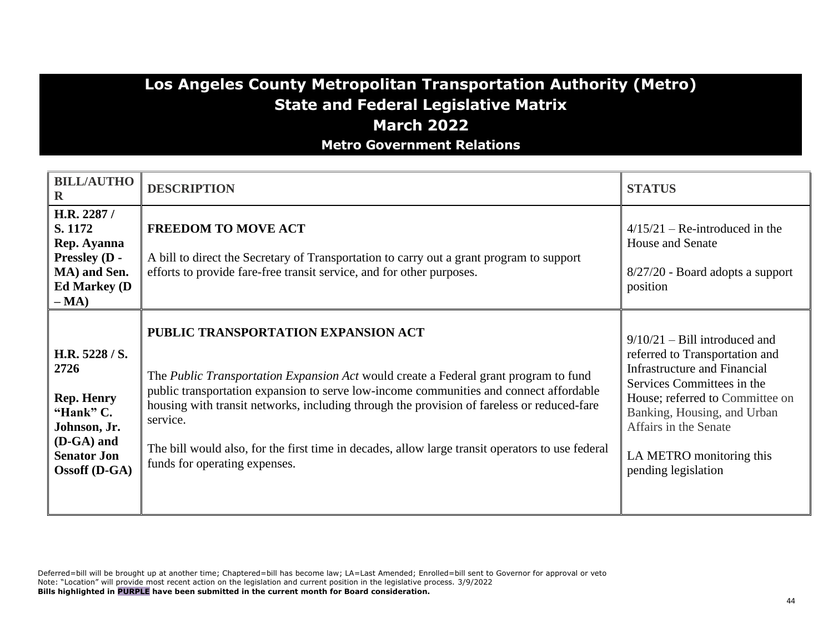### **Los Angeles County Metropolitan Transportation Authority (Metro) State and Federal Legislative Matrix March 2022 Metro Government Relations**

| <b>BILL/AUTHO</b><br>$\mathbf R$                                                                                                       | <b>DESCRIPTION</b>                                                                                                                                                                                                                                                                                                                                                                                                                                                          | <b>STATUS</b>                                                                                                                                                                                                                                                                 |
|----------------------------------------------------------------------------------------------------------------------------------------|-----------------------------------------------------------------------------------------------------------------------------------------------------------------------------------------------------------------------------------------------------------------------------------------------------------------------------------------------------------------------------------------------------------------------------------------------------------------------------|-------------------------------------------------------------------------------------------------------------------------------------------------------------------------------------------------------------------------------------------------------------------------------|
| H.R. 2287 /<br>S. 1172<br>Rep. Ayanna<br>Pressley (D -<br>MA) and Sen.<br><b>Ed Markey (D)</b><br>$-MA)$                               | <b>FREEDOM TO MOVE ACT</b><br>A bill to direct the Secretary of Transportation to carry out a grant program to support<br>efforts to provide fare-free transit service, and for other purposes.                                                                                                                                                                                                                                                                             | $4/15/21$ – Re-introduced in the<br>House and Senate<br>8/27/20 - Board adopts a support<br>position                                                                                                                                                                          |
| H.R. 5228 / S.<br>2726<br><b>Rep. Henry</b><br>"Hank" C.<br>Johnson, Jr.<br>$(D-GA)$ and<br><b>Senator Jon</b><br><b>Ossoff</b> (D-GA) | PUBLIC TRANSPORTATION EXPANSION ACT<br>The <i>Public Transportation Expansion Act</i> would create a Federal grant program to fund<br>public transportation expansion to serve low-income communities and connect affordable<br>housing with transit networks, including through the provision of fareless or reduced-fare<br>service.<br>The bill would also, for the first time in decades, allow large transit operators to use federal<br>funds for operating expenses. | $9/10/21$ – Bill introduced and<br>referred to Transportation and<br>Infrastructure and Financial<br>Services Committees in the<br>House; referred to Committee on<br>Banking, Housing, and Urban<br>Affairs in the Senate<br>LA METRO monitoring this<br>pending legislation |